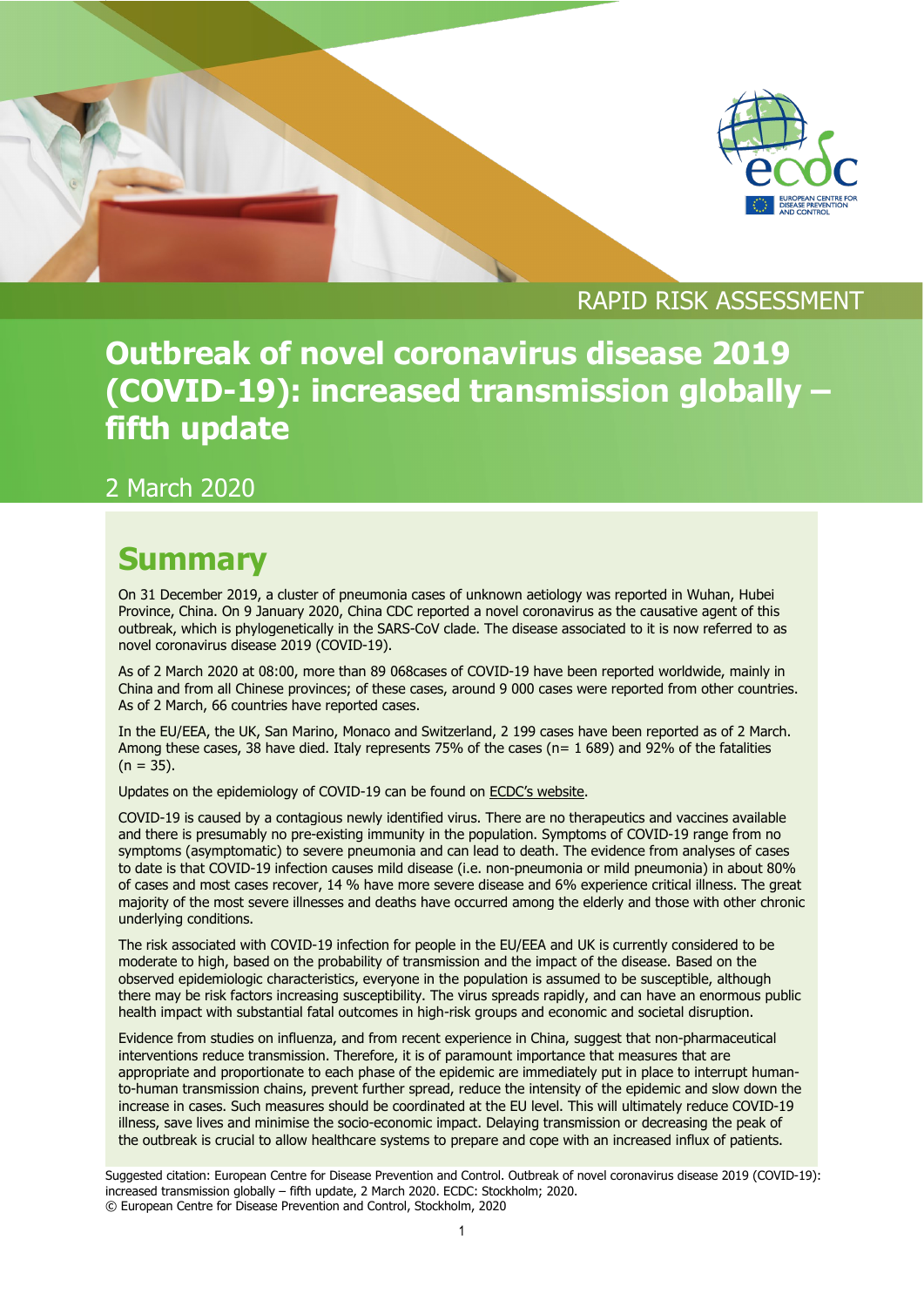



## RAPID RISK ASSESSMENT

## **Outbreak of novel coronavirus disease 2019 (COVID-19): increased transmission globally – fifth update**

## 2 March 2020

## **Summary**

On 31 December 2019, a cluster of pneumonia cases of unknown aetiology was reported in Wuhan, Hubei Province, China. On 9 January 2020, China CDC reported a novel coronavirus as the causative agent of this outbreak, which is phylogenetically in the SARS-CoV clade. The disease associated to it is now referred to as novel coronavirus disease 2019 (COVID-19).

As of 2 March 2020 at 08:00, more than 89 068cases of COVID-19 have been reported worldwide, mainly in China and from all Chinese provinces; of these cases, around 9 000 cases were reported from other countries. As of 2 March, 66 countries have reported cases.

In the EU/EEA, the UK, San Marino, Monaco and Switzerland, 2 199 cases have been reported as of 2 March. Among these cases, 38 have died. Italy represents 75% of the cases (n= 1 689) and 92% of the fatalities  $(n = 35)$ .

Updates on the epidemiology of COVID-19 can be found on [ECDC's website.](https://www.ecdc.europa.eu/en/novel-coronavirus-china)

COVID-19 is caused by a contagious newly identified virus. There are no therapeutics and vaccines available and there is presumably no pre-existing immunity in the population. Symptoms of COVID-19 range from no symptoms (asymptomatic) to severe pneumonia and can lead to death. The evidence from analyses of cases to date is that COVID-19 infection causes mild disease (i.e. non-pneumonia or mild pneumonia) in about 80% of cases and most cases recover, 14 % have more severe disease and 6% experience critical illness. The great majority of the most severe illnesses and deaths have occurred among the elderly and those with other chronic underlying conditions.

The risk associated with COVID-19 infection for people in the EU/EEA and UK is currently considered to be moderate to high, based on the probability of transmission and the impact of the disease. Based on the observed epidemiologic characteristics, everyone in the population is assumed to be susceptible, although there may be risk factors increasing susceptibility. The virus spreads rapidly, and can have an enormous public health impact with substantial fatal outcomes in high-risk groups and economic and societal disruption.

Evidence from studies on influenza, and from recent experience in China, suggest that non-pharmaceutical interventions reduce transmission. Therefore, it is of paramount importance that measures that are appropriate and proportionate to each phase of the epidemic are immediately put in place to interrupt humanto-human transmission chains, prevent further spread, reduce the intensity of the epidemic and slow down the increase in cases. Such measures should be coordinated at the EU level. This will ultimately reduce COVID-19 illness, save lives and minimise the socio-economic impact. Delaying transmission or decreasing the peak of the outbreak is crucial to allow healthcare systems to prepare and cope with an increased influx of patients.

Suggested citation: European Centre for Disease Prevention and Control. Outbreak of novel coronavirus disease 2019 (COVID-19): increased transmission globally – fifth update, 2 March 2020. ECDC: Stockholm; 2020. © European Centre for Disease Prevention and Control, Stockholm, 2020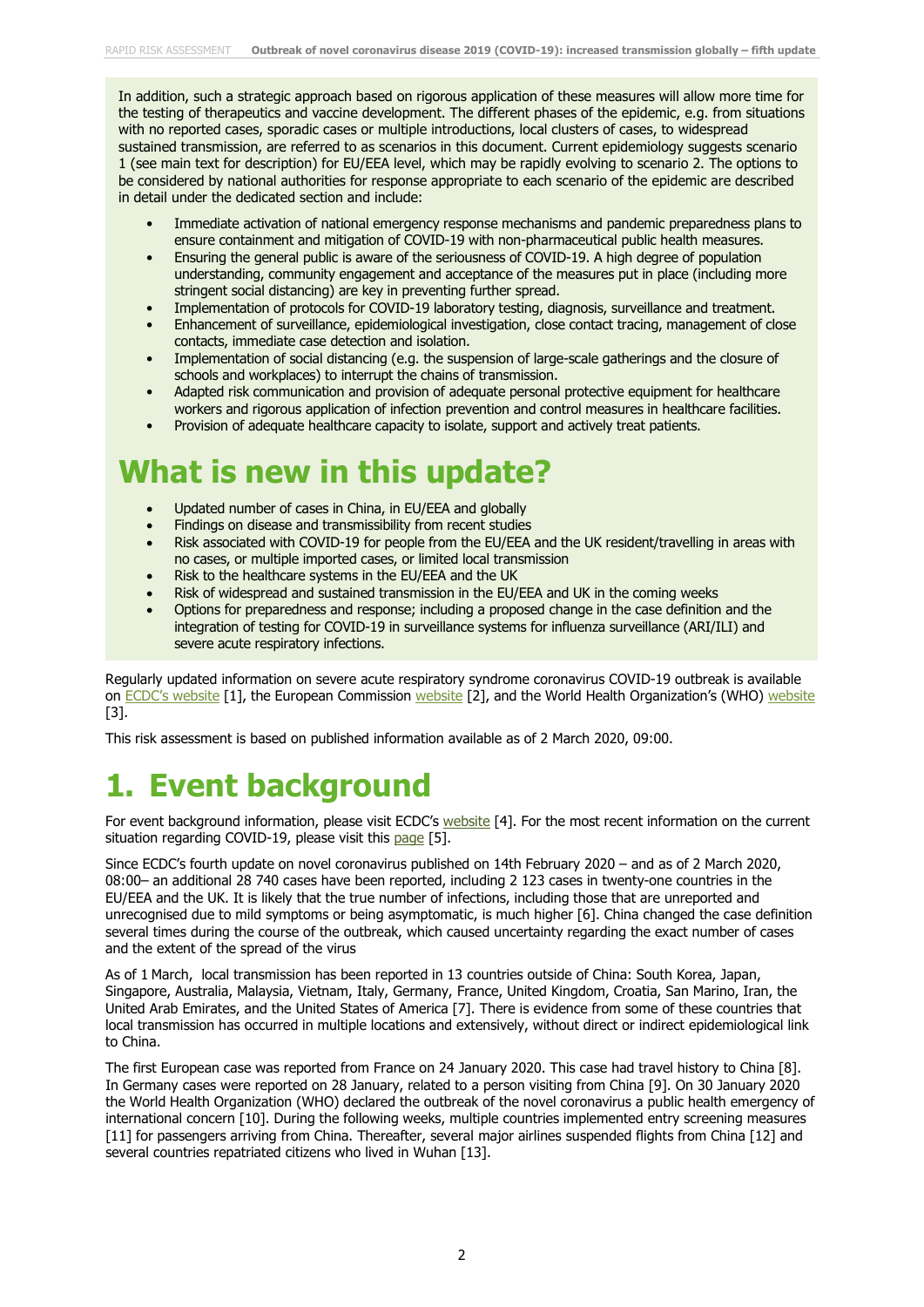In addition, such a strategic approach based on rigorous application of these measures will allow more time for the testing of therapeutics and vaccine development. The different phases of the epidemic, e.g. from situations with no reported cases, sporadic cases or multiple introductions, local clusters of cases, to widespread sustained transmission, are referred to as scenarios in this document. Current epidemiology suggests scenario 1 (see main text for description) for EU/EEA level, which may be rapidly evolving to scenario 2. The options to be considered by national authorities for response appropriate to each scenario of the epidemic are described in detail under the dedicated section and include:

- Immediate activation of national emergency response mechanisms and pandemic preparedness plans to ensure containment and mitigation of COVID-19 with non-pharmaceutical public health measures.
- Ensuring the general public is aware of the seriousness of COVID-19. A high degree of population understanding, community engagement and acceptance of the measures put in place (including more stringent social distancing) are key in preventing further spread.
- Implementation of protocols for COVID-19 laboratory testing, diagnosis, surveillance and treatment.
- Enhancement of surveillance, epidemiological investigation, close contact tracing, management of close contacts, immediate case detection and isolation.
- Implementation of social distancing (e.g. the suspension of large-scale gatherings and the closure of schools and workplaces) to interrupt the chains of transmission.
- Adapted risk communication and provision of adequate personal protective equipment for healthcare workers and rigorous application of infection prevention and control measures in healthcare facilities.
- Provision of adequate healthcare capacity to isolate, support and actively treat patients.

## **What is new in this update?**

- Updated number of cases in China, in EU/EEA and globally
- Findings on disease and transmissibility from recent studies
- Risk associated with COVID-19 for people from the EU/EEA and the UK resident/travelling in areas with no cases, or multiple imported cases, or limited local transmission
- Risk to the healthcare systems in the EU/EEA and the UK
- Risk of widespread and sustained transmission in the EU/EEA and UK in the coming weeks
- Options for preparedness and response; including a proposed change in the case definition and the integration of testing for COVID-19 in surveillance systems for influenza surveillance (ARI/ILI) and severe acute respiratory infections.

Regularly updated information on severe acute respiratory syndrome coronavirus COVID-19 outbreak is available on [ECDC's website](https://www.ecdc.europa.eu/en/novel-coronavirus-china) [1], the European Commission [website](https://ec.europa.eu/health/coronavirus_en) [2], and the World Health Organization's (WHO) [website](https://www.who.int/emergencies/diseases/novel-coronavirus-2019) [3].

This risk assessment is based on published information available as of 2 March 2020, 09:00.

# **1. Event background**

For event background information, please visit ECDC's [website](https://www.ecdc.europa.eu/en/novel-coronavirus/event-background-2019) [4]. For the most recent information on the current situation regarding COVID-19, please visit this [page](https://www.ecdc.europa.eu/en/geographical-distribution-2019-ncov-cases) [5].

Since ECDC's fourth update on novel coronavirus published on 14th February 2020 – and as of 2 March 2020, 08:00– an additional 28 740 cases have been reported, including 2 123 cases in twenty-one countries in the EU/EEA and the UK. It is likely that the true number of infections, including those that are unreported and unrecognised due to mild symptoms or being asymptomatic, is much higher [6]. China changed the case definition several times during the course of the outbreak, which caused uncertainty regarding the exact number of cases and the extent of the spread of the virus

As of 1 March, local transmission has been reported in 13 countries outside of China: South Korea, Japan, Singapore, Australia, Malaysia, Vietnam, Italy, Germany, France, United Kingdom, Croatia, San Marino, Iran, the United Arab Emirates, and the United States of America [7]. There is evidence from some of these countries that local transmission has occurred in multiple locations and extensively, without direct or indirect epidemiological link to China.

The first European case was reported from France on 24 January 2020. This case had travel history to China [8]. In Germany cases were reported on 28 January, related to a person visiting from China [9]. On 30 January 2020 the World Health Organization (WHO) declared the outbreak of the novel coronavirus a public health emergency of international concern [10]. During the following weeks, multiple countries implemented entry screening measures [11] for passengers arriving from China. Thereafter, several major airlines suspended flights from China [12] and several countries repatriated citizens who lived in Wuhan [13].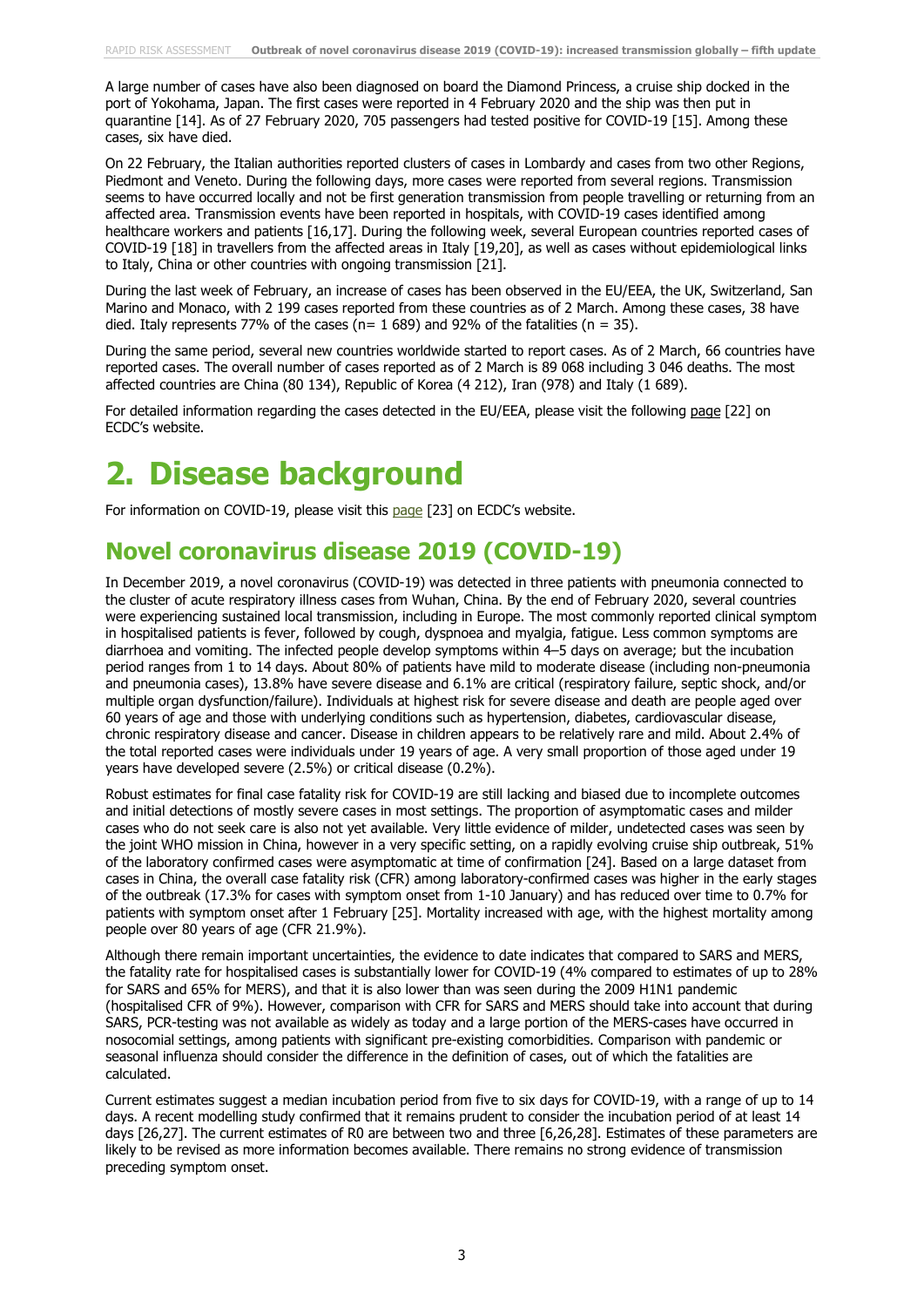A large number of cases have also been diagnosed on board the Diamond Princess, a cruise ship docked in the port of Yokohama, Japan. The first cases were reported in 4 February 2020 and the ship was then put in quarantine [14]. As of 27 February 2020, 705 passengers had tested positive for COVID-19 [15]. Among these cases, six have died.

On 22 February, the Italian authorities reported clusters of cases in Lombardy and cases from two other Regions, Piedmont and Veneto. During the following days, more cases were reported from several regions. Transmission seems to have occurred locally and not be first generation transmission from people travelling or returning from an affected area. Transmission events have been reported in hospitals, with COVID-19 cases identified among healthcare workers and patients [16,17]. During the following week, several European countries reported cases of COVID-19 [18] in travellers from the affected areas in Italy [19,20], as well as cases without epidemiological links to Italy, China or other countries with ongoing transmission [21].

During the last week of February, an increase of cases has been observed in the EU/EEA, the UK, Switzerland, San Marino and Monaco, with 2 199 cases reported from these countries as of 2 March. Among these cases, 38 have died. Italy represents 77% of the cases ( $n= 1689$ ) and 92% of the fatalities ( $n = 35$ ).

During the same period, several new countries worldwide started to report cases. As of 2 March, 66 countries have reported cases. The overall number of cases reported as of 2 March is 89 068 including 3 046 deaths. The most affected countries are China (80 134), Republic of Korea (4 212), Iran (978) and Italy (1 689).

For detailed information regarding the cases detected in the EU/EEA, please visit the following [page](https://www.ecdc.europa.eu/en/cases-2019-ncov-eueea) [22] on ECDC's website.

## **2. Disease background**

For information on COVID-19, please visit this [page](https://www.ecdc.europa.eu/en/2019-ncov-background-disease) [23] on ECDC's website.

## **Novel coronavirus disease 2019 (COVID-19)**

In December 2019, a novel coronavirus (COVID-19) was detected in three patients with [pneumonia](https://en.wikipedia.org/wiki/Pneumonia) connected to the cluster of acute respiratory illness cases from Wuhan, China. By the end of February 2020, several countries were experiencing sustained local transmission, including in Europe. The most commonly reported clinical symptom in hospitalised patients is fever, followed by cough, dyspnoea and myalgia, fatigue. Less common symptoms are diarrhoea and vomiting. The infected people develop symptoms within 4–5 days on average; but the incubation period ranges from 1 to 14 days. About 80% of patients have mild to moderate disease (including non-pneumonia and pneumonia cases), 13.8% have severe disease and 6.1% are critical (respiratory failure, septic shock, and/or multiple organ dysfunction/failure). Individuals at highest risk for severe disease and death are people aged over 60 years of age and those with underlying conditions such as hypertension, diabetes, cardiovascular disease, chronic respiratory disease and cancer. Disease in children appears to be relatively rare and mild. About 2.4% of the total reported cases were individuals under 19 years of age. A very small proportion of those aged under 19 years have developed severe (2.5%) or critical disease (0.2%).

Robust estimates for final case fatality risk for COVID-19 are still lacking and biased due to incomplete outcomes and initial detections of mostly severe cases in most settings. The proportion of asymptomatic cases and milder cases who do not seek care is also not yet available. Very little evidence of milder, undetected cases was seen by the joint WHO mission in China, however in a very specific setting, on a rapidly evolving cruise ship outbreak, 51% of the laboratory confirmed cases were asymptomatic at time of confirmation [24]. Based on a large dataset from cases in China, the overall case fatality risk (CFR) among laboratory-confirmed cases was higher in the early stages of the outbreak (17.3% for cases with symptom onset from 1-10 January) and has reduced over time to 0.7% for patients with symptom onset after 1 February [25]. Mortality increased with age, with the highest mortality among people over 80 years of age (CFR 21.9%).

Although there remain important uncertainties, the evidence to date indicates that compared to SARS and MERS, the fatality rate for hospitalised cases is substantially lower for COVID-19 (4% compared to estimates of up to 28% for SARS and 65% for MERS), and that it is also lower than was seen during the 2009 H1N1 pandemic (hospitalised CFR of 9%). However, comparison with CFR for SARS and MERS should take into account that during SARS, PCR-testing was not available as widely as today and a large portion of the MERS-cases have occurred in nosocomial settings, among patients with significant pre-existing comorbidities. Comparison with pandemic or seasonal influenza should consider the difference in the definition of cases, out of which the fatalities are calculated.

Current estimates suggest a median incubation period from five to six days for COVID-19, with a range of up to 14 days. A recent modelling study confirmed that it remains prudent to consider the incubation period of at least 14 days [26,27]. The current estimates of R0 are between two and three [6,26,28]. Estimates of these parameters are likely to be revised as more information becomes available. There remains no strong evidence of transmission preceding symptom onset.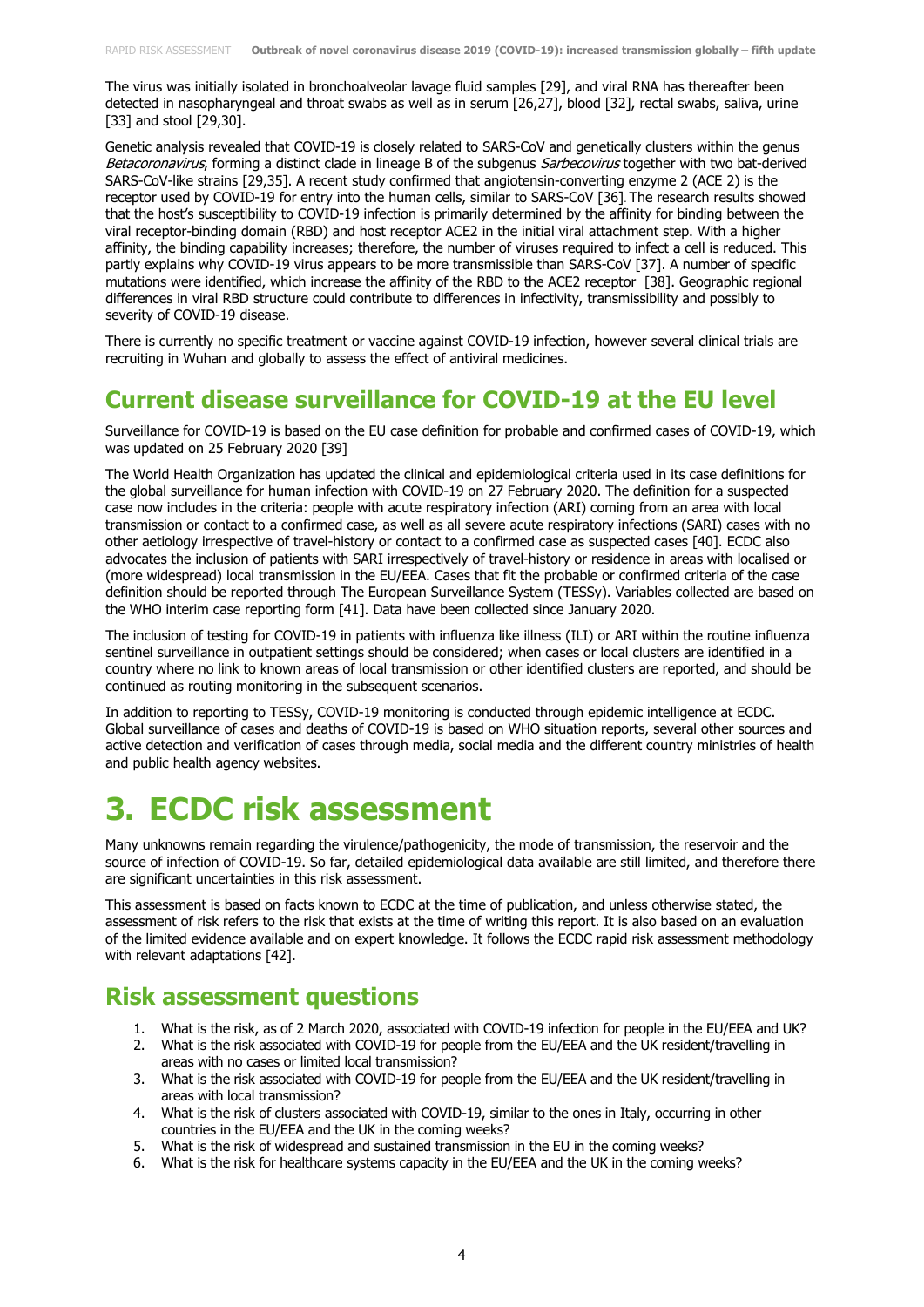The virus was initially isolated in bronchoalveolar lavage fluid samples [29], and viral RNA has thereafter been detected in nasopharyngeal and throat swabs as well as in serum [26,27], blood [32], rectal swabs, saliva, urine [33] and stool [29,30].

Genetic analysis revealed that COVID-19 is closely related to SARS-CoV and genetically clusters within the genus Betacoronavirus, forming a distinct clade in lineage B of the subgenus Sarbecovirus together with two bat-derived SARS-CoV-like strains [29,35]. A recent study confirmed that angiotensin-converting enzyme 2 (ACE 2) is the receptor used by COVID-19 for entry into the human cells, similar to SARS-CoV [36]. The research results showed that the host's susceptibility to COVID-19 infection is primarily determined by the affinity for binding between the viral receptor-binding domain (RBD) and host receptor ACE2 in the initial viral attachment step. With a higher affinity, the binding capability increases; therefore, the number of viruses required to infect a cell is reduced. This partly explains why COVID-19 virus appears to be more transmissible than SARS-CoV [37]. A number of specific mutations were identified, which increase the affinity of the RBD to the ACE2 receptor [38]. Geographic regional differences in viral RBD structure could contribute to differences in infectivity, transmissibility and possibly to severity of COVID-19 disease.

There is currently no specific treatment or vaccine against COVID-19 infection, however several clinical trials are recruiting in Wuhan and globally to assess the effect of antiviral medicines.

## **Current disease surveillance for COVID-19 at the EU level**

Surveillance for COVID-19 is based on the EU case definition for probable and confirmed cases of COVID-19, which was updated on 25 February 2020 [39]

The World Health Organization has updated the clinical and epidemiological criteria used in its case definitions for the [global surveillance for human infection with COVID-19](https://www.who.int/publications-detail/global-surveillance-for-human-infection-with-novel-coronavirus-(2019-ncov)) on 27 February 2020. The definition for a suspected case now includes in the criteria: people with acute respiratory infection (ARI) coming from an area with local transmission or contact to a confirmed case, as well as all severe acute respiratory infections (SARI) cases with no other aetiology irrespective of travel-history or contact to a confirmed case as suspected cases [40]. ECDC also advocates the inclusion of patients with SARI irrespectively of travel-history or residence in areas with localised or (more widespread) local transmission in the EU/EEA. Cases that fit the probable or confirmed criteria of the case definition should be reported through The European Surveillance System (TESSy). Variables collected are based on the WHO interim case reporting form [41]. Data have been collected since January 2020.

The inclusion of testing for COVID-19 in patients with influenza like illness (ILI) or ARI within the routine influenza sentinel surveillance in outpatient settings should be considered; when cases or local clusters are identified in a country where no link to known areas of local transmission or other identified clusters are reported, and should be continued as routing monitoring in the subsequent scenarios.

In addition to reporting to TESSy, COVID-19 monitoring is conducted through epidemic intelligence at ECDC. Global surveillance of cases and deaths of COVID-19 is based on WHO situation reports, several other sources and active detection and verification of cases through media, social media and the different country ministries of health and public health agency websites.

# **3. ECDC risk assessment**

Many unknowns remain regarding the virulence/pathogenicity, the mode of transmission, the reservoir and the source of infection of COVID-19. So far, detailed epidemiological data available are still limited, and therefore there are significant uncertainties in this risk assessment.

This assessment is based on facts known to ECDC at the time of publication, and unless otherwise stated, the assessment of risk refers to the risk that exists at the time of writing this report. It is also based on an evaluation of the limited evidence available and on expert knowledge. It follows the ECDC rapid risk assessment methodology with relevant adaptations [42].

### **Risk assessment questions**

- 1. What is the risk, as of 2 March 2020, associated with COVID-19 infection for people in the EU/EEA and UK?
- 2. What is the risk associated with COVID-19 for people from the EU/EEA and the UK resident/travelling in areas with no cases or limited local transmission?
- 3. What is the risk associated with COVID-19 for people from the EU/EEA and the UK resident/travelling in areas with local transmission?
- 4. What is the risk of clusters associated with COVID-19, similar to the ones in Italy, occurring in other countries in the EU/EEA and the UK in the coming weeks?
- 5. What is the risk of widespread and sustained transmission in the EU in the coming weeks?
- 6. What is the risk for healthcare systems capacity in the EU/EEA and the UK in the coming weeks?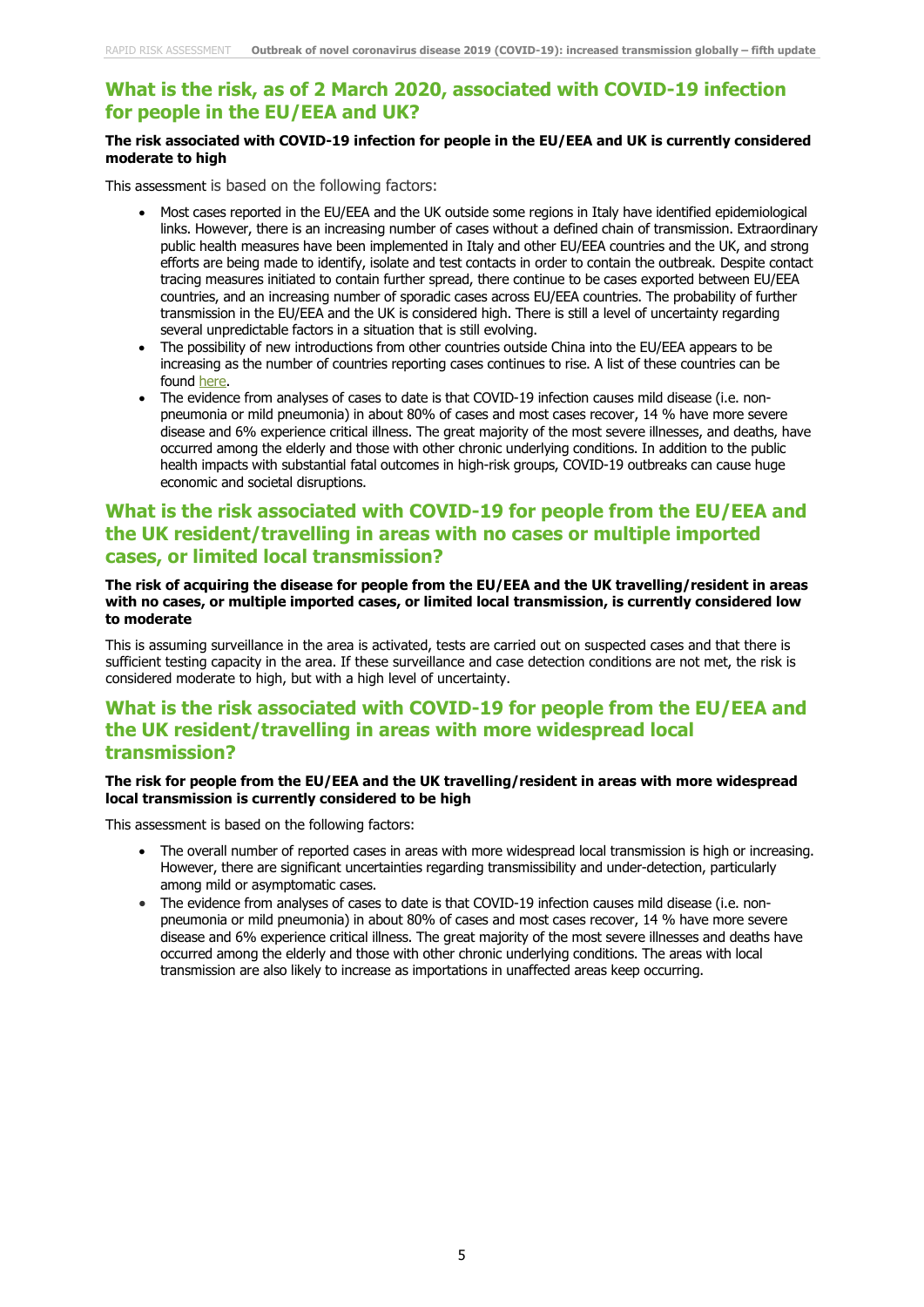### **What is the risk, as of 2 March 2020, associated with COVID-19 infection for people in the EU/EEA and UK?**

#### **The risk associated with COVID-19 infection for people in the EU/EEA and UK is currently considered moderate to high**

This assessment is based on the following factors:

- Most cases reported in the EU/EEA and the UK outside some regions in Italy have identified epidemiological links. However, there is an increasing number of cases without a defined chain of transmission. Extraordinary public health measures have been implemented in Italy and other EU/EEA countries and the UK, and strong efforts are being made to identify, isolate and test contacts in order to contain the outbreak. Despite contact tracing measures initiated to contain further spread, there continue to be cases exported between EU/EEA countries, and an increasing number of sporadic cases across EU/EEA countries. The probability of further transmission in the EU/EEA and the UK is considered high. There is still a level of uncertainty regarding several unpredictable factors in a situation that is still evolving.
- The possibility of new introductions from other countries outside China into the EU/EEA appears to be increasing as the number of countries reporting cases continues to rise. A list of these countries can be found [here.](https://www.ecdc.europa.eu/en/geographical-distribution-2019-ncov-cases)
- The evidence from analyses of cases to date is that COVID-19 infection causes mild disease (i.e. nonpneumonia or mild pneumonia) in about 80% of cases and most cases recover, 14 % have more severe disease and 6% experience critical illness. The great majority of the most severe illnesses, and deaths, have occurred among the elderly and those with other chronic underlying conditions. In addition to the public health impacts with substantial fatal outcomes in high-risk groups, COVID-19 outbreaks can cause huge economic and societal disruptions.

### **What is the risk associated with COVID-19 for people from the EU/EEA and the UK resident/travelling in areas with no cases or multiple imported cases, or limited local transmission?**

#### **The risk of acquiring the disease for people from the EU/EEA and the UK travelling/resident in areas with no cases, or multiple imported cases, or limited local transmission, is currently considered low to moderate**

This is assuming surveillance in the area is activated, tests are carried out on suspected cases and that there is sufficient testing capacity in the area. If these surveillance and case detection conditions are not met, the risk is considered moderate to high, but with a high level of uncertainty.

### **What is the risk associated with COVID-19 for people from the EU/EEA and the UK resident/travelling in areas with more widespread local transmission?**

#### **The risk for people from the EU/EEA and the UK travelling/resident in areas with more widespread local transmission is currently considered to be high**

This assessment is based on the following factors:

- The overall number of reported cases in areas with more widespread local transmission is high or increasing. However, there are significant uncertainties regarding transmissibility and under-detection, particularly among mild or asymptomatic cases.
- The evidence from analyses of cases to date is that COVID-19 infection causes mild disease (i.e. nonpneumonia or mild pneumonia) in about 80% of cases and most cases recover, 14 % have more severe disease and 6% experience critical illness. The great majority of the most severe illnesses and deaths have occurred among the elderly and those with other chronic underlying conditions. The areas with local transmission are also likely to increase as importations in unaffected areas keep occurring.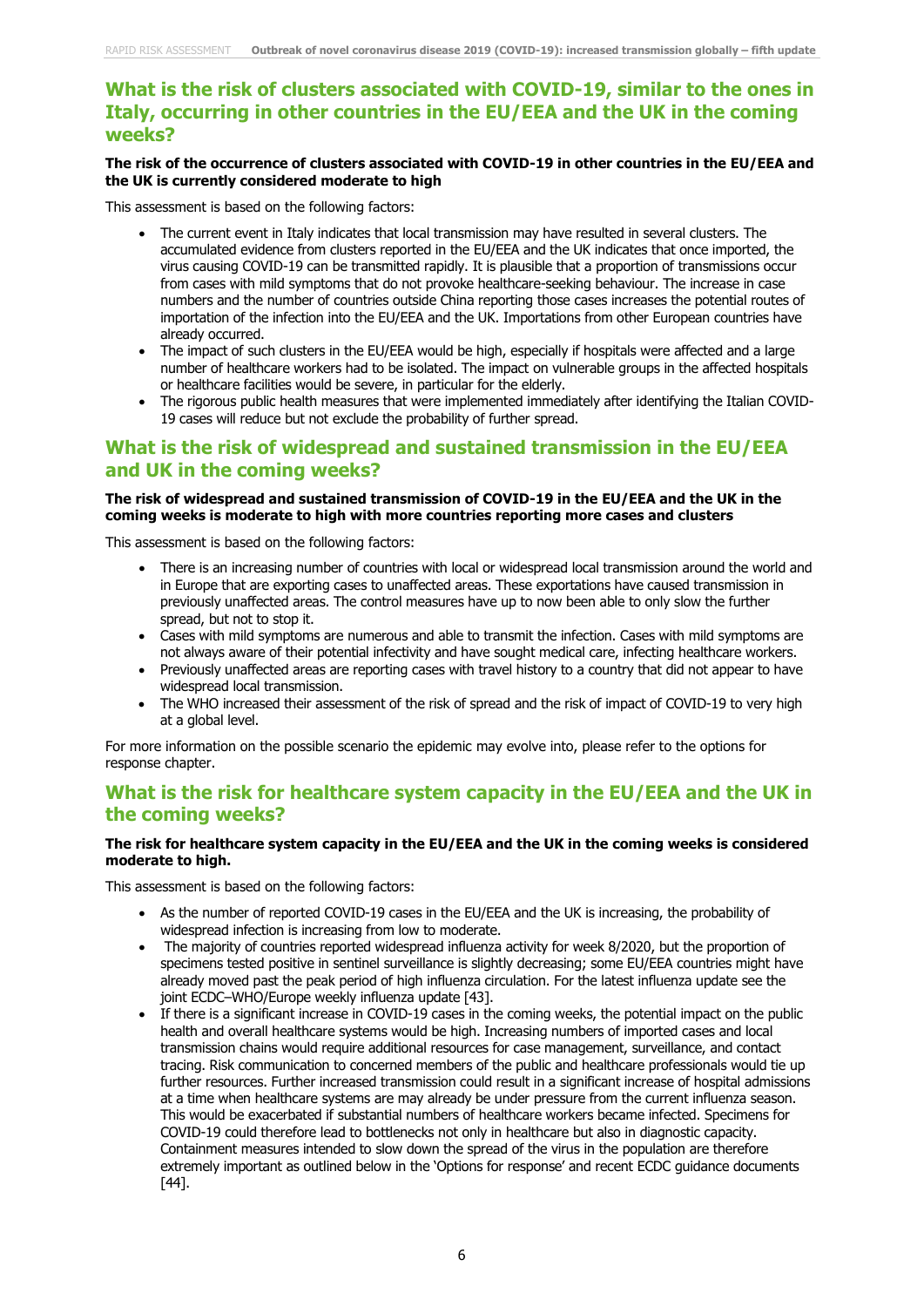### **What is the risk of clusters associated with COVID-19, similar to the ones in Italy, occurring in other countries in the EU/EEA and the UK in the coming weeks?**

#### **The risk of the occurrence of clusters associated with COVID-19 in other countries in the EU/EEA and the UK is currently considered moderate to high**

This assessment is based on the following factors:

- The current event in Italy indicates that local transmission may have resulted in several clusters. The accumulated evidence from clusters reported in the EU/EEA and the UK indicates that once imported, the virus causing COVID-19 can be transmitted rapidly. It is plausible that a proportion of transmissions occur from cases with mild symptoms that do not provoke healthcare-seeking behaviour. The increase in case numbers and the number of countries outside China reporting those cases increases the potential routes of importation of the infection into the EU/EEA and the UK. Importations from other European countries have already occurred.
- The impact of such clusters in the EU/EEA would be high, especially if hospitals were affected and a large number of healthcare workers had to be isolated. The impact on vulnerable groups in the affected hospitals or healthcare facilities would be severe, in particular for the elderly.
- The rigorous public health measures that were implemented immediately after identifying the Italian COVID-19 cases will reduce but not exclude the probability of further spread.

### **What is the risk of widespread and sustained transmission in the EU/EEA and UK in the coming weeks?**

#### **The risk of widespread and sustained transmission of COVID-19 in the EU/EEA and the UK in the coming weeks is moderate to high with more countries reporting more cases and clusters**

This assessment is based on the following factors:

- There is an increasing number of countries with local or widespread local transmission around the world and in Europe that are exporting cases to unaffected areas. These exportations have caused transmission in previously unaffected areas. The control measures have up to now been able to only slow the further spread, but not to stop it.
- Cases with mild symptoms are numerous and able to transmit the infection. Cases with mild symptoms are not always aware of their potential infectivity and have sought medical care, infecting healthcare workers.
- Previously unaffected areas are reporting cases with travel history to a country that did not appear to have widespread local transmission.
- The WHO increased their assessment of the risk of spread and the risk of impact of COVID-19 to very high at a global level.

For more information on the possible scenario the epidemic may evolve into, please refer to the options for response chapter.

### **What is the risk for healthcare system capacity in the EU/EEA and the UK in the coming weeks?**

#### **The risk for healthcare system capacity in the EU/EEA and the UK in the coming weeks is considered moderate to high.**

This assessment is based on the following factors:

- As the number of reported COVID-19 cases in the EU/EEA and the UK is increasing, the probability of widespread infection is increasing from low to moderate.
- The majority of countries reported widespread influenza activity for week 8/2020, but the proportion of specimens tested positive in sentinel surveillance is slightly decreasing; some EU/EEA countries might have already moved past the peak period of high influenza circulation. For the latest influenza update see the joint [ECDC–WHO/Europe weekly influenza update](https://flunewseurope.org/) [43].
- If there is a significant increase in COVID-19 cases in the coming weeks, the potential impact on the public health and overall healthcare systems would be high. Increasing numbers of imported cases and local transmission chains would require additional resources for case management, surveillance, and contact tracing. Risk communication to concerned members of the public and healthcare professionals would tie up further resources. Further increased transmission could result in a significant increase of hospital admissions at a time when healthcare systems are may already be under pressure from the current influenza season. This would be exacerbated if substantial numbers of healthcare workers became infected. Specimens for COVID-19 could therefore lead to bottlenecks not only in healthcare but also in diagnostic capacity. Containment measures intended to slow down the spread of the virus in the population are therefore extremely important as outlined below in the 'Options for response' and recent ECDC guidance documents [44].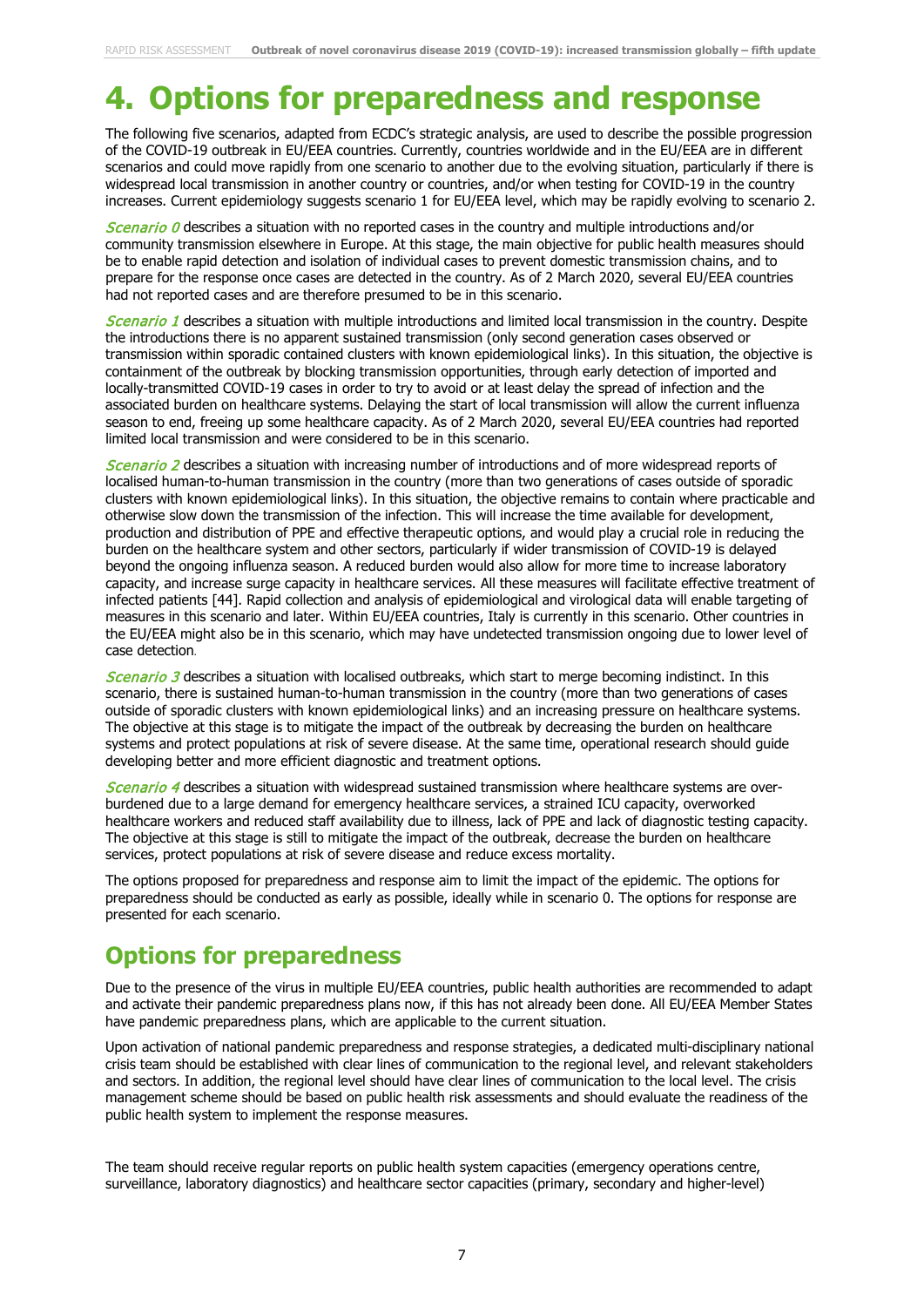## **4. Options for preparedness and response**

The following five scenarios, adapted from ECDC's strategic analysis, are used to describe the possible progression of the COVID-19 outbreak in EU/EEA countries. Currently, countries worldwide and in the EU/EEA are in different scenarios and could move rapidly from one scenario to another due to the evolving situation, particularly if there is widespread local transmission in another country or countries, and/or when testing for COVID-19 in the country increases. Current epidemiology suggests scenario 1 for EU/EEA level, which may be rapidly evolving to scenario 2.

Scenario  $\theta$  describes a situation with no reported cases in the country and multiple introductions and/or community transmission elsewhere in Europe. At this stage, the main objective for public health measures should be to enable rapid detection and isolation of individual cases to prevent domestic transmission chains, and to prepare for the response once cases are detected in the country. As of 2 March 2020, several EU/EEA countries had not reported cases and are therefore presumed to be in this scenario.

Scenario 1 describes a situation with multiple introductions and limited local transmission in the country. Despite the introductions there is no apparent sustained transmission (only second generation cases observed or transmission within sporadic contained clusters with known epidemiological links). In this situation, the objective is containment of the outbreak by blocking transmission opportunities, through early detection of imported and locally-transmitted COVID-19 cases in order to try to avoid or at least delay the spread of infection and the associated burden on healthcare systems. Delaying the start of local transmission will allow the current influenza season to end, freeing up some healthcare capacity. As of 2 March 2020, several EU/EEA countries had reported limited local transmission and were considered to be in this scenario.

**Scenario 2** describes a situation with increasing number of introductions and of more widespread reports of localised human-to-human transmission in the country (more than two generations of cases outside of sporadic clusters with known epidemiological links). In this situation, the objective remains to contain where practicable and otherwise slow down the transmission of the infection. This will increase the time available for development, production and distribution of PPE and effective therapeutic options, and would play a crucial role in reducing the burden on the healthcare system and other sectors, particularly if wider transmission of COVID-19 is delayed beyond the ongoing influenza season. A reduced burden would also allow for more time to increase laboratory capacity, and increase surge capacity in healthcare services. All these measures will facilitate effective treatment of infected patients [44]. Rapid collection and analysis of epidemiological and virological data will enable targeting of measures in this scenario and later. Within EU/EEA countries, Italy is currently in this scenario. Other countries in the EU/EEA might also be in this scenario, which may have undetected transmission ongoing due to lower level of case detection.

**Scenario 3** describes a situation with localised outbreaks, which start to merge becoming indistinct. In this scenario, there is sustained human-to-human transmission in the country (more than two generations of cases outside of sporadic clusters with known epidemiological links) and an increasing pressure on healthcare systems. The objective at this stage is to mitigate the impact of the outbreak by decreasing the burden on healthcare systems and protect populations at risk of severe disease. At the same time, operational research should guide developing better and more efficient diagnostic and treatment options.

Scenario 4 describes a situation with widespread sustained transmission where healthcare systems are overburdened due to a large demand for emergency healthcare services, a strained ICU capacity, overworked healthcare workers and reduced staff availability due to illness, lack of PPE and lack of diagnostic testing capacity. The objective at this stage is still to mitigate the impact of the outbreak, decrease the burden on healthcare services, protect populations at risk of severe disease and reduce excess mortality.

The options proposed for preparedness and response aim to limit the impact of the epidemic. The options for preparedness should be conducted as early as possible, ideally while in scenario 0. The options for response are presented for each scenario.

## **Options for preparedness**

Due to the presence of the virus in multiple EU/EEA countries, public health authorities are recommended to adapt and activate their pandemic preparedness plans now, if this has not already been done. All EU/EEA Member States have pandemic preparedness plans, which are applicable to the current situation.

Upon activation of national pandemic preparedness and response strategies, a dedicated multi-disciplinary national crisis team should be established with clear lines of communication to the regional level, and relevant stakeholders and sectors. In addition, the regional level should have clear lines of communication to the local level. The crisis management scheme should be based on public health risk assessments and should evaluate the readiness of the public health system to implement the response measures.

The team should receive regular reports on public health system capacities (emergency operations centre, surveillance, laboratory diagnostics) and healthcare sector capacities (primary, secondary and higher-level)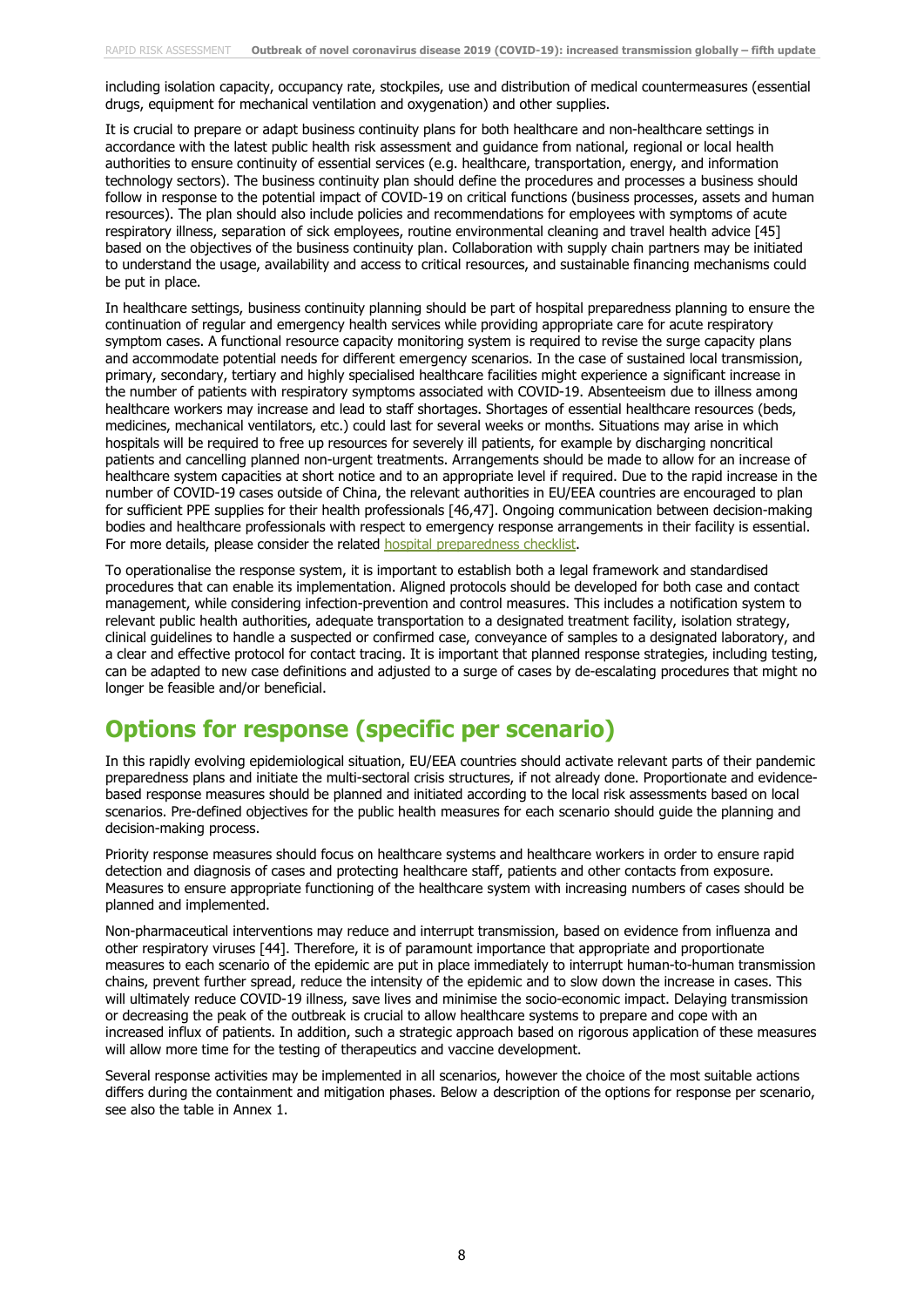including isolation capacity, occupancy rate, stockpiles, use and distribution of medical countermeasures (essential drugs, equipment for mechanical ventilation and oxygenation) and other supplies.

It is crucial to prepare or adapt business continuity plans for both healthcare and non-healthcare settings in accordance with the latest public health risk assessment and guidance from national, regional or local health authorities to ensure continuity of essential services (e.g. healthcare, transportation, energy, and information technology sectors). The business continuity plan should define the procedures and processes a business should follow in response to the potential impact of COVID-19 on critical functions (business processes, assets and human resources). The plan should also include policies and recommendations for employees with symptoms of acute respiratory illness, separation of sick employees, routine environmental cleaning and travel health advice [45] based on the objectives of the business continuity plan. Collaboration with supply chain partners may be initiated to understand the usage, availability and access to critical resources, and sustainable financing mechanisms could be put in place.

In healthcare settings, business continuity planning should be part of hospital preparedness planning to ensure the continuation of regular and emergency health services while providing appropriate care for acute respiratory symptom cases. A functional resource capacity monitoring system is required to revise the surge capacity plans and accommodate potential needs for different emergency scenarios. In the case of sustained local transmission, primary, secondary, tertiary and highly specialised healthcare facilities might experience a significant increase in the number of patients with respiratory symptoms associated with COVID-19. Absenteeism due to illness among healthcare workers may increase and lead to staff shortages. Shortages of essential healthcare resources (beds, medicines, mechanical ventilators, etc.) could last for several weeks or months. Situations may arise in which hospitals will be required to free up resources for severely ill patients, for example by discharging noncritical patients and cancelling planned non-urgent treatments. Arrangements should be made to allow for an increase of healthcare system capacities at short notice and to an appropriate level if required. Due to the rapid increase in the number of COVID-19 cases outside of China, the relevant authorities in EU/EEA countries are encouraged to plan for sufficient PPE supplies for their health professionals [46,47]. Ongoing communication between decision-making bodies and healthcare professionals with respect to emergency response arrangements in their facility is essential. For more details, please consider the related [hospital preparedness checklist.](https://www.ecdc.europa.eu/sites/default/files/documents/covid-19-checklist-hospitals-preparing-reception-care-coronavirus-patients.pdf)

To operationalise the response system, it is important to establish both a legal framework and standardised procedures that can enable its implementation. Aligned protocols should be developed for both case and contact management, while considering infection-prevention and control measures. This includes a notification system to relevant public health authorities, adequate transportation to a designated treatment facility, isolation strategy, clinical guidelines to handle a suspected or confirmed case, conveyance of samples to a designated laboratory, and a clear and effective protocol for contact tracing. It is important that planned response strategies, including testing, can be adapted to new case definitions and adjusted to a surge of cases by de-escalating procedures that might no longer be feasible and/or beneficial.

## **Options for response (specific per scenario)**

In this rapidly evolving epidemiological situation, EU/EEA countries should activate relevant parts of their pandemic preparedness plans and initiate the multi-sectoral crisis structures, if not already done. Proportionate and evidencebased response measures should be planned and initiated according to the local risk assessments based on local scenarios. Pre-defined objectives for the public health measures for each scenario should guide the planning and decision-making process.

Priority response measures should focus on healthcare systems and healthcare workers in order to ensure rapid detection and diagnosis of cases and protecting healthcare staff, patients and other contacts from exposure. Measures to ensure appropriate functioning of the healthcare system with increasing numbers of cases should be planned and implemented.

Non-pharmaceutical interventions may reduce and interrupt transmission, based on evidence from influenza and other respiratory viruses [44]. Therefore, it is of paramount importance that appropriate and proportionate measures to each scenario of the epidemic are put in place immediately to interrupt human-to-human transmission chains, prevent further spread, reduce the intensity of the epidemic and to slow down the increase in cases. This will ultimately reduce COVID-19 illness, save lives and minimise the socio-economic impact. Delaying transmission or decreasing the peak of the outbreak is crucial to allow healthcare systems to prepare and cope with an increased influx of patients. In addition, such a strategic approach based on rigorous application of these measures will allow more time for the testing of therapeutics and vaccine development.

Several response activities may be implemented in all scenarios, however the choice of the most suitable actions differs during the containment and mitigation phases. Below a description of the options for response per scenario, see also the table in Annex 1.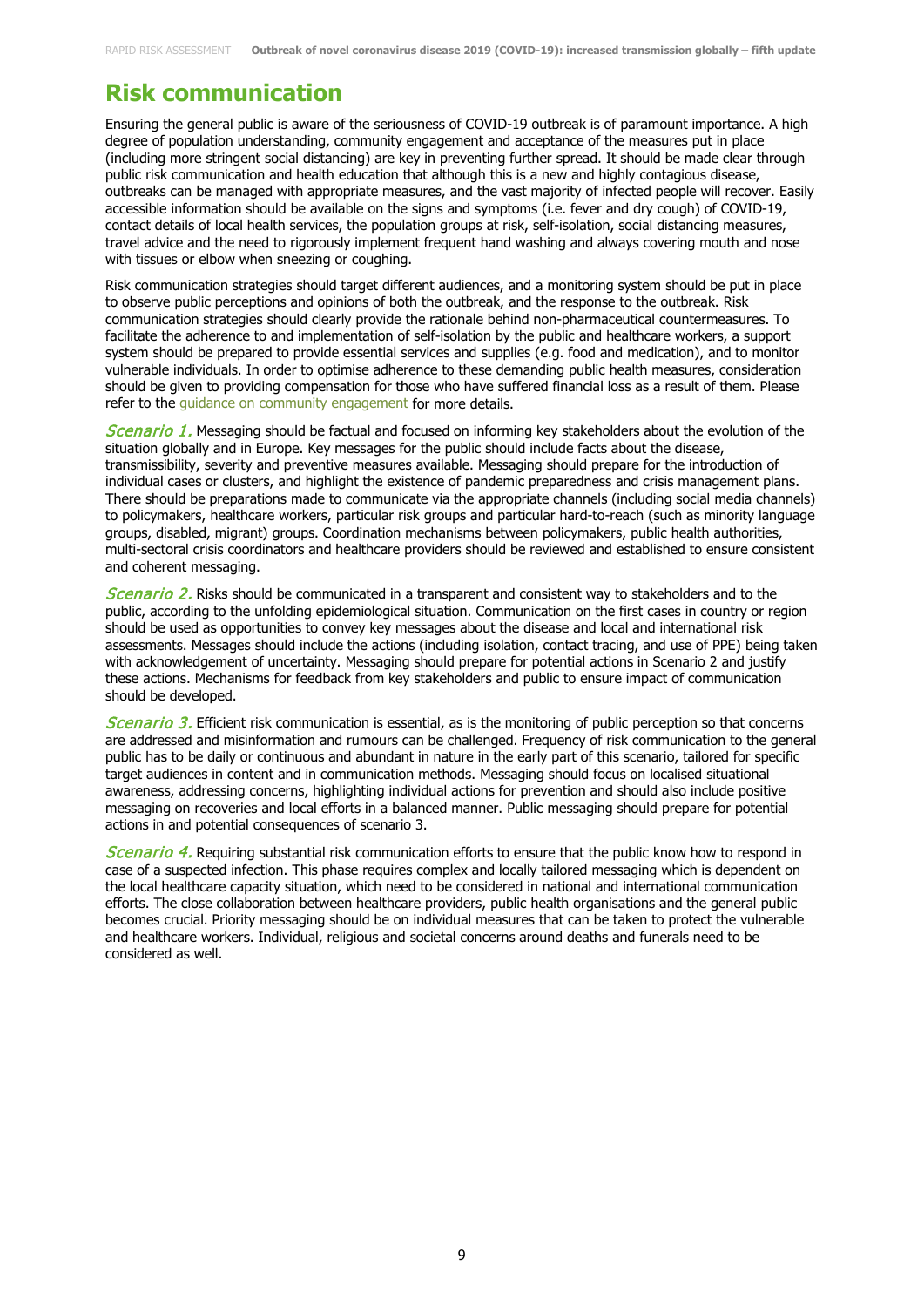## **Risk communication**

Ensuring the general public is aware of the seriousness of COVID-19 outbreak is of paramount importance. A high degree of population understanding, community engagement and acceptance of the measures put in place (including more stringent social distancing) are key in preventing further spread. It should be made clear through public risk communication and health education that although this is a new and highly contagious disease, outbreaks can be managed with appropriate measures, and the vast majority of infected people will recover. Easily accessible information should be available on the signs and symptoms (i.e. fever and dry cough) of COVID-19, contact details of local health services, the population groups at risk, self-isolation, social distancing measures, travel advice and the need to rigorously implement frequent hand washing and always covering mouth and nose with tissues or elbow when sneezing or coughing.

Risk communication strategies should target different audiences, and a monitoring system should be put in place to observe public perceptions and opinions of both the outbreak, and the response to the outbreak. Risk communication strategies should clearly provide the rationale behind non-pharmaceutical countermeasures. To facilitate the adherence to and implementation of self-isolation by the public and healthcare workers, a support system should be prepared to provide essential services and supplies (e.g. food and medication), and to monitor vulnerable individuals. In order to optimise adherence to these demanding public health measures, consideration should be given to providing compensation for those who have suffered financial loss as a result of them. Please refer to the quidance on community engagement for more details.

**Scenario 1.** Messaging should be factual and focused on informing key stakeholders about the evolution of the situation globally and in Europe. Key messages for the public should include facts about the disease, transmissibility, severity and preventive measures available. Messaging should prepare for the introduction of individual cases or clusters, and highlight the existence of pandemic preparedness and crisis management plans. There should be preparations made to communicate via the appropriate channels (including social media channels) to policymakers, healthcare workers, particular risk groups and particular hard-to-reach (such as minority language groups, disabled, migrant) groups. Coordination mechanisms between policymakers, public health authorities, multi-sectoral crisis coordinators and healthcare providers should be reviewed and established to ensure consistent and coherent messaging.

**Scenario 2.** Risks should be communicated in a transparent and consistent way to stakeholders and to the public, according to the unfolding epidemiological situation. Communication on the first cases in country or region should be used as opportunities to convey key messages about the disease and local and international risk assessments. Messages should include the actions (including isolation, contact tracing, and use of PPE) being taken with acknowledgement of uncertainty. Messaging should prepare for potential actions in Scenario 2 and justify these actions. Mechanisms for feedback from key stakeholders and public to ensure impact of communication should be developed.

Scenario 3. Efficient risk communication is essential, as is the monitoring of public perception so that concerns are addressed and misinformation and rumours can be challenged. Frequency of risk communication to the general public has to be daily or continuous and abundant in nature in the early part of this scenario, tailored for specific target audiences in content and in communication methods. Messaging should focus on localised situational awareness, addressing concerns, highlighting individual actions for prevention and should also include positive messaging on recoveries and local efforts in a balanced manner. Public messaging should prepare for potential actions in and potential consequences of scenario 3.

Scenario 4. Requiring substantial risk communication efforts to ensure that the public know how to respond in case of a suspected infection. This phase requires complex and locally tailored messaging which is dependent on the local healthcare capacity situation, which need to be considered in national and international communication efforts. The close collaboration between healthcare providers, public health organisations and the general public becomes crucial. Priority messaging should be on individual measures that can be taken to protect the vulnerable and healthcare workers. Individual, religious and societal concerns around deaths and funerals need to be considered as well.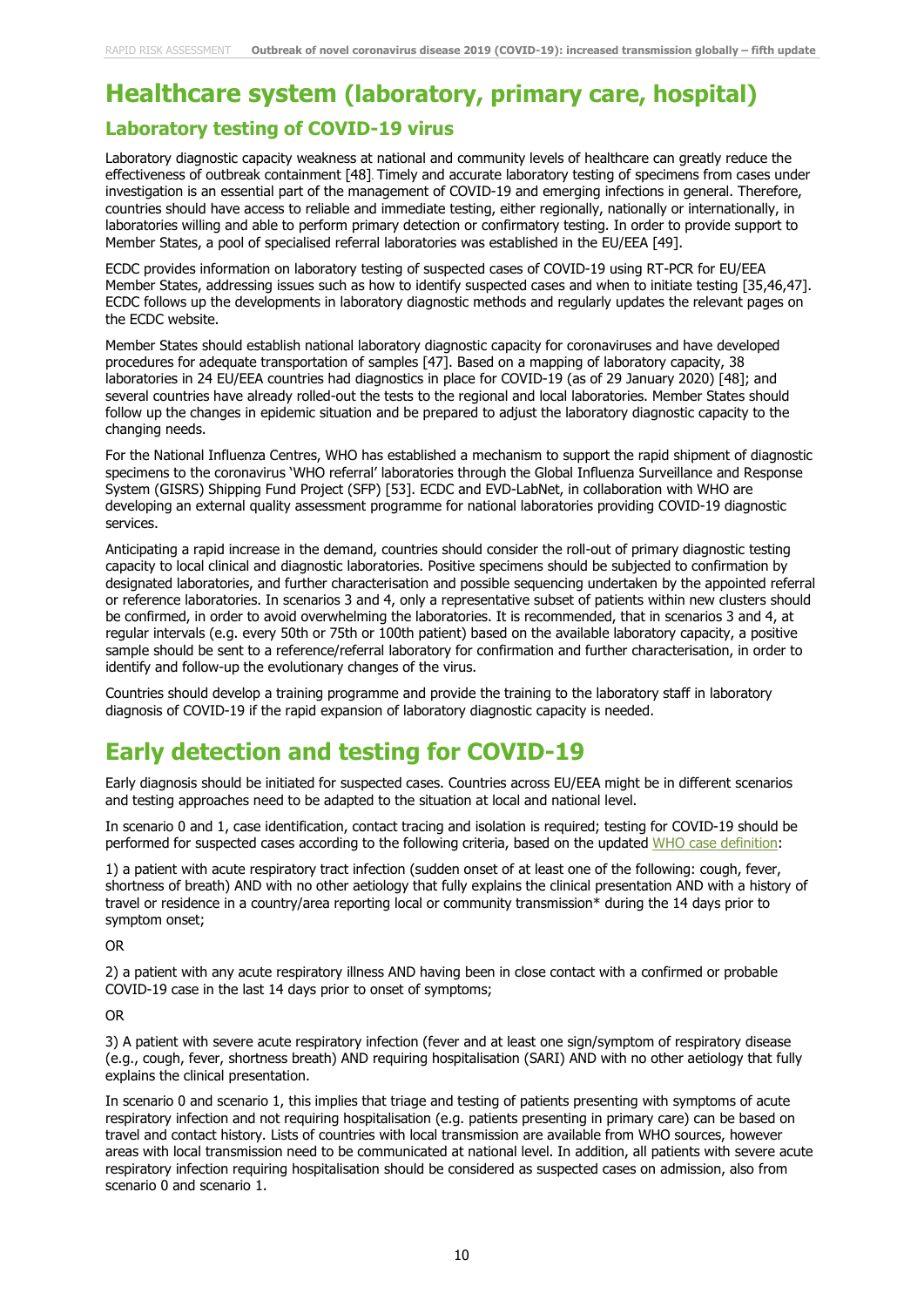# **Healthcare system (laboratory, primary care, hospital)**

### **Laboratory testing of COVID-19 virus**

Laboratory diagnostic capacity weakness at national and community levels of healthcare can greatly reduce the effectiveness of outbreak containment [48]. Timely and accurate laboratory testing of specimens from cases under investigation is an essential part of the management of COVID-19 and emerging infections in general. Therefore, countries should have access to reliable and immediate testing, either regionally, nationally or internationally, in laboratories willing and able to perform primary detection or confirmatory testing. In order to provide support to Member States, a pool of specialised referral laboratories was established in the EU/EEA [49].

ECDC provides [information on laboratory testing](https://www.ecdc.europa.eu/en/case-definition-and-european-surveillance-human-infection-novel-coronavirus-2019-ncov) of suspected cases of COVID-19 using RT-PCR for EU/EEA Member States, addressing issues such as how to identify suspected cases and when to initiate testing [35,46,47]. ECDC follows up the developments in laboratory diagnostic methods and regularly updates the relevant pages on the ECDC website.

Member States should establish national laboratory diagnostic capacity for coronaviruses and have developed procedures for adequate transportation of samples [47]. Based on a mapping of laboratory capacity, 38 laboratories in 24 EU/EEA countries had diagnostics in place for COVID-19 (as of 29 January 2020) [48]; and several countries have already rolled-out the tests to the regional and local laboratories. Member States should follow up the changes in epidemic situation and be prepared to adjust the laboratory diagnostic capacity to the changing needs.

For the National Influenza Centres, WHO has established a mechanism to support the rapid shipment of diagnostic specimens to the coronavirus 'WHO referral' laboratories through the Global Influenza Surveillance and Response System (GISRS) Shipping Fund Project (SFP) [53]. ECDC and EVD-LabNet, in collaboration with WHO are developing an external quality assessment programme for national laboratories providing COVID-19 diagnostic services.

Anticipating a rapid increase in the demand, countries should consider the roll-out of primary diagnostic testing capacity to local clinical and diagnostic laboratories. Positive specimens should be subjected to confirmation by designated laboratories, and further characterisation and possible sequencing undertaken by the appointed referral or reference laboratories. In scenarios 3 and 4, only a representative subset of patients within new clusters should be confirmed, in order to avoid overwhelming the laboratories. It is recommended, that in scenarios 3 and 4, at regular intervals (e.g. every 50th or 75th or 100th patient) based on the available laboratory capacity, a positive sample should be sent to a reference/referral laboratory for confirmation and further characterisation, in order to identify and follow-up the evolutionary changes of the virus.

Countries should develop a training programme and provide the training to the laboratory staff in laboratory diagnosis of COVID-19 if the rapid expansion of laboratory diagnostic capacity is needed.

## **Early detection and testing for COVID-19**

Early diagnosis should be initiated for suspected cases. Countries across EU/EEA might be in different scenarios and testing approaches need to be adapted to the situation at local and national level.

In scenario 0 and 1, case identification, contact tracing and isolation is required; testing for COVID-19 should be performed for suspected cases according to the following criteria, based on the updated [WHO case definition:](https://www.who.int/publications-detail/global-surveillance-for-human-infection-with-novel-coronavirus-(2019-ncov))

1) a patient with acute respiratory tract infection (sudden onset of at least one of the following: cough, fever, shortness of breath) AND with no other aetiology that fully explains the clinical presentation AND with a history of travel or residence in a country/area reporting local or community transmission\* during the 14 days prior to symptom onset;

OR

2) a patient with any acute respiratory illness AND having been in close contact with a confirmed or probable COVID-19 case in the last 14 days prior to onset of symptoms;

OR

3) A patient with severe acute respiratory infection (fever and at least one sign/symptom of respiratory disease (e.g., cough, fever, shortness breath) AND requiring hospitalisation (SARI) AND with no other aetiology that fully explains the clinical presentation.

In scenario 0 and scenario 1, this implies that triage and testing of patients presenting with symptoms of acute respiratory infection and not requiring hospitalisation (e.g. patients presenting in primary care) can be based on travel and contact history. Lists of countries with local transmission are available from WHO sources, however areas with local transmission need to be communicated at national level. In addition, all patients with severe acute respiratory infection requiring hospitalisation should be considered as suspected cases on admission, also from scenario 0 and scenario 1.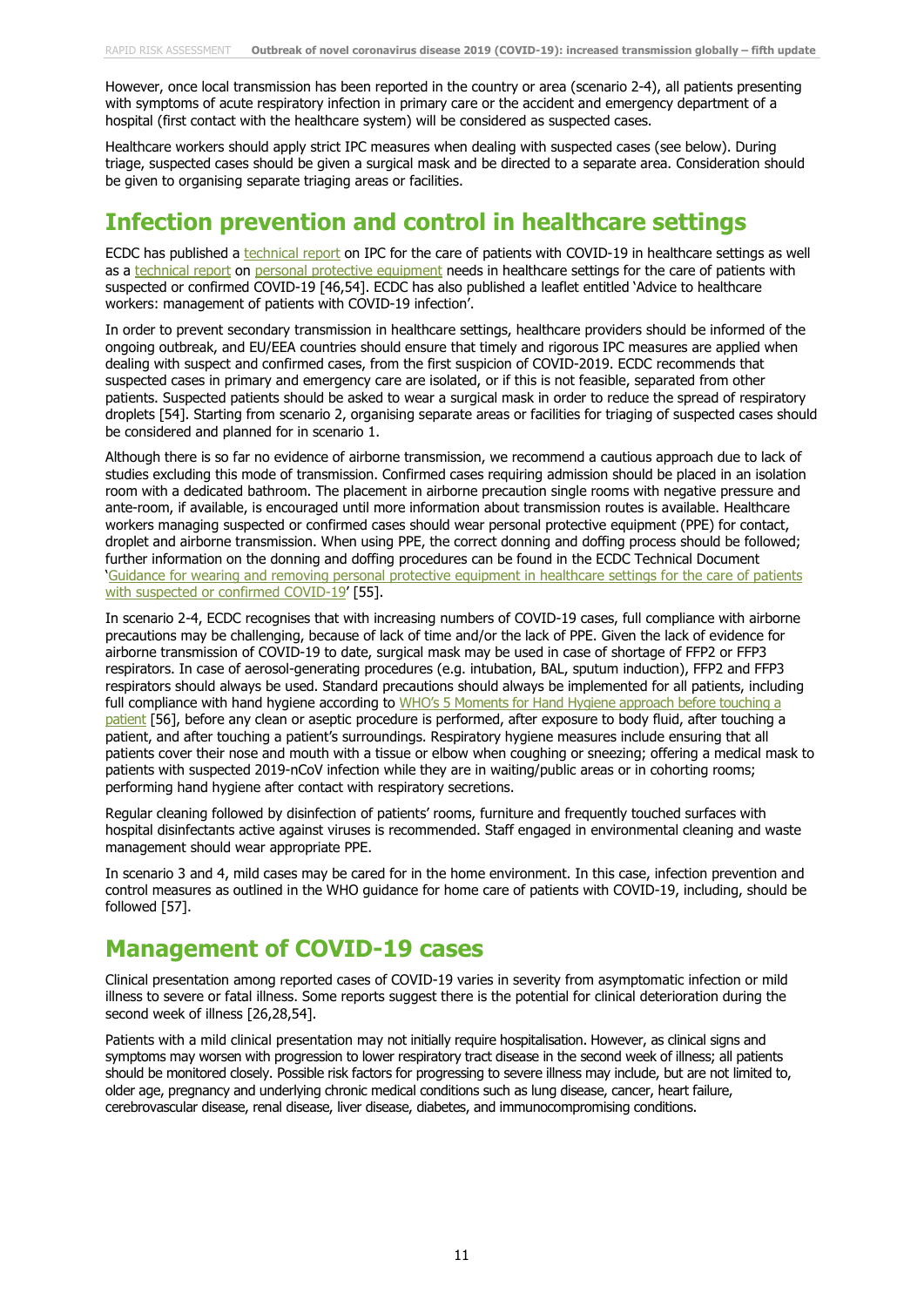However, once local transmission has been reported in the country or area (scenario 2-4), all patients presenting with symptoms of acute respiratory infection in primary care or the accident and emergency department of a hospital (first contact with the healthcare system) will be considered as suspected cases.

Healthcare workers should apply strict IPC measures when dealing with suspected cases (see below). During triage, suspected cases should be given a surgical mask and be directed to a separate area. Consideration should be given to organising separate triaging areas or facilities.

### **Infection prevention and control in healthcare settings**

ECDC has published a [technical report](https://www.ecdc.europa.eu/sites/default/files/documents/nove-coronavirus-infection-prevention-control-patients-healthcare-settings.pdf) on IPC for the care of patients with COVID-19 in healthcare settings as well as a [technical report](https://www.ecdc.europa.eu/sites/default/files/documents/novel-coronavirus-personal-protective-equipment-needs-healthcare-settings.pdf) on [personal protective equipment](https://www.ecdc.europa.eu/sites/default/files/documents/COVID-19-guidance-wearing-and-removing-personal-protective-equipment-healthcare-settings-updated.pdf) needs in healthcare settings for the care of patients with suspected or confirmed COVID-19 [46,54]. ECDC has also published a leaflet entitled 'Advice to healthcare workers: management of patients with COVID-19 infection'.

In order to prevent secondary transmission in healthcare settings, healthcare providers should be informed of the ongoing outbreak, and EU/EEA countries should ensure that timely and rigorous IPC measures are applied when dealing with suspect and confirmed cases, from the first suspicion of COVID-2019. ECDC recommends that suspected cases in primary and emergency care are isolated, or if this is not feasible, separated from other patients. Suspected patients should be asked to wear a surgical mask in order to reduce the spread of respiratory droplets [54]. Starting from scenario 2, organising separate areas or facilities for triaging of suspected cases should be considered and planned for in scenario 1.

Although there is so far no evidence of airborne transmission, we recommend a cautious approach due to lack of studies excluding this mode of transmission. Confirmed cases requiring admission should be placed in an isolation room with a dedicated bathroom. The placement in airborne precaution single rooms with negative pressure and ante-room, if available, is encouraged until more information about transmission routes is available. Healthcare workers managing suspected or confirmed cases should wear personal protective equipment (PPE) for contact, droplet and airborne transmission. When using PPE, the correct donning and doffing process should be followed; further information on the donning and doffing procedures can be found in the ECDC Technical Document ['Guidance for wearing and removing personal protective equipment in healthcare settings for the care of patients](https://www.ecdc.europa.eu/en/publications-data/guidance-wearing-and-removing-personal-protective-equipment-healthcare-settings)  [with suspected or confirmed COVID-19'](https://www.ecdc.europa.eu/en/publications-data/guidance-wearing-and-removing-personal-protective-equipment-healthcare-settings) [55].

In scenario 2-4, ECDC recognises that with increasing numbers of COVID-19 cases, full compliance with airborne precautions may be challenging, because of lack of time and/or the lack of PPE. Given the lack of evidence for airborne transmission of COVID-19 to date, surgical mask may be used in case of shortage of FFP2 or FFP3 respirators. In case of aerosol-generating procedures (e.g. intubation, BAL, sputum induction), FFP2 and FFP3 respirators should always be used. Standard precautions should always be implemented for all patients, including full compliance with hand hygiene according to WHO's 5 Moments for Hand Hygiene approach before touching a [patient](https://www.who.int/infection-prevention/campaigns/clean-hands/5moments/en/) [56], before any clean or aseptic procedure is performed, after exposure to body fluid, after touching a patient, and after touching a patient's surroundings. Respiratory hygiene measures include ensuring that all patients cover their nose and mouth with a tissue or elbow when coughing or sneezing; offering a medical mask to patients with suspected 2019-nCoV infection while they are in waiting/public areas or in cohorting rooms; performing hand hygiene after contact with respiratory secretions.

Regular cleaning followed by disinfection of patients' rooms, furniture and frequently touched surfaces with hospital disinfectants active against viruses is recommended. Staff engaged in environmental cleaning and waste management should wear appropriate PPE.

In scenario 3 and 4, mild cases may be cared for in the home environment. In this case, infection prevention and control measures as outlined in the WHO guidance for home care of patients with COVID-19, including, should be followed [57].

### **Management of COVID-19 cases**

Clinical presentation among reported cases of COVID-19 varies in severity from asymptomatic infection or mild illness to severe or fatal illness. Some reports suggest there is the potential for clinical deterioration during the second week of illness [26,28,54].

Patients with a mild clinical presentation may not initially require hospitalisation. However, as clinical signs and symptoms may worsen with progression to lower respiratory tract disease in the second week of illness; all patients should be monitored closely. Possible risk factors for progressing to severe illness may include, but are not limited to, older age, pregnancy and underlying chronic medical conditions such as lung disease, cancer, heart failure, cerebrovascular disease, renal disease, liver disease, diabetes, and immunocompromising conditions.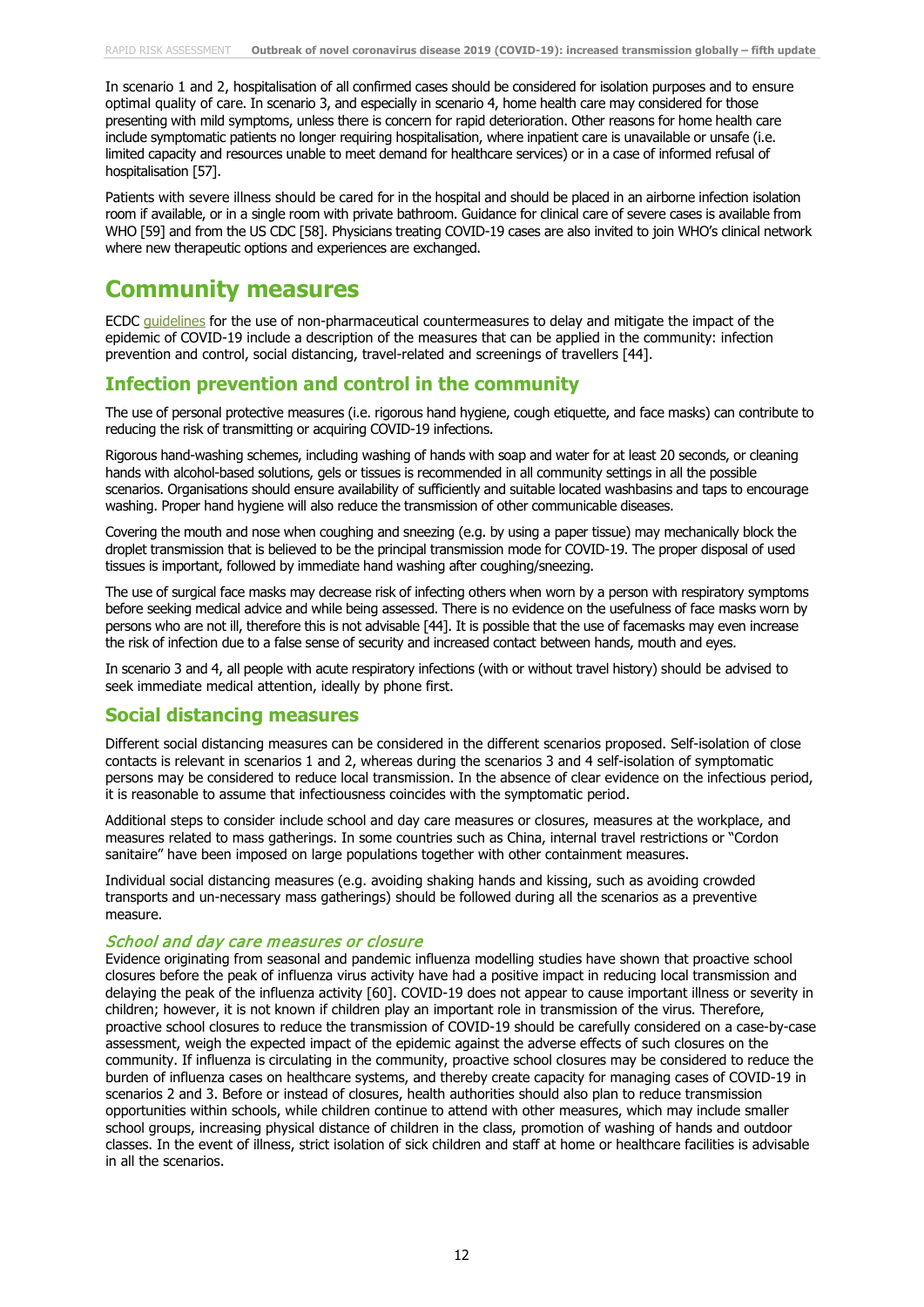In scenario 1 and 2, hospitalisation of all confirmed cases should be considered for isolation purposes and to ensure optimal quality of care. In scenario 3, and especially in scenario 4, home health care may considered for those presenting with mild symptoms, unless there is concern for rapid deterioration. Other reasons for home health care include symptomatic patients no longer requiring hospitalisation, where inpatient care is unavailable or unsafe (i.e. limited capacity and resources unable to meet demand for healthcare services) or in a case of informed refusal of hospitalisation [57].

Patients with severe illness should be cared for in the hospital and should be placed in an airborne infection isolation room if available, or in a single room with private bathroom. Guidance for clinical care of severe cases is available from WHO [59] and from the US CDC [58]. Physicians treating COVID-19 cases are also invited to join WHO's clinical network where new therapeutic options and experiences are exchanged.

### **Community measures**

ECDC quidelines for the use of non-pharmaceutical countermeasures to delay and mitigate the impact of the epidemic of COVID-19 include a description of the measures that can be applied in the community: infection prevention and control, social distancing, travel-related and screenings of travellers [44].

#### **Infection prevention and control in the community**

The use of personal protective measures (i.e. rigorous hand hygiene, cough etiquette, and face masks) can contribute to reducing the risk of transmitting or acquiring COVID-19 infections.

Rigorous hand-washing schemes, including washing of hands with soap and water for at least 20 seconds, or cleaning hands with alcohol-based solutions, gels or tissues is recommended in all community settings in all the possible scenarios. Organisations should ensure availability of sufficiently and suitable located washbasins and taps to encourage washing. Proper hand hygiene will also reduce the transmission of other communicable diseases.

Covering the mouth and nose when coughing and sneezing (e.g. by using a paper tissue) may mechanically block the droplet transmission that is believed to be the principal transmission mode for COVID-19. The proper disposal of used tissues is important, followed by immediate hand washing after coughing/sneezing.

The use of surgical face masks may decrease risk of infecting others when worn by a person with respiratory symptoms before seeking medical advice and while being assessed. There is no evidence on the usefulness of face masks worn by persons who are not ill, therefore this is not advisable [44]. It is possible that the use of facemasks may even increase the risk of infection due to a false sense of security and increased contact between hands, mouth and eyes.

In scenario 3 and 4, all people with acute respiratory infections (with or without travel history) should be advised to seek immediate medical attention, ideally by phone first.

#### **Social distancing measures**

Different social distancing measures can be considered in the different scenarios proposed. Self-isolation of close contacts is relevant in scenarios 1 and 2, whereas during the scenarios 3 and 4 self-isolation of symptomatic persons may be considered to reduce local transmission. In the absence of clear evidence on the infectious period, it is reasonable to assume that infectiousness coincides with the symptomatic period.

Additional steps to consider include school and day care measures or closures, measures at the workplace, and measures related to mass gatherings. In some countries such as China, internal travel restrictions or "Cordon sanitaire" have been imposed on large populations together with other containment measures.

Individual social distancing measures (e.g. avoiding shaking hands and kissing, such as avoiding crowded transports and un-necessary mass gatherings) should be followed during all the scenarios as a preventive measure.

#### School and day care measures or closure

Evidence originating from seasonal and pandemic influenza modelling studies have shown that proactive school closures before the peak of influenza virus activity have had a positive impact in reducing local transmission and delaying the peak of the influenza activity [60]. COVID-19 does not appear to cause important illness or severity in children; however, it is not known if children play an important role in transmission of the virus. Therefore, proactive school closures to reduce the transmission of COVID-19 should be carefully considered on a case-by-case assessment, weigh the expected impact of the epidemic against the adverse effects of such closures on the community. If influenza is circulating in the community, proactive school closures may be considered to reduce the burden of influenza cases on healthcare systems, and thereby create capacity for managing cases of COVID-19 in scenarios 2 and 3. Before or instead of closures, health authorities should also plan to reduce transmission opportunities within schools, while children continue to attend with other measures, which may include smaller school groups, increasing physical distance of children in the class, promotion of washing of hands and outdoor classes. In the event of illness, strict isolation of sick children and staff at home or healthcare facilities is advisable in all the scenarios.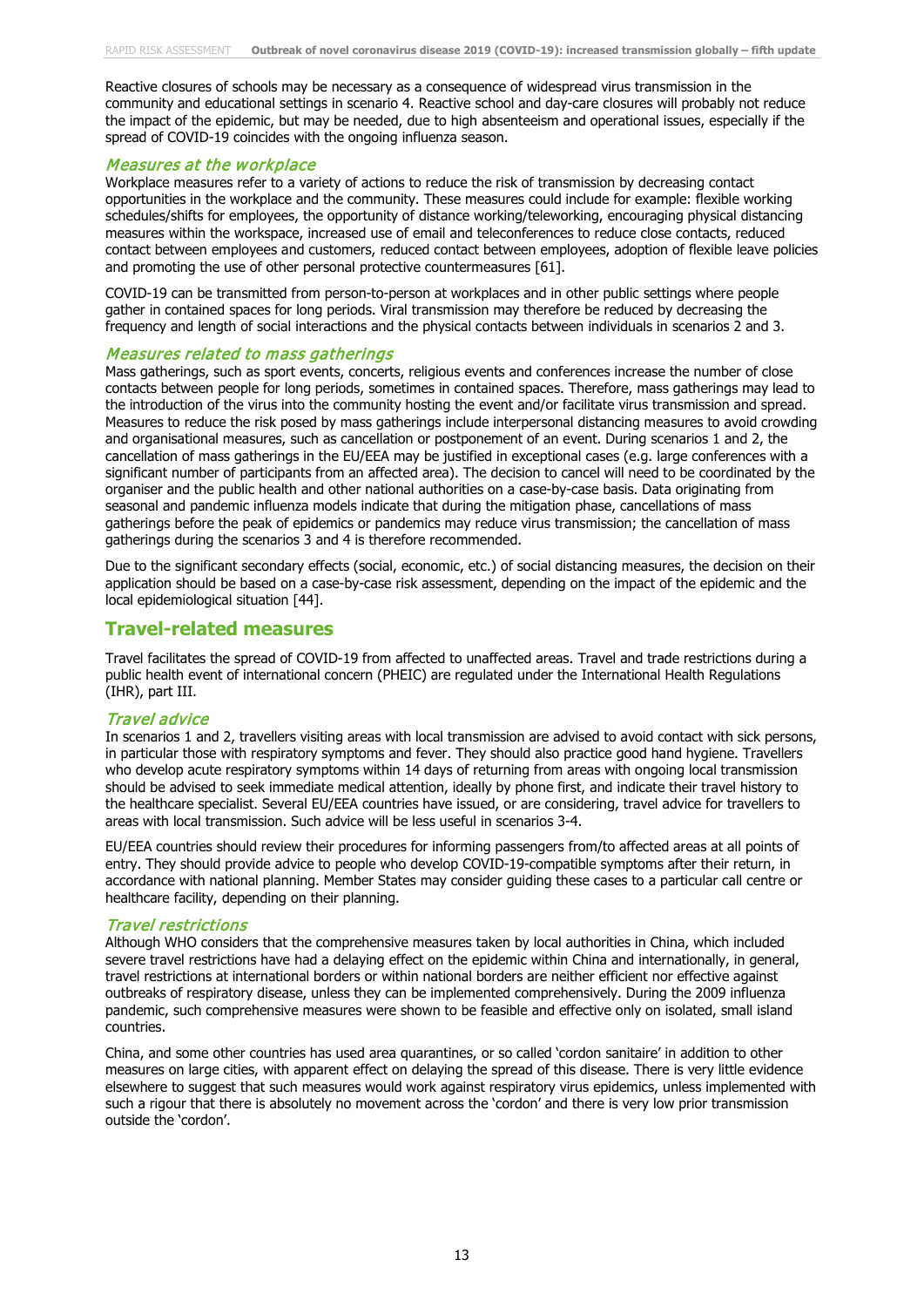Reactive closures of schools may be necessary as a consequence of widespread virus transmission in the community and educational settings in scenario 4. Reactive school and day-care closures will probably not reduce the impact of the epidemic, but may be needed, due to high absenteeism and operational issues, especially if the spread of COVID-19 coincides with the ongoing influenza season.

#### Measures at the workplace

Workplace measures refer to a variety of actions to reduce the risk of transmission by decreasing contact opportunities in the workplace and the community. These measures could include for example: flexible working schedules/shifts for employees, the opportunity of distance working/teleworking, encouraging physical distancing measures within the workspace, increased use of email and teleconferences to reduce close contacts, reduced contact between employees and customers, reduced contact between employees, adoption of flexible leave policies and promoting the use of other personal protective countermeasures [61].

COVID-19 can be transmitted from person-to-person at workplaces and in other public settings where people gather in contained spaces for long periods. Viral transmission may therefore be reduced by decreasing the frequency and length of social interactions and the physical contacts between individuals in scenarios 2 and 3.

#### Measures related to mass gatherings

Mass gatherings, such as sport events, concerts, religious events and conferences increase the number of close contacts between people for long periods, sometimes in contained spaces. Therefore, mass gatherings may lead to the introduction of the virus into the community hosting the event and/or facilitate virus transmission and spread. Measures to reduce the risk posed by mass gatherings include interpersonal distancing measures to avoid crowding and organisational measures, such as cancellation or postponement of an event. During scenarios 1 and 2, the cancellation of mass gatherings in the EU/EEA may be justified in exceptional cases (e.g. large conferences with a significant number of participants from an affected area). The decision to cancel will need to be coordinated by the organiser and the public health and other national authorities on a case-by-case basis. Data originating from seasonal and pandemic influenza models indicate that during the mitigation phase, cancellations of mass gatherings before the peak of epidemics or pandemics may reduce virus transmission; the cancellation of mass gatherings during the scenarios 3 and 4 is therefore recommended.

Due to the significant secondary effects (social, economic, etc.) of social distancing measures, the decision on their application should be based on a case-by-case risk assessment, depending on the impact of the epidemic and the local epidemiological situation [44].

#### **Travel-related measures**

Travel facilitates the spread of COVID-19 from affected to unaffected areas. Travel and trade restrictions during a public health event of international concern (PHEIC) are regulated under the International Health Regulations (IHR), part III.

#### Travel advice

In scenarios 1 and 2, travellers visiting areas with local transmission are advised to avoid contact with sick persons, in particular those with respiratory symptoms and fever. They should also practice good hand hygiene. Travellers who develop acute respiratory symptoms within 14 days of returning from areas with ongoing local transmission should be advised to seek immediate medical attention, ideally by phone first, and indicate their travel history to the healthcare specialist. Several EU/EEA countries have issued, or are considering, travel advice for travellers to areas with local transmission. Such advice will be less useful in scenarios 3-4.

EU/EEA countries should review their procedures for informing passengers from/to affected areas at all points of entry. They should provide advice to people who develop COVID-19-compatible symptoms after their return, in accordance with national planning. Member States may consider guiding these cases to a particular call centre or healthcare facility, depending on their planning.

#### Travel restrictions

Although WHO considers that the comprehensive measures taken by local authorities in China, which included severe travel restrictions have had a delaying effect on the epidemic within China and internationally, in general, travel restrictions at international borders or within national borders are neither efficient nor effective against outbreaks of respiratory disease, unless they can be implemented comprehensively. During the 2009 influenza pandemic, such comprehensive measures were shown to be feasible and effective only on isolated, small island countries.

China, and some other countries has used area quarantines, or so called 'cordon sanitaire' in addition to other measures on large cities, with apparent effect on delaying the spread of this disease. There is very little evidence elsewhere to suggest that such measures would work against respiratory virus epidemics, unless implemented with such a rigour that there is absolutely no movement across the 'cordon' and there is very low prior transmission outside the 'cordon'.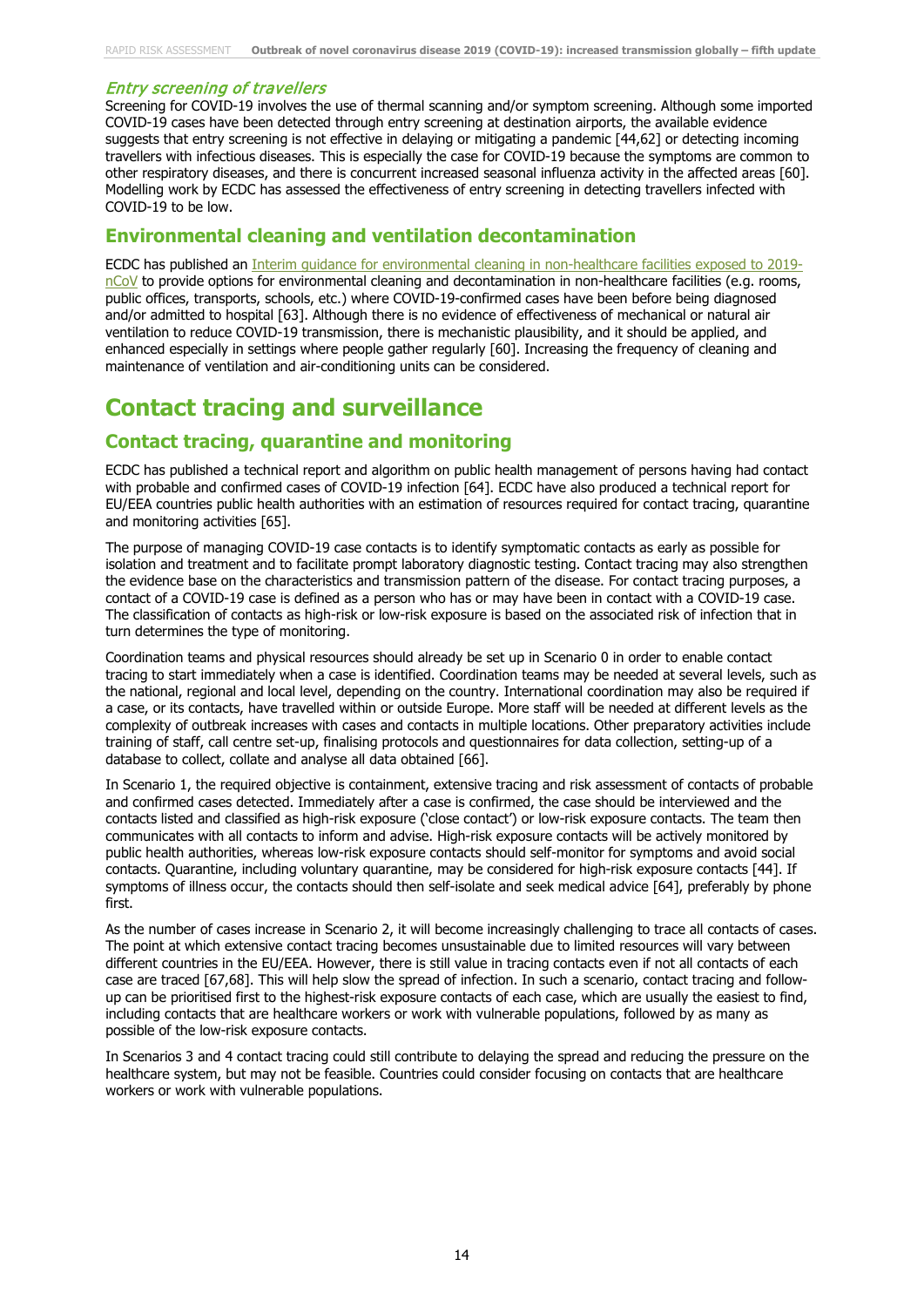#### Entry screening of travellers

Screening for COVID-19 involves the use of thermal scanning and/or symptom screening. Although some imported COVID-19 cases have been detected through entry screening at destination airports, the available evidence suggests that entry screening is not effective in delaying or mitigating a pandemic [44,62] or detecting incoming travellers with infectious diseases. This is especially the case for COVID-19 because the symptoms are common to other respiratory diseases, and there is concurrent increased seasonal influenza activity in the affected areas [60]. Modelling work by ECDC has assessed the effectiveness of entry screening in detecting travellers infected with COVID-19 to be low.

### **Environmental cleaning and ventilation decontamination**

ECDC has published an [Interim guidance for environmental cleaning in non-healthcare facilities exposed to 2019](https://www.ecdc.europa.eu/sites/default/files/documents/novel-coronavirus-guidance-environmental-cleaning-non-healthcare-facilities.pdf) [nCoV](https://www.ecdc.europa.eu/sites/default/files/documents/novel-coronavirus-guidance-environmental-cleaning-non-healthcare-facilities.pdf) to provide options for environmental cleaning and decontamination in non-healthcare facilities (e.g. rooms, public offices, transports, schools, etc.) where COVID-19-confirmed cases have been before being diagnosed and/or admitted to hospital [63]. Although there is no evidence of effectiveness of mechanical or natural air ventilation to reduce COVID-19 transmission, there is mechanistic plausibility, and it should be applied, and enhanced especially in settings where people gather regularly [60]. Increasing the frequency of cleaning and maintenance of ventilation and air-conditioning units can be considered.

## **Contact tracing and surveillance**

### **Contact tracing, quarantine and monitoring**

ECDC has published a [technical report](https://www.ecdc.europa.eu/sites/default/files/documents/Public-health-management-contact-novel-coronavirus-cases-EU_0.pdf) and [algorithm](https://www.ecdc.europa.eu/en/publications-data/algorithm-management-contacts-probable-or-confirmed-2019-ncov-cases) on public health management of persons having had contact with probable and confirmed cases of COVID-19 infection [64]. ECDC have also produced a technical report for EU/EEA countries public health authorities with an estimation of resources required for contact tracing, quarantine and monitoring activities [65].

The purpose of managing COVID-19 case contacts is to identify symptomatic contacts as early as possible for isolation and treatment and to facilitate prompt laboratory diagnostic testing. Contact tracing may also strengthen the evidence base on the characteristics and transmission pattern of the disease. For contact tracing purposes, a contact of a COVID-19 case is defined as a person who has or may have been in contact with a COVID-19 case. The classification of contacts as high-risk or low-risk exposure is based on the associated risk of infection that in turn determines the type of monitoring.

Coordination teams and physical resources should already be set up in Scenario 0 in order to enable contact tracing to start immediately when a case is identified. Coordination teams may be needed at several levels, such as the national, regional and local level, depending on the country. International coordination may also be required if a case, or its contacts, have travelled within or outside Europe. More staff will be needed at different levels as the complexity of outbreak increases with cases and contacts in multiple locations. Other preparatory activities include training of staff, call centre set-up, finalising protocols and questionnaires for data collection, setting-up of a database to collect, collate and analyse all data obtained [66].

In Scenario 1, the required objective is containment, extensive tracing and risk assessment of contacts of probable and confirmed cases detected. Immediately after a case is confirmed, the case should be interviewed and the contacts listed and classified as high-risk exposure ('close contact') or low-risk exposure contacts. The team then communicates with all contacts to inform and advise. High-risk exposure contacts will be actively monitored by public health authorities, whereas low-risk exposure contacts should self-monitor for symptoms and avoid social contacts. Quarantine, including voluntary quarantine, may be considered for high-risk exposure contacts [44]. If symptoms of illness occur, the contacts should then self-isolate and seek medical advice [64], preferably by phone first.

As the number of cases increase in Scenario 2, it will become increasingly challenging to trace all contacts of cases. The point at which extensive contact tracing becomes unsustainable due to limited resources will vary between different countries in the EU/EEA. However, there is still value in tracing contacts even if not all contacts of each case are traced [67,68]. This will help slow the spread of infection. In such a scenario, contact tracing and followup can be prioritised first to the highest-risk exposure contacts of each case, which are usually the easiest to find, including contacts that are healthcare workers or work with vulnerable populations, followed by as many as possible of the low-risk exposure contacts.

In Scenarios 3 and 4 contact tracing could still contribute to delaying the spread and reducing the pressure on the healthcare system, but may not be feasible. Countries could consider focusing on contacts that are healthcare workers or work with vulnerable populations.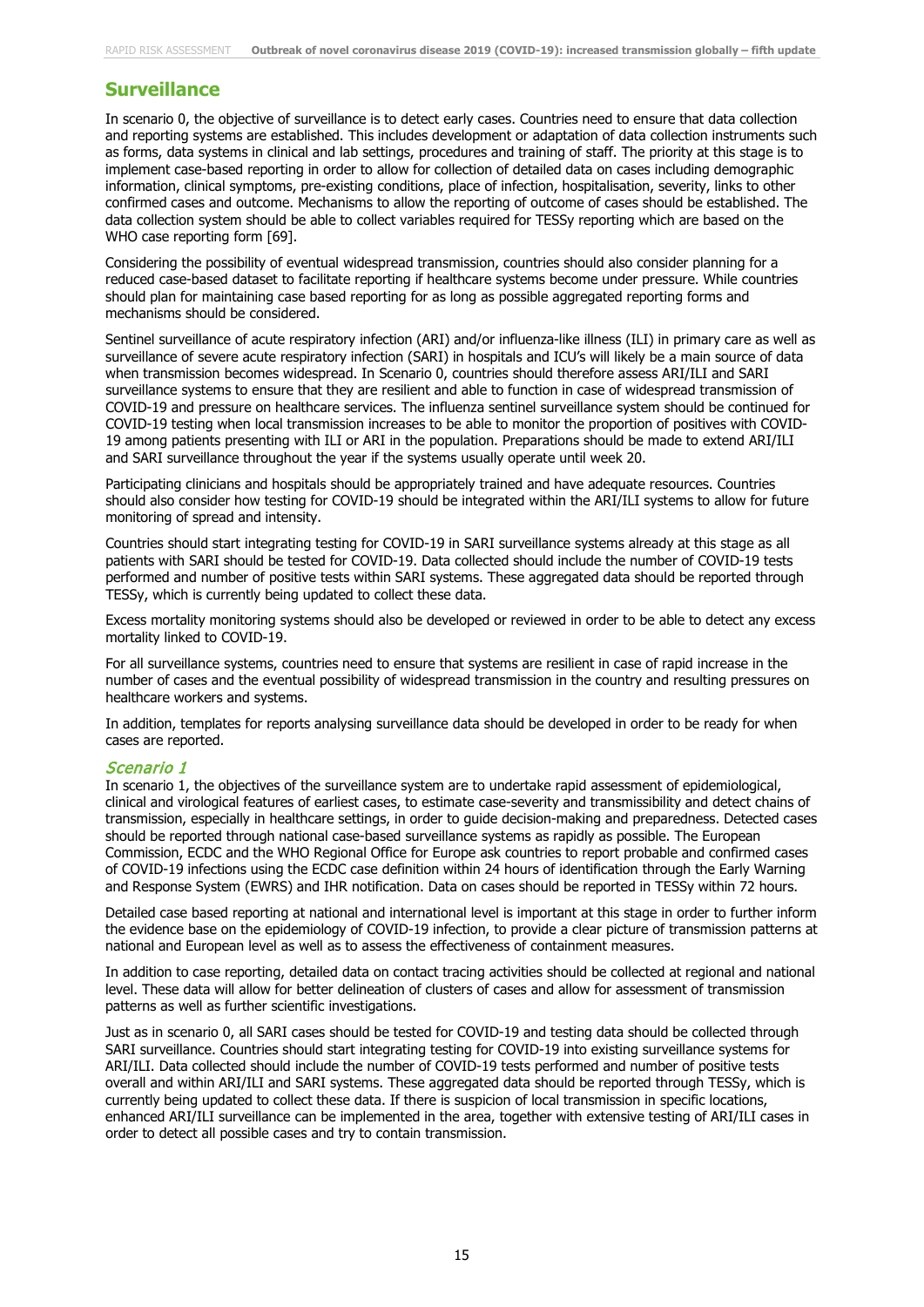### **Surveillance**

In scenario 0, the objective of surveillance is to detect early cases. Countries need to ensure that data collection and reporting systems are established. This includes development or adaptation of data collection instruments such as forms, data systems in clinical and lab settings, procedures and training of staff. The priority at this stage is to implement case-based reporting in order to allow for collection of detailed data on cases including demographic information, clinical symptoms, pre-existing conditions, place of infection, hospitalisation, severity, links to other confirmed cases and outcome. Mechanisms to allow the reporting of outcome of cases should be established. The data collection system should be able to collect variables required for TESSy reporting which are based on the WHO case reporting form [69].

Considering the possibility of eventual widespread transmission, countries should also consider planning for a reduced case-based dataset to facilitate reporting if healthcare systems become under pressure. While countries should plan for maintaining case based reporting for as long as possible aggregated reporting forms and mechanisms should be considered.

Sentinel surveillance of acute respiratory infection (ARI) and/or influenza-like illness (ILI) in primary care as well as surveillance of severe acute respiratory infection (SARI) in hospitals and ICU's will likely be a main source of data when transmission becomes widespread. In Scenario 0, countries should therefore assess ARI/ILI and SARI surveillance systems to ensure that they are resilient and able to function in case of widespread transmission of COVID-19 and pressure on healthcare services. The influenza sentinel surveillance system should be continued for COVID-19 testing when local transmission increases to be able to monitor the proportion of positives with COVID-19 among patients presenting with ILI or ARI in the population. Preparations should be made to extend ARI/ILI and SARI surveillance throughout the year if the systems usually operate until week 20.

Participating clinicians and hospitals should be appropriately trained and have adequate resources. Countries should also consider how testing for COVID-19 should be integrated within the ARI/ILI systems to allow for future monitoring of spread and intensity.

Countries should start integrating testing for COVID-19 in SARI surveillance systems already at this stage as all patients with SARI should be tested for COVID-19. Data collected should include the number of COVID-19 tests performed and number of positive tests within SARI systems. These aggregated data should be reported through TESSy, which is currently being updated to collect these data.

Excess mortality monitoring systems should also be developed or reviewed in order to be able to detect any excess mortality linked to COVID-19.

For all surveillance systems, countries need to ensure that systems are resilient in case of rapid increase in the number of cases and the eventual possibility of widespread transmission in the country and resulting pressures on healthcare workers and systems.

In addition, templates for reports analysing surveillance data should be developed in order to be ready for when cases are reported.

#### Scenario 1

In scenario 1, the objectives of the surveillance system are to undertake rapid assessment of epidemiological, clinical and virological features of earliest cases, to estimate case-severity and transmissibility and detect chains of transmission, especially in healthcare settings, in order to guide decision-making and preparedness. Detected cases should be reported through national case-based surveillance systems as rapidly as possible. The European Commission, ECDC and the WHO Regional Office for Europe ask countries to report probable and confirmed cases of COVID-19 infections using the ECDC case definition within 24 hours of identification through the Early Warning and Response System (EWRS) and IHR notification. Data on cases should be reported in TESSy within 72 hours.

Detailed case based reporting at national and international level is important at this stage in order to further inform the evidence base on the epidemiology of COVID-19 infection, to provide a clear picture of transmission patterns at national and European level as well as to assess the effectiveness of containment measures.

In addition to case reporting, detailed data on contact tracing activities should be collected at regional and national level. These data will allow for better delineation of clusters of cases and allow for assessment of transmission patterns as well as further scientific investigations.

Just as in scenario 0, all SARI cases should be tested for COVID-19 and testing data should be collected through SARI surveillance. Countries should start integrating testing for COVID-19 into existing surveillance systems for ARI/ILI. Data collected should include the number of COVID-19 tests performed and number of positive tests overall and within ARI/ILI and SARI systems. These aggregated data should be reported through TESSy, which is currently being updated to collect these data. If there is suspicion of local transmission in specific locations, enhanced ARI/ILI surveillance can be implemented in the area, together with extensive testing of ARI/ILI cases in order to detect all possible cases and try to contain transmission.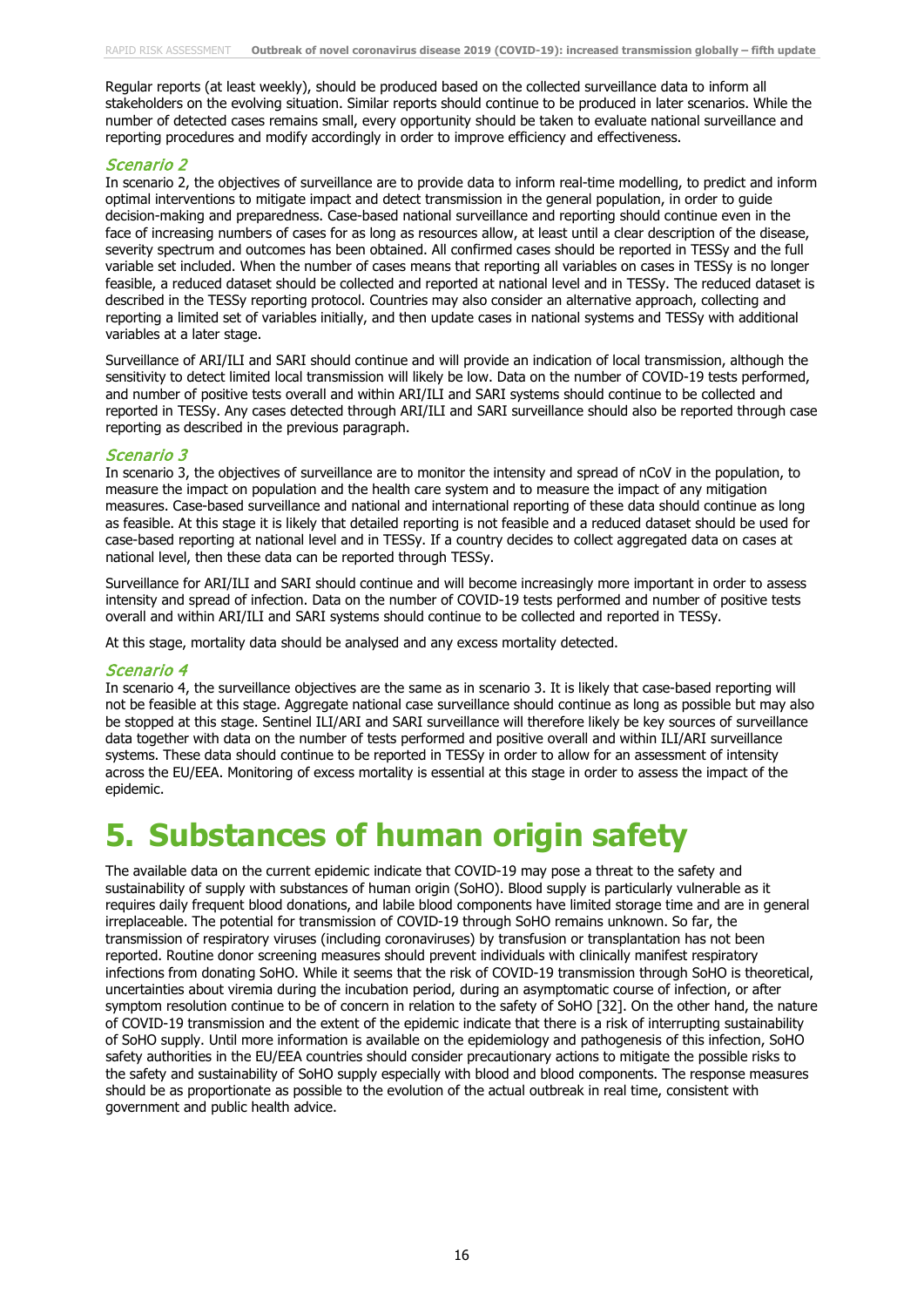Regular reports (at least weekly), should be produced based on the collected surveillance data to inform all stakeholders on the evolving situation. Similar reports should continue to be produced in later scenarios. While the number of detected cases remains small, every opportunity should be taken to evaluate national surveillance and reporting procedures and modify accordingly in order to improve efficiency and effectiveness.

#### Scenario 2

In scenario 2, the objectives of surveillance are to provide data to inform real-time modelling, to predict and inform optimal interventions to mitigate impact and detect transmission in the general population, in order to guide decision-making and preparedness. Case-based national surveillance and reporting should continue even in the face of increasing numbers of cases for as long as resources allow, at least until a clear description of the disease, severity spectrum and outcomes has been obtained. All confirmed cases should be reported in TESSy and the full variable set included. When the number of cases means that reporting all variables on cases in TESSy is no longer feasible, a reduced dataset should be collected and reported at national level and in TESSy. The reduced dataset is described in the TESSy reporting protocol. Countries may also consider an alternative approach, collecting and reporting a limited set of variables initially, and then update cases in national systems and TESSy with additional variables at a later stage.

Surveillance of ARI/ILI and SARI should continue and will provide an indication of local transmission, although the sensitivity to detect limited local transmission will likely be low. Data on the number of COVID-19 tests performed, and number of positive tests overall and within ARI/ILI and SARI systems should continue to be collected and reported in TESSy. Any cases detected through ARI/ILI and SARI surveillance should also be reported through case reporting as described in the previous paragraph.

#### Scenario 3

In scenario 3, the objectives of surveillance are to monitor the intensity and spread of nCoV in the population, to measure the impact on population and the health care system and to measure the impact of any mitigation measures. Case-based surveillance and national and international reporting of these data should continue as long as feasible. At this stage it is likely that detailed reporting is not feasible and a reduced dataset should be used for case-based reporting at national level and in TESSy. If a country decides to collect aggregated data on cases at national level, then these data can be reported through TESSy.

Surveillance for ARI/ILI and SARI should continue and will become increasingly more important in order to assess intensity and spread of infection. Data on the number of COVID-19 tests performed and number of positive tests overall and within ARI/ILI and SARI systems should continue to be collected and reported in TESSy.

At this stage, mortality data should be analysed and any excess mortality detected.

#### Scenario 4

In scenario 4, the surveillance objectives are the same as in scenario 3. It is likely that case-based reporting will not be feasible at this stage. Aggregate national case surveillance should continue as long as possible but may also be stopped at this stage. Sentinel ILI/ARI and SARI surveillance will therefore likely be key sources of surveillance data together with data on the number of tests performed and positive overall and within ILI/ARI surveillance systems. These data should continue to be reported in TESSy in order to allow for an assessment of intensity across the EU/EEA. Monitoring of excess mortality is essential at this stage in order to assess the impact of the epidemic.

# **5. Substances of human origin safety**

The available data on the current epidemic indicate that COVID-19 may pose a threat to the safety and sustainability of supply with substances of human origin (SoHO). Blood supply is particularly vulnerable as it requires daily frequent blood donations, and labile blood components have limited storage time and are in general irreplaceable. The potential for transmission of COVID-19 through SoHO remains unknown. So far, the transmission of respiratory viruses (including coronaviruses) by transfusion or transplantation has not been reported. Routine donor screening measures should prevent individuals with clinically manifest respiratory infections from donating SoHO. While it seems that the risk of COVID-19 transmission through SoHO is theoretical, uncertainties about viremia during the incubation period, during an asymptomatic course of infection, or after symptom resolution continue to be of concern in relation to the safety of SoHO [32]. On the other hand, the nature of COVID-19 transmission and the extent of the epidemic indicate that there is a risk of interrupting sustainability of SoHO supply. Until more information is available on the epidemiology and pathogenesis of this infection, SoHO safety authorities in the EU/EEA countries should consider precautionary actions to mitigate the possible risks to the safety and sustainability of SoHO supply especially with blood and blood components. The response measures should be as proportionate as possible to the evolution of the actual outbreak in real time, consistent with government and public health advice.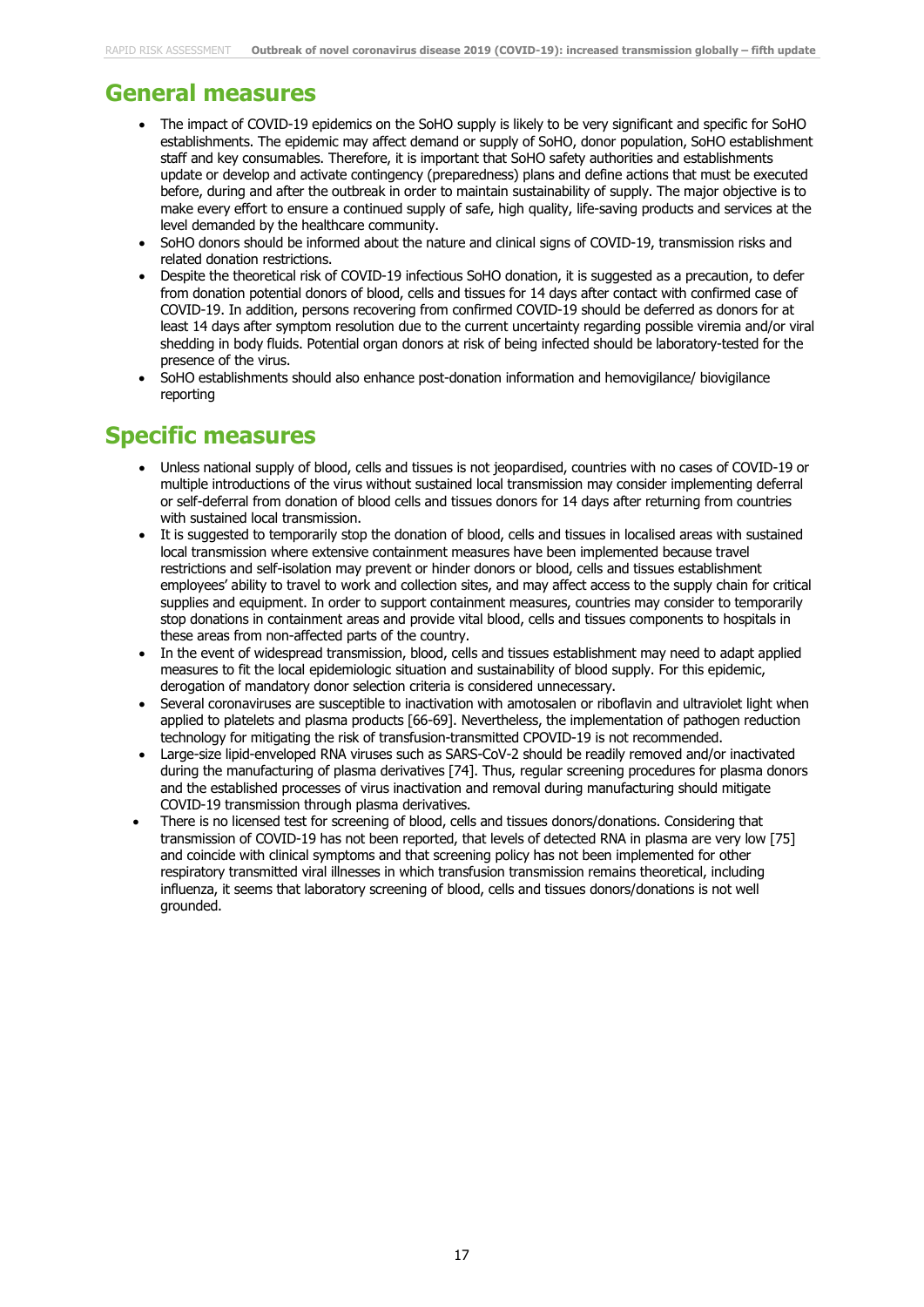## **General measures**

- The impact of COVID-19 epidemics on the SoHO supply is likely to be very significant and specific for SoHO establishments. The epidemic may affect demand or supply of SoHO, donor population, SoHO establishment staff and key consumables. Therefore, it is important that SoHO safety authorities and establishments update or develop and activate contingency (preparedness) plans and define actions that must be executed before, during and after the outbreak in order to maintain sustainability of supply. The major objective is to make every effort to ensure a continued supply of safe, high quality, life-saving products and services at the level demanded by the healthcare community.
- SoHO donors should be informed about the nature and clinical signs of COVID-19, transmission risks and related donation restrictions.
- Despite the theoretical risk of COVID-19 infectious SoHO donation, it is suggested as a precaution, to defer from donation potential donors of blood, cells and tissues for 14 days after contact with confirmed case of COVID-19. In addition, persons recovering from confirmed COVID-19 should be deferred as donors for at least 14 days after symptom resolution due to the current uncertainty regarding possible viremia and/or viral shedding in body fluids. Potential organ donors at risk of being infected should be laboratory-tested for the presence of the virus.
- SoHO establishments should also enhance post-donation information and hemovigilance/ biovigilance reporting

### **Specific measures**

- Unless national supply of blood, cells and tissues is not jeopardised, countries with no cases of COVID-19 or multiple introductions of the virus without sustained local transmission may consider implementing deferral or self-deferral from donation of blood cells and tissues donors for 14 days after returning from countries with sustained local transmission.
- It is suggested to temporarily stop the donation of blood, cells and tissues in localised areas with sustained local transmission where extensive containment measures have been implemented because travel restrictions and self-isolation may prevent or hinder donors or blood, cells and tissues establishment employees' ability to travel to work and collection sites, and may affect access to the supply chain for critical supplies and equipment. In order to support containment measures, countries may consider to temporarily stop donations in containment areas and provide vital blood, cells and tissues components to hospitals in these areas from non-affected parts of the country.
- In the event of widespread transmission, blood, cells and tissues establishment may need to adapt applied measures to fit the local epidemiologic situation and sustainability of blood supply. For this epidemic, derogation of mandatory donor selection criteria is considered unnecessary.
- Several coronaviruses are susceptible to inactivation with amotosalen or riboflavin and ultraviolet light when applied to platelets and plasma products [66-69]. Nevertheless, the implementation of pathogen reduction technology for mitigating the risk of transfusion-transmitted CPOVID-19 is not recommended.
- Large-size lipid-enveloped RNA viruses such as SARS-CoV-2 should be readily removed and/or inactivated during the manufacturing of plasma derivatives [74]. Thus, regular screening procedures for plasma donors and the established processes of virus inactivation and removal during manufacturing should mitigate COVID-19 transmission through plasma derivatives.
- There is no licensed test for screening of blood, cells and tissues donors/donations. Considering that transmission of COVID-19 has not been reported, that levels of detected RNA in plasma are very low [75] and coincide with clinical symptoms and that screening policy has not been implemented for other respiratory transmitted viral illnesses in which transfusion transmission remains theoretical, including influenza, it seems that laboratory screening of blood, cells and tissues donors/donations is not well grounded.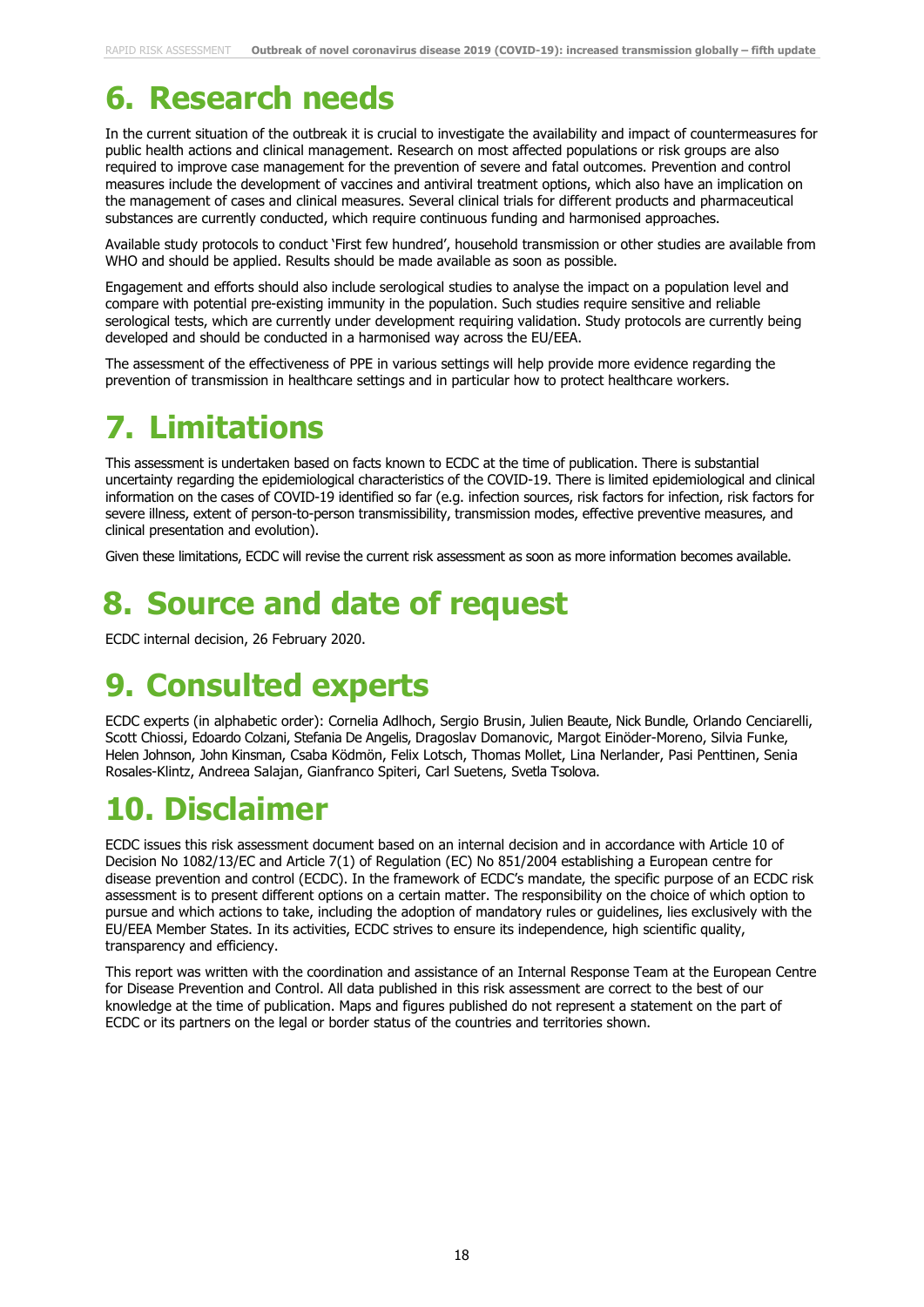# **6. Research needs**

In the current situation of the outbreak it is crucial to investigate the availability and impact of countermeasures for public health actions and clinical management. Research on most affected populations or risk groups are also required to improve case management for the prevention of severe and fatal outcomes. Prevention and control measures include the development of vaccines and antiviral treatment options, which also have an implication on the management of cases and clinical measures. Several clinical trials for different products and pharmaceutical substances are currently conducted, which require continuous funding and harmonised approaches.

Available study protocols to conduct 'First few hundred', household transmission or other studies are available from WHO and should be applied. Results should be made available as soon as possible.

Engagement and efforts should also include serological studies to analyse the impact on a population level and compare with potential pre-existing immunity in the population. Such studies require sensitive and reliable serological tests, which are currently under development requiring validation. Study protocols are currently being developed and should be conducted in a harmonised way across the EU/EEA.

The assessment of the effectiveness of PPE in various settings will help provide more evidence regarding the prevention of transmission in healthcare settings and in particular how to protect healthcare workers.

# **7. Limitations**

This assessment is undertaken based on facts known to ECDC at the time of publication. There is substantial uncertainty regarding the epidemiological characteristics of the COVID-19. There is limited epidemiological and clinical information on the cases of COVID-19 identified so far (e.g. infection sources, risk factors for infection, risk factors for severe illness, extent of person-to-person transmissibility, transmission modes, effective preventive measures, and clinical presentation and evolution).

Given these limitations, ECDC will revise the current risk assessment as soon as more information becomes available.

# **8. Source and date of request**

ECDC internal decision, 26 February 2020.

# **9. Consulted experts**

ECDC experts (in alphabetic order): Cornelia Adlhoch, Sergio Brusin, Julien Beaute, Nick Bundle, Orlando Cenciarelli, Scott Chiossi, Edoardo Colzani, Stefania De Angelis, Dragoslav Domanovic, Margot Einöder-Moreno, Silvia Funke, Helen Johnson, John Kinsman, Csaba Ködmön, Felix Lotsch, Thomas Mollet, Lina Nerlander, Pasi Penttinen, Senia Rosales-Klintz, Andreea Salajan, Gianfranco Spiteri, Carl Suetens, Svetla Tsolova.

# **10. Disclaimer**

ECDC issues this risk assessment document based on an internal decision and in accordance with Article 10 of Decision No 1082/13/EC and Article 7(1) of Regulation (EC) No 851/2004 establishing a European centre for disease prevention and control (ECDC). In the framework of ECDC's mandate, the specific purpose of an ECDC risk assessment is to present different options on a certain matter. The responsibility on the choice of which option to pursue and which actions to take, including the adoption of mandatory rules or guidelines, lies exclusively with the EU/EEA Member States. In its activities, ECDC strives to ensure its independence, high scientific quality, transparency and efficiency.

This report was written with the coordination and assistance of an Internal Response Team at the European Centre for Disease Prevention and Control. All data published in this risk assessment are correct to the best of our knowledge at the time of publication. Maps and figures published do not represent a statement on the part of ECDC or its partners on the legal or border status of the countries and territories shown.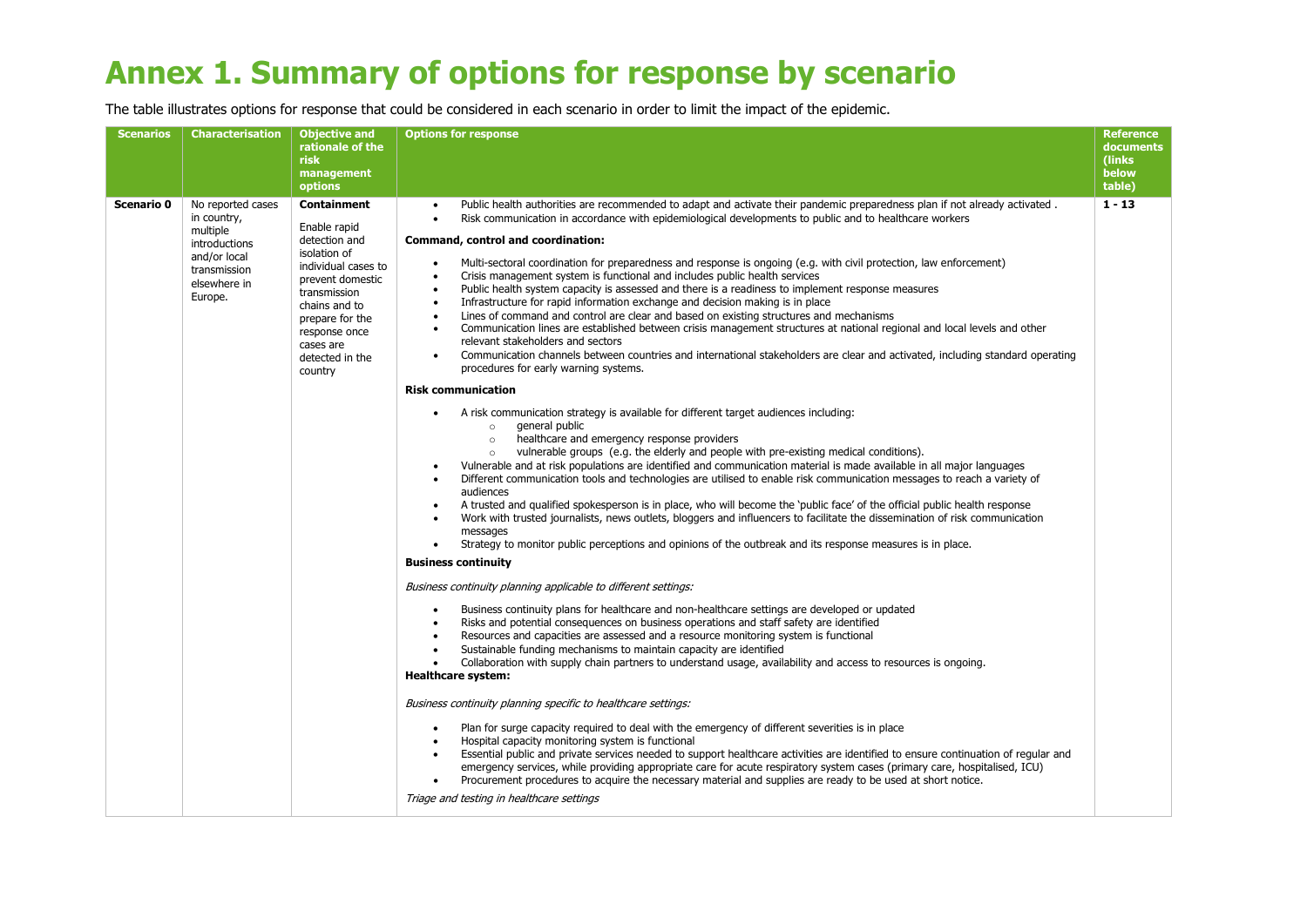# **Annex 1. Summary of options for response by scenario**

The table illustrates options for response that could be considered in each scenario in order to limit the impact of the epidemic.

| <b>Scenarios</b> | <b>Characterisation</b>                                                                                                  | <b>Objective and</b><br>rationale of the<br><b>risk</b><br>management<br><b>options</b>                                                                                                                                 | <b>Options for response</b>                                                                                                                                                                                                                                                                                                                                                                                                                                                                                                                                                                                                                                                                                                                                                                                                                                                                                                                                                                                                                                                                                                                                                                                                                                                                                                                                                                                                                                                                                                                                                                                                                                                                                                                                                                                                                                                                                                                                                                                                                                                                                                                                                                                                                                                                                                                                                                                                                                                                                                                                                                                                                                                                                                                                                                                                                                                                                                                                                                                                                                                                                                                                                                                                                                                                                                                                                                                                                                                                                                                                        | <b>Reference</b><br>documents<br>(links)<br>below<br>table) |
|------------------|--------------------------------------------------------------------------------------------------------------------------|-------------------------------------------------------------------------------------------------------------------------------------------------------------------------------------------------------------------------|--------------------------------------------------------------------------------------------------------------------------------------------------------------------------------------------------------------------------------------------------------------------------------------------------------------------------------------------------------------------------------------------------------------------------------------------------------------------------------------------------------------------------------------------------------------------------------------------------------------------------------------------------------------------------------------------------------------------------------------------------------------------------------------------------------------------------------------------------------------------------------------------------------------------------------------------------------------------------------------------------------------------------------------------------------------------------------------------------------------------------------------------------------------------------------------------------------------------------------------------------------------------------------------------------------------------------------------------------------------------------------------------------------------------------------------------------------------------------------------------------------------------------------------------------------------------------------------------------------------------------------------------------------------------------------------------------------------------------------------------------------------------------------------------------------------------------------------------------------------------------------------------------------------------------------------------------------------------------------------------------------------------------------------------------------------------------------------------------------------------------------------------------------------------------------------------------------------------------------------------------------------------------------------------------------------------------------------------------------------------------------------------------------------------------------------------------------------------------------------------------------------------------------------------------------------------------------------------------------------------------------------------------------------------------------------------------------------------------------------------------------------------------------------------------------------------------------------------------------------------------------------------------------------------------------------------------------------------------------------------------------------------------------------------------------------------------------------------------------------------------------------------------------------------------------------------------------------------------------------------------------------------------------------------------------------------------------------------------------------------------------------------------------------------------------------------------------------------------------------------------------------------------------------------------------------------|-------------------------------------------------------------|
| Scenario 0       | No reported cases<br>in country,<br>multiple<br>introductions<br>and/or local<br>transmission<br>elsewhere in<br>Europe. | Containment<br>Enable rapid<br>detection and<br>isolation of<br>individual cases to<br>prevent domestic<br>transmission<br>chains and to<br>prepare for the<br>response once<br>cases are<br>detected in the<br>country | Public health authorities are recommended to adapt and activate their pandemic preparedness plan if not already activated.<br>$\bullet$<br>Risk communication in accordance with epidemiological developments to public and to healthcare workers<br>$\bullet$<br>Command, control and coordination:<br>Multi-sectoral coordination for preparedness and response is ongoing (e.g. with civil protection, law enforcement)<br>$\bullet$<br>Crisis management system is functional and includes public health services<br>$\bullet$<br>Public health system capacity is assessed and there is a readiness to implement response measures<br>$\bullet$<br>Infrastructure for rapid information exchange and decision making is in place<br>$\bullet$<br>Lines of command and control are clear and based on existing structures and mechanisms<br>$\bullet$<br>Communication lines are established between crisis management structures at national regional and local levels and other<br>$\bullet$<br>relevant stakeholders and sectors<br>Communication channels between countries and international stakeholders are clear and activated, including standard operating<br>$\bullet$<br>procedures for early warning systems.<br><b>Risk communication</b><br>A risk communication strategy is available for different target audiences including:<br>general public<br>$\circ$<br>healthcare and emergency response providers<br>$\circ$<br>vulnerable groups (e.g. the elderly and people with pre-existing medical conditions).<br>$\circ$<br>Vulnerable and at risk populations are identified and communication material is made available in all major languages<br>Different communication tools and technologies are utilised to enable risk communication messages to reach a variety of<br>audiences<br>A trusted and qualified spokesperson is in place, who will become the 'public face' of the official public health response<br>$\bullet$<br>Work with trusted journalists, news outlets, bloggers and influencers to facilitate the dissemination of risk communication<br>$\bullet$<br>messages<br>Strategy to monitor public perceptions and opinions of the outbreak and its response measures is in place.<br>$\bullet$<br><b>Business continuity</b><br>Business continuity planning applicable to different settings:<br>Business continuity plans for healthcare and non-healthcare settings are developed or updated<br>$\bullet$<br>Risks and potential consequences on business operations and staff safety are identified<br>$\bullet$<br>Resources and capacities are assessed and a resource monitoring system is functional<br>Sustainable funding mechanisms to maintain capacity are identified<br>$\bullet$<br>Collaboration with supply chain partners to understand usage, availability and access to resources is ongoing.<br><b>Healthcare system:</b><br>Business continuity planning specific to healthcare settings:<br>Plan for surge capacity required to deal with the emergency of different severities is in place<br>$\bullet$<br>Hospital capacity monitoring system is functional<br>Essential public and private services needed to support healthcare activities are identified to ensure continuation of regular and<br>emergency services, while providing appropriate care for acute respiratory system cases (primary care, hospitalised, ICU)<br>Procurement procedures to acquire the necessary material and supplies are ready to be used at short notice.<br>Triage and testing in healthcare settings | $1 - 13$                                                    |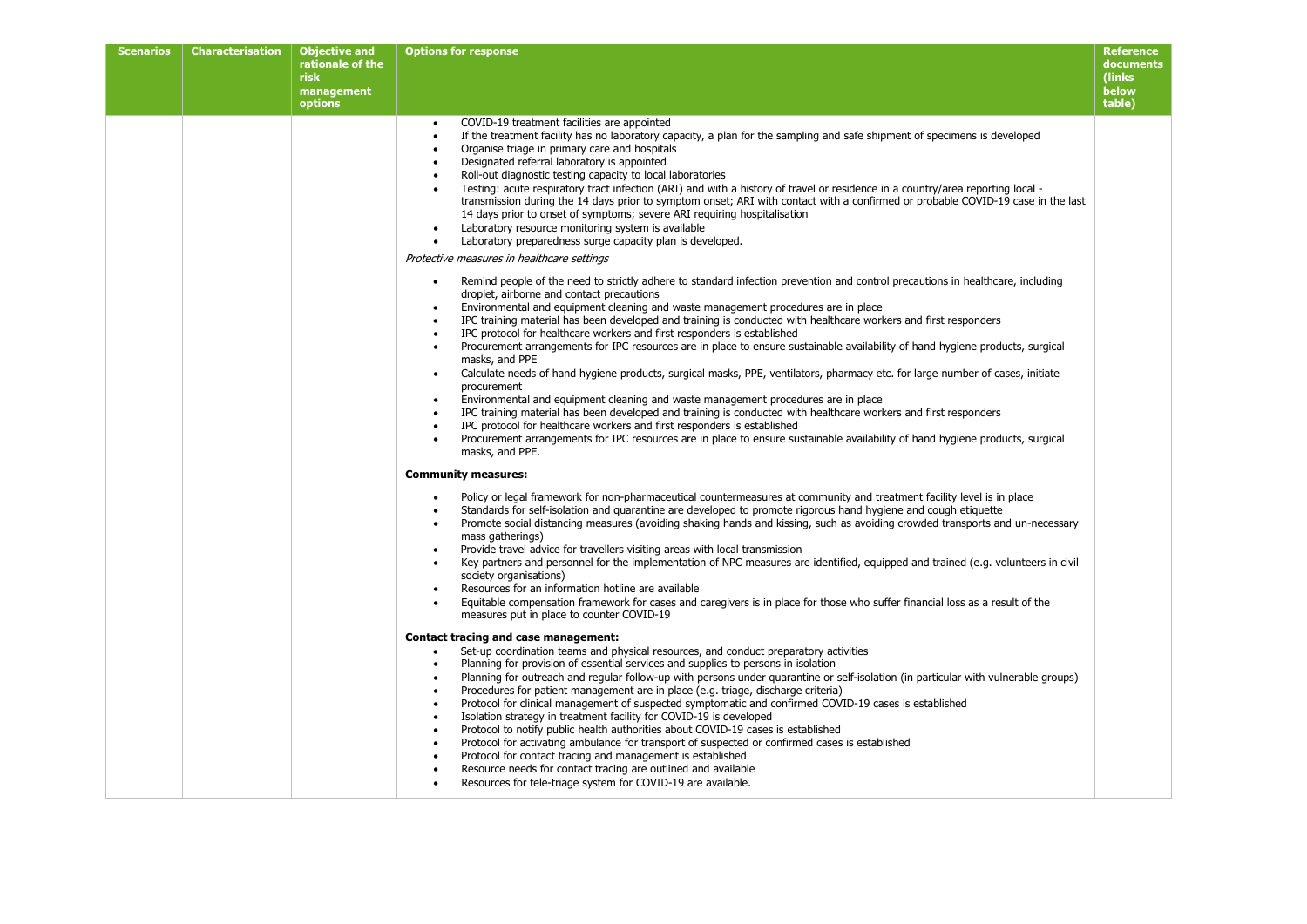| <b>Scenarios</b> | Characterisation | <b>Objective and</b><br>rationale of the<br><b>risk</b><br>management<br>options | <b>Options for response</b>                                                                                                                                                                                                                                                                                                                                                                                                                                                                                                                                                                                                                                                                                                                                                                                                                                                                                                                                                                                                                                                                                                                                                                                                                                                                                      | <b>Reference</b><br>documents<br>(links<br>below<br>table) |
|------------------|------------------|----------------------------------------------------------------------------------|------------------------------------------------------------------------------------------------------------------------------------------------------------------------------------------------------------------------------------------------------------------------------------------------------------------------------------------------------------------------------------------------------------------------------------------------------------------------------------------------------------------------------------------------------------------------------------------------------------------------------------------------------------------------------------------------------------------------------------------------------------------------------------------------------------------------------------------------------------------------------------------------------------------------------------------------------------------------------------------------------------------------------------------------------------------------------------------------------------------------------------------------------------------------------------------------------------------------------------------------------------------------------------------------------------------|------------------------------------------------------------|
|                  |                  |                                                                                  | COVID-19 treatment facilities are appointed<br>$\bullet$<br>If the treatment facility has no laboratory capacity, a plan for the sampling and safe shipment of specimens is developed<br>$\bullet$<br>Organise triage in primary care and hospitals<br>Designated referral laboratory is appointed<br>$\bullet$<br>Roll-out diagnostic testing capacity to local laboratories<br>$\bullet$<br>Testing: acute respiratory tract infection (ARI) and with a history of travel or residence in a country/area reporting local -<br>$\bullet$<br>transmission during the 14 days prior to symptom onset; ARI with contact with a confirmed or probable COVID-19 case in the last<br>14 days prior to onset of symptoms; severe ARI requiring hospitalisation<br>Laboratory resource monitoring system is available<br>$\bullet$<br>Laboratory preparedness surge capacity plan is developed.<br>Protective measures in healthcare settings                                                                                                                                                                                                                                                                                                                                                                           |                                                            |
|                  |                  |                                                                                  | Remind people of the need to strictly adhere to standard infection prevention and control precautions in healthcare, including<br>droplet, airborne and contact precautions<br>Environmental and equipment cleaning and waste management procedures are in place<br>$\bullet$<br>IPC training material has been developed and training is conducted with healthcare workers and first responders<br>$\bullet$<br>IPC protocol for healthcare workers and first responders is established<br>$\bullet$<br>Procurement arrangements for IPC resources are in place to ensure sustainable availability of hand hygiene products, surgical<br>$\bullet$<br>masks, and PPE<br>Calculate needs of hand hygiene products, surgical masks, PPE, ventilators, pharmacy etc. for large number of cases, initiate<br>$\bullet$<br>procurement<br>Environmental and equipment cleaning and waste management procedures are in place<br>$\bullet$<br>IPC training material has been developed and training is conducted with healthcare workers and first responders<br>$\bullet$<br>IPC protocol for healthcare workers and first responders is established<br>$\bullet$<br>Procurement arrangements for IPC resources are in place to ensure sustainable availability of hand hygiene products, surgical<br>masks, and PPE. |                                                            |
|                  |                  |                                                                                  | <b>Community measures:</b><br>Policy or legal framework for non-pharmaceutical countermeasures at community and treatment facility level is in place<br>Standards for self-isolation and quarantine are developed to promote rigorous hand hygiene and cough etiquette<br>$\bullet$<br>Promote social distancing measures (avoiding shaking hands and kissing, such as avoiding crowded transports and un-necessary<br>mass gatherings)<br>Provide travel advice for travellers visiting areas with local transmission<br>$\bullet$<br>Key partners and personnel for the implementation of NPC measures are identified, equipped and trained (e.g. volunteers in civil<br>$\bullet$<br>society organisations)<br>Resources for an information hotline are available<br>Equitable compensation framework for cases and caregivers is in place for those who suffer financial loss as a result of the<br>measures put in place to counter COVID-19                                                                                                                                                                                                                                                                                                                                                                |                                                            |
|                  |                  |                                                                                  | Contact tracing and case management:<br>Set-up coordination teams and physical resources, and conduct preparatory activities<br>Planning for provision of essential services and supplies to persons in isolation<br>$\bullet$<br>Planning for outreach and regular follow-up with persons under quarantine or self-isolation (in particular with vulnerable groups)<br>$\bullet$<br>Procedures for patient management are in place (e.g. triage, discharge criteria)<br>$\bullet$<br>Protocol for clinical management of suspected symptomatic and confirmed COVID-19 cases is established<br>$\bullet$<br>Isolation strategy in treatment facility for COVID-19 is developed<br>$\bullet$<br>Protocol to notify public health authorities about COVID-19 cases is established<br>$\bullet$<br>Protocol for activating ambulance for transport of suspected or confirmed cases is established<br>$\bullet$<br>Protocol for contact tracing and management is established<br>$\bullet$<br>Resource needs for contact tracing are outlined and available<br>Resources for tele-triage system for COVID-19 are available.                                                                                                                                                                                          |                                                            |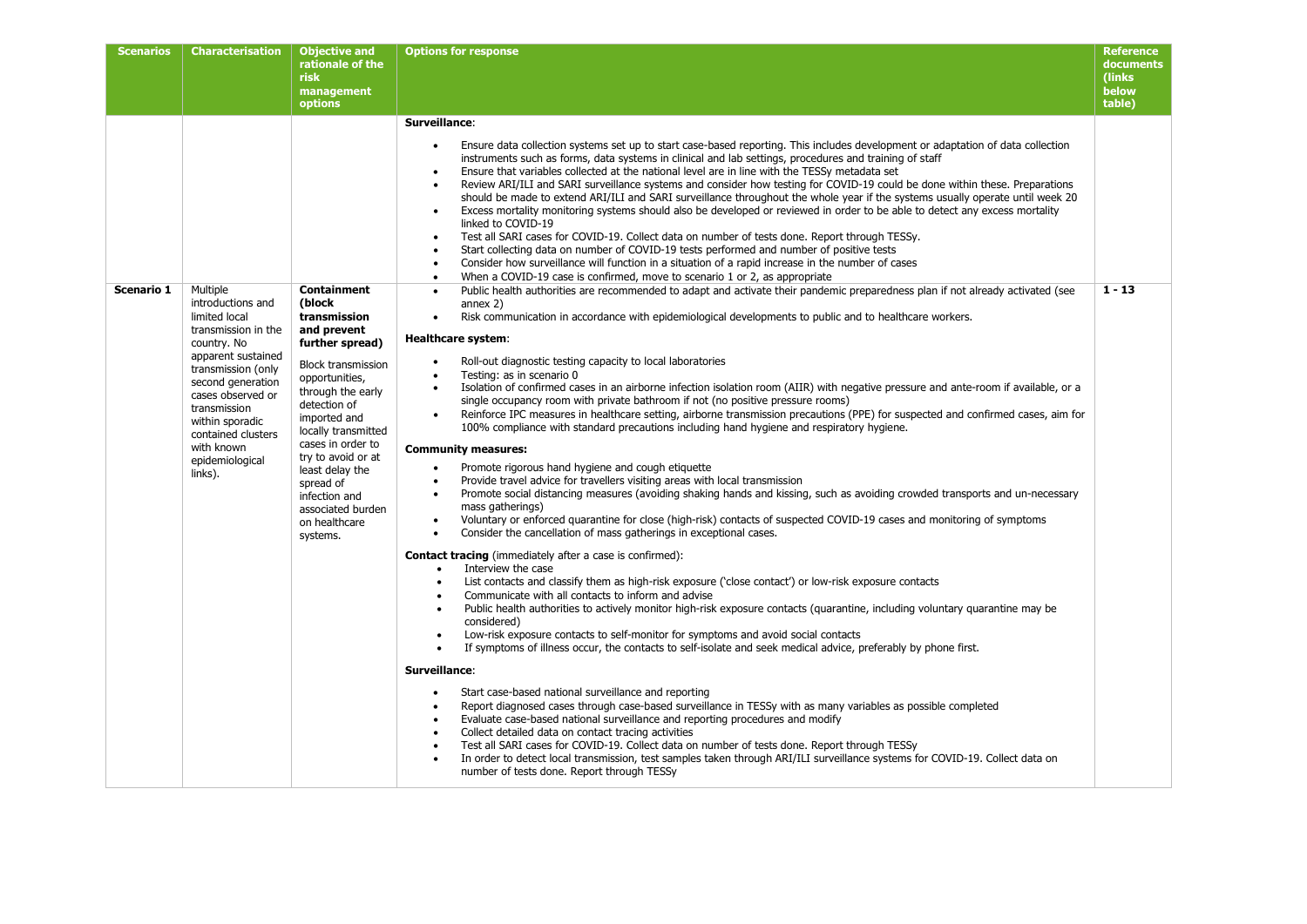| <b>Scenarios</b> | Characterisation                                                                                                                                                                                                                                                    | <b>Objective and</b><br>rationale of the<br><b>risk</b><br>management<br>options                                                                                                                                                                                                                                                  | <b>Options for response</b>                                                                                                                                                                                                                                                                                                                                                                                                                                                                                                                                                                                                                                                                                                                                                                                                                                                                                                                                                                                                                                                                                                                                                                                                                                                                                                                                                                                                                                                                                                                                                                                                                                                                                                                                                                                                                                                                                                                                                                                                                                                                                                                                                                                                                                                                                                                                                                                                                                                                                                                                                                                                                                                                                        | <b>Reference</b><br>documents<br>(links)<br>below<br>table) |
|------------------|---------------------------------------------------------------------------------------------------------------------------------------------------------------------------------------------------------------------------------------------------------------------|-----------------------------------------------------------------------------------------------------------------------------------------------------------------------------------------------------------------------------------------------------------------------------------------------------------------------------------|--------------------------------------------------------------------------------------------------------------------------------------------------------------------------------------------------------------------------------------------------------------------------------------------------------------------------------------------------------------------------------------------------------------------------------------------------------------------------------------------------------------------------------------------------------------------------------------------------------------------------------------------------------------------------------------------------------------------------------------------------------------------------------------------------------------------------------------------------------------------------------------------------------------------------------------------------------------------------------------------------------------------------------------------------------------------------------------------------------------------------------------------------------------------------------------------------------------------------------------------------------------------------------------------------------------------------------------------------------------------------------------------------------------------------------------------------------------------------------------------------------------------------------------------------------------------------------------------------------------------------------------------------------------------------------------------------------------------------------------------------------------------------------------------------------------------------------------------------------------------------------------------------------------------------------------------------------------------------------------------------------------------------------------------------------------------------------------------------------------------------------------------------------------------------------------------------------------------------------------------------------------------------------------------------------------------------------------------------------------------------------------------------------------------------------------------------------------------------------------------------------------------------------------------------------------------------------------------------------------------------------------------------------------------------------------------------------------------|-------------------------------------------------------------|
| Scenario 1       | Multiple                                                                                                                                                                                                                                                            | Containment                                                                                                                                                                                                                                                                                                                       | Surveillance:<br>Ensure data collection systems set up to start case-based reporting. This includes development or adaptation of data collection<br>$\bullet$<br>instruments such as forms, data systems in clinical and lab settings, procedures and training of staff<br>Ensure that variables collected at the national level are in line with the TESSy metadata set<br>$\bullet$<br>Review ARI/ILI and SARI surveillance systems and consider how testing for COVID-19 could be done within these. Preparations<br>$\bullet$<br>should be made to extend ARI/ILI and SARI surveillance throughout the whole year if the systems usually operate until week 20<br>Excess mortality monitoring systems should also be developed or reviewed in order to be able to detect any excess mortality<br>$\bullet$<br>linked to COVID-19<br>Test all SARI cases for COVID-19. Collect data on number of tests done. Report through TESSy.<br>Start collecting data on number of COVID-19 tests performed and number of positive tests<br>$\bullet$<br>Consider how surveillance will function in a situation of a rapid increase in the number of cases<br>$\bullet$<br>When a COVID-19 case is confirmed, move to scenario 1 or 2, as appropriate<br>$\bullet$<br>Public health authorities are recommended to adapt and activate their pandemic preparedness plan if not already activated (see<br>$\bullet$                                                                                                                                                                                                                                                                                                                                                                                                                                                                                                                                                                                                                                                                                                                                                                                                                                                                                                                                                                                                                                                                                                                                                                                                                                                                                                         | $1 - 13$                                                    |
|                  | introductions and<br>limited local<br>transmission in the<br>country. No<br>apparent sustained<br>transmission (only<br>second generation<br>cases observed or<br>transmission<br>within sporadic<br>contained clusters<br>with known<br>epidemiological<br>links). | (block<br>transmission<br>and prevent<br>further spread)<br><b>Block transmission</b><br>opportunities,<br>through the early<br>detection of<br>imported and<br>locally transmitted<br>cases in order to<br>try to avoid or at<br>least delay the<br>spread of<br>infection and<br>associated burden<br>on healthcare<br>systems. | annex $2)$<br>Risk communication in accordance with epidemiological developments to public and to healthcare workers.<br>$\bullet$<br><b>Healthcare system:</b><br>Roll-out diagnostic testing capacity to local laboratories<br>$\bullet$<br>Testing: as in scenario 0<br>$\bullet$<br>Isolation of confirmed cases in an airborne infection isolation room (AIIR) with negative pressure and ante-room if available, or a<br>$\bullet$<br>single occupancy room with private bathroom if not (no positive pressure rooms)<br>Reinforce IPC measures in healthcare setting, airborne transmission precautions (PPE) for suspected and confirmed cases, aim for<br>$\bullet$<br>100% compliance with standard precautions including hand hygiene and respiratory hygiene.<br><b>Community measures:</b><br>Promote rigorous hand hygiene and cough etiquette<br>$\bullet$<br>Provide travel advice for travellers visiting areas with local transmission<br>$\bullet$<br>Promote social distancing measures (avoiding shaking hands and kissing, such as avoiding crowded transports and un-necessary<br>$\bullet$<br>mass gatherings)<br>Voluntary or enforced quarantine for close (high-risk) contacts of suspected COVID-19 cases and monitoring of symptoms<br>$\bullet$<br>Consider the cancellation of mass gatherings in exceptional cases.<br><b>Contact tracing</b> (immediately after a case is confirmed):<br>Interview the case<br>$\bullet$<br>List contacts and classify them as high-risk exposure ('close contact') or low-risk exposure contacts<br>$\bullet$<br>Communicate with all contacts to inform and advise<br>$\bullet$<br>Public health authorities to actively monitor high-risk exposure contacts (quarantine, including voluntary quarantine may be<br>$\bullet$<br>considered)<br>Low-risk exposure contacts to self-monitor for symptoms and avoid social contacts<br>$\bullet$<br>If symptoms of illness occur, the contacts to self-isolate and seek medical advice, preferably by phone first.<br>$\bullet$<br>Surveillance:<br>Start case-based national surveillance and reporting<br>Report diagnosed cases through case-based surveillance in TESSy with as many variables as possible completed<br>$\bullet$<br>Evaluate case-based national surveillance and reporting procedures and modify<br>$\bullet$<br>Collect detailed data on contact tracing activities<br>$\bullet$<br>Test all SARI cases for COVID-19. Collect data on number of tests done. Report through TESSy<br>$\bullet$<br>In order to detect local transmission, test samples taken through ARI/ILI surveillance systems for COVID-19. Collect data on<br>number of tests done. Report through TESSy |                                                             |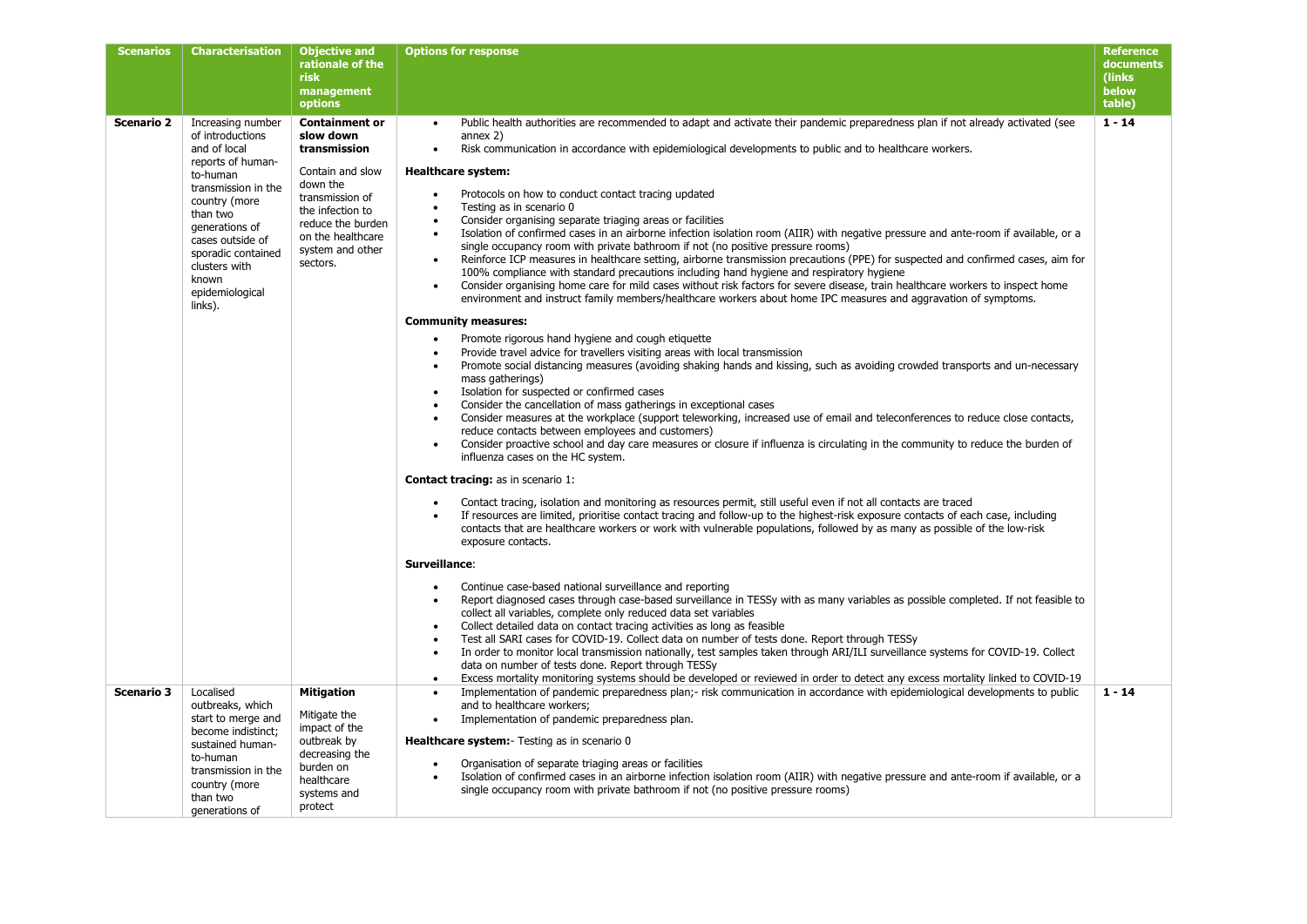| <b>Scenarios</b>  | Characterisation                                                                                                                                                                 | <b>Objective and</b>                                                                                                                          | <b>Options for response</b>                                                                                                                                                                                                                                                                                                                                                                                                                                                                                                                                                                                                                                                                                                                                                                                                                                                                                                                                            | <b>Reference</b> |
|-------------------|----------------------------------------------------------------------------------------------------------------------------------------------------------------------------------|-----------------------------------------------------------------------------------------------------------------------------------------------|------------------------------------------------------------------------------------------------------------------------------------------------------------------------------------------------------------------------------------------------------------------------------------------------------------------------------------------------------------------------------------------------------------------------------------------------------------------------------------------------------------------------------------------------------------------------------------------------------------------------------------------------------------------------------------------------------------------------------------------------------------------------------------------------------------------------------------------------------------------------------------------------------------------------------------------------------------------------|------------------|
|                   |                                                                                                                                                                                  | rationale of the                                                                                                                              |                                                                                                                                                                                                                                                                                                                                                                                                                                                                                                                                                                                                                                                                                                                                                                                                                                                                                                                                                                        | documents        |
|                   |                                                                                                                                                                                  | <b>risk</b>                                                                                                                                   |                                                                                                                                                                                                                                                                                                                                                                                                                                                                                                                                                                                                                                                                                                                                                                                                                                                                                                                                                                        | (links)<br>below |
|                   |                                                                                                                                                                                  | management<br>options                                                                                                                         |                                                                                                                                                                                                                                                                                                                                                                                                                                                                                                                                                                                                                                                                                                                                                                                                                                                                                                                                                                        | table)           |
| <b>Scenario 2</b> | Increasing number<br>of introductions<br>and of local<br>reports of human-                                                                                                       | <b>Containment or</b><br>slow down<br>transmission                                                                                            | Public health authorities are recommended to adapt and activate their pandemic preparedness plan if not already activated (see<br>$\bullet$<br>annex $2$ )<br>Risk communication in accordance with epidemiological developments to public and to healthcare workers.<br>$\bullet$                                                                                                                                                                                                                                                                                                                                                                                                                                                                                                                                                                                                                                                                                     | $1 - 14$         |
|                   | to-human<br>transmission in the<br>country (more<br>than two<br>generations of<br>cases outside of<br>sporadic contained<br>clusters with<br>known<br>epidemiological<br>links). | Contain and slow<br>down the<br>transmission of<br>the infection to<br>reduce the burden<br>on the healthcare<br>system and other<br>sectors. | <b>Healthcare system:</b><br>Protocols on how to conduct contact tracing updated<br>$\bullet$<br>Testing as in scenario 0<br>$\bullet$<br>Consider organising separate triaging areas or facilities<br>$\bullet$<br>Isolation of confirmed cases in an airborne infection isolation room (AIIR) with negative pressure and ante-room if available, or a<br>$\bullet$<br>single occupancy room with private bathroom if not (no positive pressure rooms)<br>Reinforce ICP measures in healthcare setting, airborne transmission precautions (PPE) for suspected and confirmed cases, aim for<br>$\bullet$<br>100% compliance with standard precautions including hand hygiene and respiratory hygiene<br>Consider organising home care for mild cases without risk factors for severe disease, train healthcare workers to inspect home<br>$\bullet$<br>environment and instruct family members/healthcare workers about home IPC measures and aggravation of symptoms. |                  |
|                   |                                                                                                                                                                                  |                                                                                                                                               | <b>Community measures:</b><br>Promote rigorous hand hygiene and cough etiquette<br>$\bullet$<br>Provide travel advice for travellers visiting areas with local transmission<br>$\bullet$<br>Promote social distancing measures (avoiding shaking hands and kissing, such as avoiding crowded transports and un-necessary<br>$\bullet$<br>mass gatherings)<br>Isolation for suspected or confirmed cases<br>$\bullet$<br>Consider the cancellation of mass gatherings in exceptional cases<br>$\bullet$<br>Consider measures at the workplace (support teleworking, increased use of email and teleconferences to reduce close contacts,<br>$\bullet$<br>reduce contacts between employees and customers)<br>Consider proactive school and day care measures or closure if influenza is circulating in the community to reduce the burden of<br>$\bullet$<br>influenza cases on the HC system.                                                                          |                  |
|                   |                                                                                                                                                                                  |                                                                                                                                               | <b>Contact tracing:</b> as in scenario 1:<br>Contact tracing, isolation and monitoring as resources permit, still useful even if not all contacts are traced<br>$\bullet$<br>If resources are limited, prioritise contact tracing and follow-up to the highest-risk exposure contacts of each case, including<br>$\bullet$<br>contacts that are healthcare workers or work with vulnerable populations, followed by as many as possible of the low-risk<br>exposure contacts.<br>Surveillance:<br>Continue case-based national surveillance and reporting<br>$\bullet$                                                                                                                                                                                                                                                                                                                                                                                                 |                  |
|                   |                                                                                                                                                                                  |                                                                                                                                               | Report diagnosed cases through case-based surveillance in TESSy with as many variables as possible completed. If not feasible to<br>$\bullet$<br>collect all variables, complete only reduced data set variables<br>Collect detailed data on contact tracing activities as long as feasible<br>$\bullet$<br>Test all SARI cases for COVID-19. Collect data on number of tests done. Report through TESSy<br>$\bullet$<br>In order to monitor local transmission nationally, test samples taken through ARI/ILI surveillance systems for COVID-19. Collect<br>$\bullet$<br>data on number of tests done. Report through TESSy<br>Excess mortality monitoring systems should be developed or reviewed in order to detect any excess mortality linked to COVID-19<br>$\bullet$                                                                                                                                                                                            |                  |
| <b>Scenario 3</b> | Localised<br>outbreaks, which<br>start to merge and<br>become indistinct;<br>sustained human-<br>to-human<br>transmission in the<br>country (more<br>than two<br>generations of  | <b>Mitigation</b><br>Mitigate the<br>impact of the<br>outbreak by<br>decreasing the<br>burden on<br>healthcare<br>systems and<br>protect      | Implementation of pandemic preparedness plan;- risk communication in accordance with epidemiological developments to public<br>$\bullet$<br>and to healthcare workers;<br>Implementation of pandemic preparedness plan.<br>$\bullet$<br>Healthcare system: Testing as in scenario 0<br>Organisation of separate triaging areas or facilities<br>$\bullet$<br>Isolation of confirmed cases in an airborne infection isolation room (AIIR) with negative pressure and ante-room if available, or a<br>$\bullet$<br>single occupancy room with private bathroom if not (no positive pressure rooms)                                                                                                                                                                                                                                                                                                                                                                       | $1 - 14$         |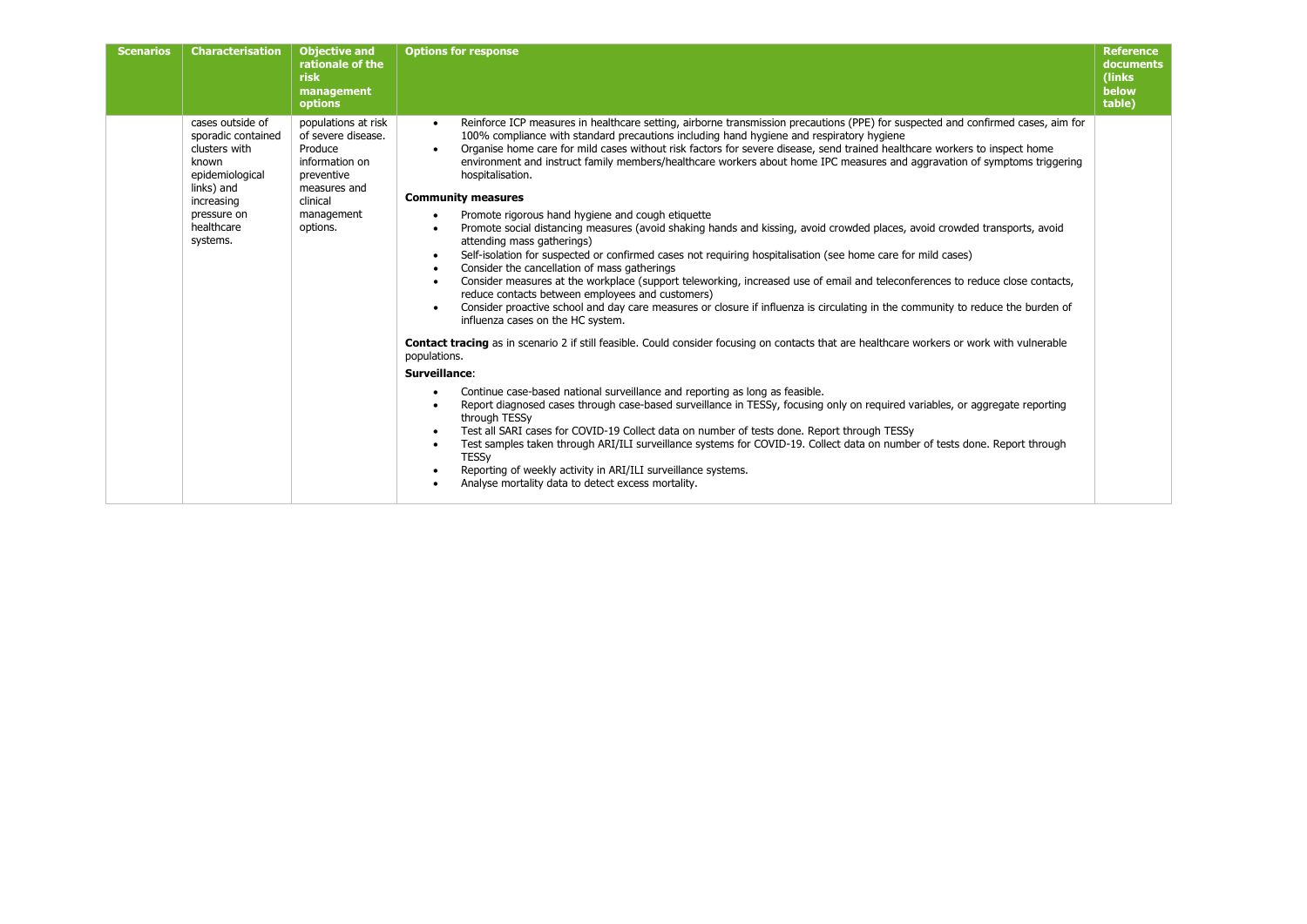| <b>Scenarios</b><br><b>Characterisation</b>                                                                                                              | <b>Objective and</b><br>rationale of the<br><b>risk</b><br>management<br>options                                                           | <b>Options for response</b>                                                                                                                                                                                                                                                                                                                                                                                                                                                                                                                                                                                                                                                                                                                                                                                                                                                                                                                                                                                                                                                                                                                                                                                                                                                                                                                                                                                                                                                                                                                                                                                                                                                                                                                                                                                                                                                                                                                                                                                                                                                              | <b>Reference</b><br>documents<br>(links)<br>below<br>table) |
|----------------------------------------------------------------------------------------------------------------------------------------------------------|--------------------------------------------------------------------------------------------------------------------------------------------|------------------------------------------------------------------------------------------------------------------------------------------------------------------------------------------------------------------------------------------------------------------------------------------------------------------------------------------------------------------------------------------------------------------------------------------------------------------------------------------------------------------------------------------------------------------------------------------------------------------------------------------------------------------------------------------------------------------------------------------------------------------------------------------------------------------------------------------------------------------------------------------------------------------------------------------------------------------------------------------------------------------------------------------------------------------------------------------------------------------------------------------------------------------------------------------------------------------------------------------------------------------------------------------------------------------------------------------------------------------------------------------------------------------------------------------------------------------------------------------------------------------------------------------------------------------------------------------------------------------------------------------------------------------------------------------------------------------------------------------------------------------------------------------------------------------------------------------------------------------------------------------------------------------------------------------------------------------------------------------------------------------------------------------------------------------------------------------|-------------------------------------------------------------|
| cases outside of<br>sporadic contained<br>clusters with<br>known<br>epidemiological<br>links) and<br>increasing<br>pressure on<br>healthcare<br>systems. | populations at risk<br>of severe disease.<br>Produce<br>information on<br>preventive<br>measures and<br>clinical<br>management<br>options. | Reinforce ICP measures in healthcare setting, airborne transmission precautions (PPE) for suspected and confirmed cases, aim for<br>$\bullet$<br>100% compliance with standard precautions including hand hygiene and respiratory hygiene<br>Organise home care for mild cases without risk factors for severe disease, send trained healthcare workers to inspect home<br>environment and instruct family members/healthcare workers about home IPC measures and aggravation of symptoms triggering<br>hospitalisation.<br><b>Community measures</b><br>Promote rigorous hand hygiene and cough etiquette<br>Promote social distancing measures (avoid shaking hands and kissing, avoid crowded places, avoid crowded transports, avoid<br>attending mass gatherings)<br>Self-isolation for suspected or confirmed cases not requiring hospitalisation (see home care for mild cases)<br>Consider the cancellation of mass gatherings<br>Consider measures at the workplace (support teleworking, increased use of email and teleconferences to reduce close contacts,<br>reduce contacts between employees and customers)<br>Consider proactive school and day care measures or closure if influenza is circulating in the community to reduce the burden of<br>influenza cases on the HC system.<br>Contact tracing as in scenario 2 if still feasible. Could consider focusing on contacts that are healthcare workers or work with vulnerable<br>populations.<br>Surveillance:<br>Continue case-based national surveillance and reporting as long as feasible.<br>Report diagnosed cases through case-based surveillance in TESSy, focusing only on required variables, or aggregate reporting<br>through TESSy<br>Test all SARI cases for COVID-19 Collect data on number of tests done. Report through TESSy<br>Test samples taken through ARI/ILI surveillance systems for COVID-19. Collect data on number of tests done. Report through<br><b>TESSy</b><br>Reporting of weekly activity in ARI/ILI surveillance systems.<br>Analyse mortality data to detect excess mortality. |                                                             |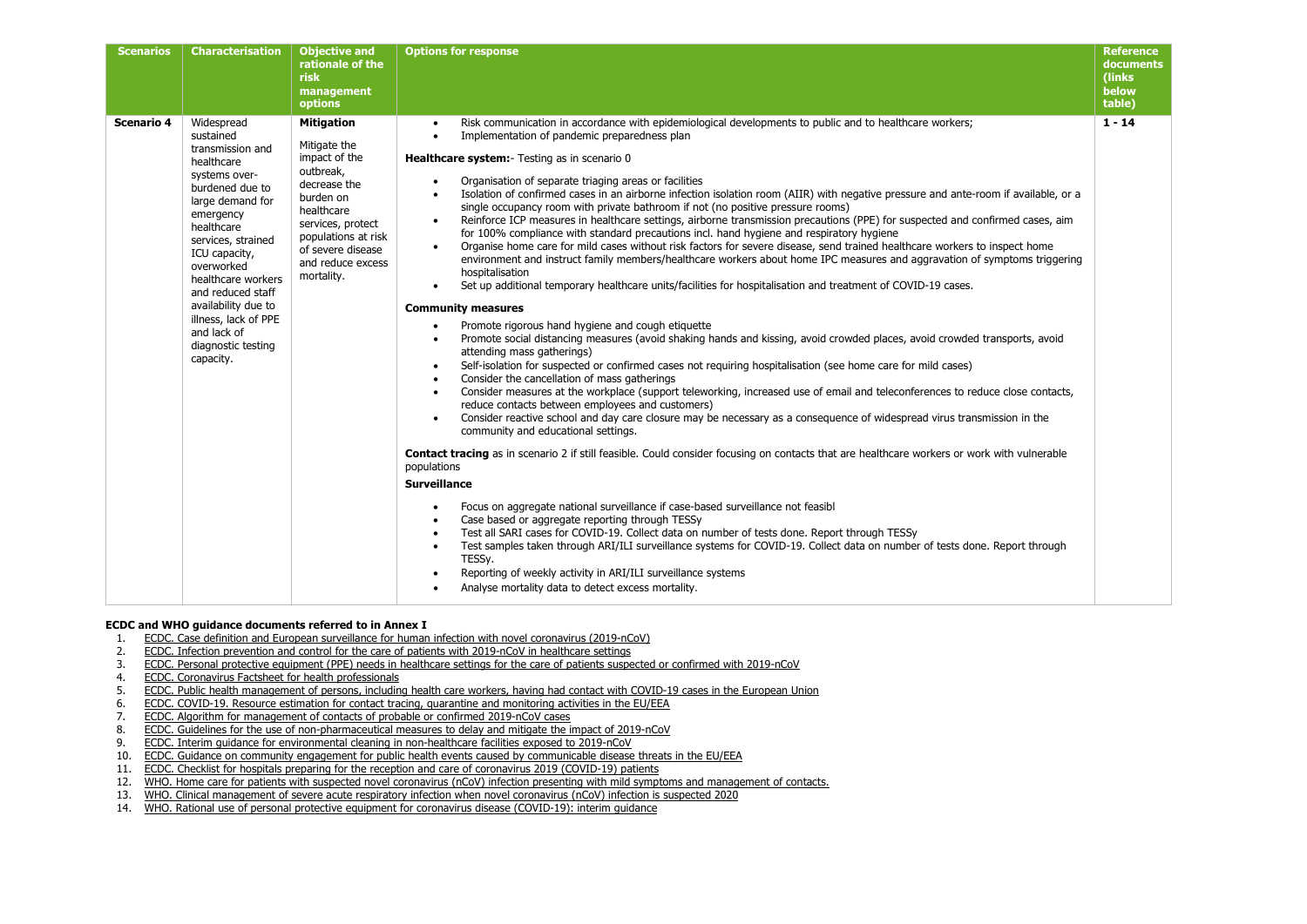| <b>Scenarios</b> | <b>Characterisation</b>                                                                                                                                                                                                                                                                                                                       | <b>Objective and</b><br>rationale of the<br><b>risk</b><br>management<br>options                                                                                                                               | <b>Options for response</b>                                                                                                                                                                                                                                                                                                                                                                                                                                                                                                                                                                                                                                                                                                                                                                                                                                                                                                                                                                                                                                                                                                                                                                                                                                                                                                                                                                                                                                                                                                                                                                                                                                                                                                                                                                                                                                                                                                                                                                                                                                                                                                                                                                                                                                                                                                                                                                                                                                                                                                                                                                                                                                                                                       | <b>Reference</b><br>documents<br>(links)<br>below<br>table) |
|------------------|-----------------------------------------------------------------------------------------------------------------------------------------------------------------------------------------------------------------------------------------------------------------------------------------------------------------------------------------------|----------------------------------------------------------------------------------------------------------------------------------------------------------------------------------------------------------------|-------------------------------------------------------------------------------------------------------------------------------------------------------------------------------------------------------------------------------------------------------------------------------------------------------------------------------------------------------------------------------------------------------------------------------------------------------------------------------------------------------------------------------------------------------------------------------------------------------------------------------------------------------------------------------------------------------------------------------------------------------------------------------------------------------------------------------------------------------------------------------------------------------------------------------------------------------------------------------------------------------------------------------------------------------------------------------------------------------------------------------------------------------------------------------------------------------------------------------------------------------------------------------------------------------------------------------------------------------------------------------------------------------------------------------------------------------------------------------------------------------------------------------------------------------------------------------------------------------------------------------------------------------------------------------------------------------------------------------------------------------------------------------------------------------------------------------------------------------------------------------------------------------------------------------------------------------------------------------------------------------------------------------------------------------------------------------------------------------------------------------------------------------------------------------------------------------------------------------------------------------------------------------------------------------------------------------------------------------------------------------------------------------------------------------------------------------------------------------------------------------------------------------------------------------------------------------------------------------------------------------------------------------------------------------------------------------------------|-------------------------------------------------------------|
| Scenario 4       | Widespread<br>sustained<br>transmission and<br>healthcare<br>systems over-<br>burdened due to<br>large demand for<br>emergency<br>healthcare<br>services, strained<br>ICU capacity,<br>overworked<br>healthcare workers<br>and reduced staff<br>availability due to<br>illness, lack of PPE<br>and lack of<br>diagnostic testing<br>capacity. | <b>Mitigation</b><br>Mitigate the<br>impact of the<br>outbreak,<br>decrease the<br>burden on<br>healthcare<br>services, protect<br>populations at risk<br>of severe disease<br>and reduce excess<br>mortality. | Risk communication in accordance with epidemiological developments to public and to healthcare workers;<br>$\bullet$<br>Implementation of pandemic preparedness plan<br>$\bullet$<br>Healthcare system: - Testing as in scenario 0<br>Organisation of separate triaging areas or facilities<br>Isolation of confirmed cases in an airborne infection isolation room (AIIR) with negative pressure and ante-room if available, or a<br>single occupancy room with private bathroom if not (no positive pressure rooms)<br>Reinforce ICP measures in healthcare settings, airborne transmission precautions (PPE) for suspected and confirmed cases, aim<br>for 100% compliance with standard precautions incl. hand hygiene and respiratory hygiene<br>Organise home care for mild cases without risk factors for severe disease, send trained healthcare workers to inspect home<br>environment and instruct family members/healthcare workers about home IPC measures and aggravation of symptoms triggering<br>hospitalisation<br>Set up additional temporary healthcare units/facilities for hospitalisation and treatment of COVID-19 cases.<br>$\bullet$<br><b>Community measures</b><br>Promote rigorous hand hygiene and cough etiquette<br>$\bullet$<br>Promote social distancing measures (avoid shaking hands and kissing, avoid crowded places, avoid crowded transports, avoid<br>attending mass gatherings)<br>Self-isolation for suspected or confirmed cases not requiring hospitalisation (see home care for mild cases)<br>$\bullet$<br>Consider the cancellation of mass gatherings<br>Consider measures at the workplace (support teleworking, increased use of email and teleconferences to reduce close contacts,<br>$\bullet$<br>reduce contacts between employees and customers)<br>Consider reactive school and day care closure may be necessary as a consequence of widespread virus transmission in the<br>$\bullet$<br>community and educational settings.<br><b>Contact tracing</b> as in scenario 2 if still feasible. Could consider focusing on contacts that are healthcare workers or work with vulnerable<br>populations<br><b>Surveillance</b><br>Focus on aggregate national surveillance if case-based surveillance not feasible<br>$\bullet$<br>Case based or aggregate reporting through TESSy<br>Test all SARI cases for COVID-19. Collect data on number of tests done. Report through TESSy<br>Test samples taken through ARI/ILI surveillance systems for COVID-19. Collect data on number of tests done. Report through<br>$\bullet$<br>TESSy.<br>Reporting of weekly activity in ARI/ILI surveillance systems<br>Analyse mortality data to detect excess mortality. | $1 - 14$                                                    |

### **ECDC and WHO guidance documents referred to in Annex I**<br>1. ECDC. Case definition and European surveillance for human

- 1. [ECDC. Case definition and European surveillance for human infection with novel coronavirus \(2019-nCoV\)](https://www.ecdc.europa.eu/en/case-definition-and-european-surveillance-human-infection-novel-coronavirus-2019-ncov)<br>2. ECDC. Infection prevention and control for the care of patients with 2019-nCoV in healthcare settings
- 2. [ECDC. Infection prevention and control for the care of patients with 2019-nCoV in healthcare settings](https://www.ecdc.europa.eu/en/publications-data/infection-prevention-and-control-care-patients-2019-ncov-healthcare-settings)<br>
FCDC. Personal protective equipment (PPF) needs in healthcare settings for the care of patients suspe
- 3. [ECDC. Personal protective equipment \(PPE\) needs in healthcare settings for the care of patients suspected or confirmed with 2019-nCoV](https://www.ecdc.europa.eu/sites/default/files/documents/novel-coronavirus-personal-protective-equipment-needs-healthcare-settings.pdf)<br>4. ECDC. Coronavirus Factsheet for health professionals
- 4. [ECDC. Coronavirus Factsheet for health professionals](https://www.ecdc.europa.eu/en/factsheet-health-professionals-coronaviruses)<br>5. ECDC. Public health management of persons, including
- 5. [ECDC. Public health management of persons, including health care workers, having had contact with COVID-19 cases in the European Union](https://www.ecdc.europa.eu/sites/default/files/documents/covid-19-public-health-management-contact-novel-coronavirus-cases-EU.pdf) 6. ECDC. COVID-19. Resource estimation for contact tracing, quarantine and monitorin
- 6. [ECDC. COVID-19. Resource estimation for contact tracing, quarantine and monitoring activities in the EU/EEA](https://www.ecdc.europa.eu/en/publications-data/resource-estimation-contact-tracing-quarantine-and-monitoring-activities-covid-19)<br>7. ECDC. Algorithm for management of contacts of probable or confirmed 2019-nCoV cases
- 7. [ECDC. Algorithm for management of contacts of probable or confirmed 2019-nCoV cases](https://www.ecdc.europa.eu/en/publications-data/algorithm-management-contacts-probable-or-confirmed-2019-ncov-cases)<br>8. ECDC. Guidelines for the use of non-pharmaceutical measures to delay and mitigate the in
- 8. [ECDC. Guidelines for the use of non-pharmaceutical measures to delay and mitigate the impact of 2019-nCoV](https://www.ecdc.europa.eu/sites/default/files/documents/novel-coronavirus-guidelines-non-pharmaceutical-measures.pdf)<br>9. ECDC. Interim quidance for environmental cleaning in non-healthcare facilities exposed to 2019-nCoV
- 9. [ECDC. Interim guidance for environmental cleaning in non-healthcare facilities exposed to 2019-nCoV](https://www.ecdc.europa.eu/sites/default/files/documents/novel-coronavirus-guidance-environmental-cleaning-non-healthcare-facilities.pdf)
- 10. [ECDC. Guidance on community engagement for public health events caused by communicable disease threats in the EU/EEA](https://www.ecdc.europa.eu/sites/default/files/documents/Guidance%20on%20community%20engagement-FINAL.pdf)
- 11. [ECDC. Checklist for hospitals preparing for the reception and care of coronavirus 2019 \(COVID-19\) patients](https://www.ecdc.europa.eu/sites/default/files/documents/covid-19-checklist-hospitals-preparing-reception-care-coronavirus-patients.pdf)
- 12. [WHO. Home care for patients with suspected novel coronavirus \(nCoV\) infection presenting with mild symptoms and management of contacts.](https://www.who.int/publications-detail/home-care-for-patients-with-suspected-novel-coronavirus-(ncov)-infection-presenting-with-mild-symptoms-and-management-of-contacts)<br>13. WHO. Clinical management of severe acute respiratory infection when novel coro
- 13. [WHO. Clinical management of severe acute respiratory infection when](https://www.who.int/publications-detail/clinical-management-of-severe-acute-respiratory-infection-when-novel-coronavirus-(ncov)-infection-is-suspected) novel coronavirus (nCoV) infection is suspected 2020
- 14. WHO. [Rational use of personal protective equipment for coronavirus disease \(COVID-19\): interim guidance](https://apps.who.int/iris/handle/10665/331215)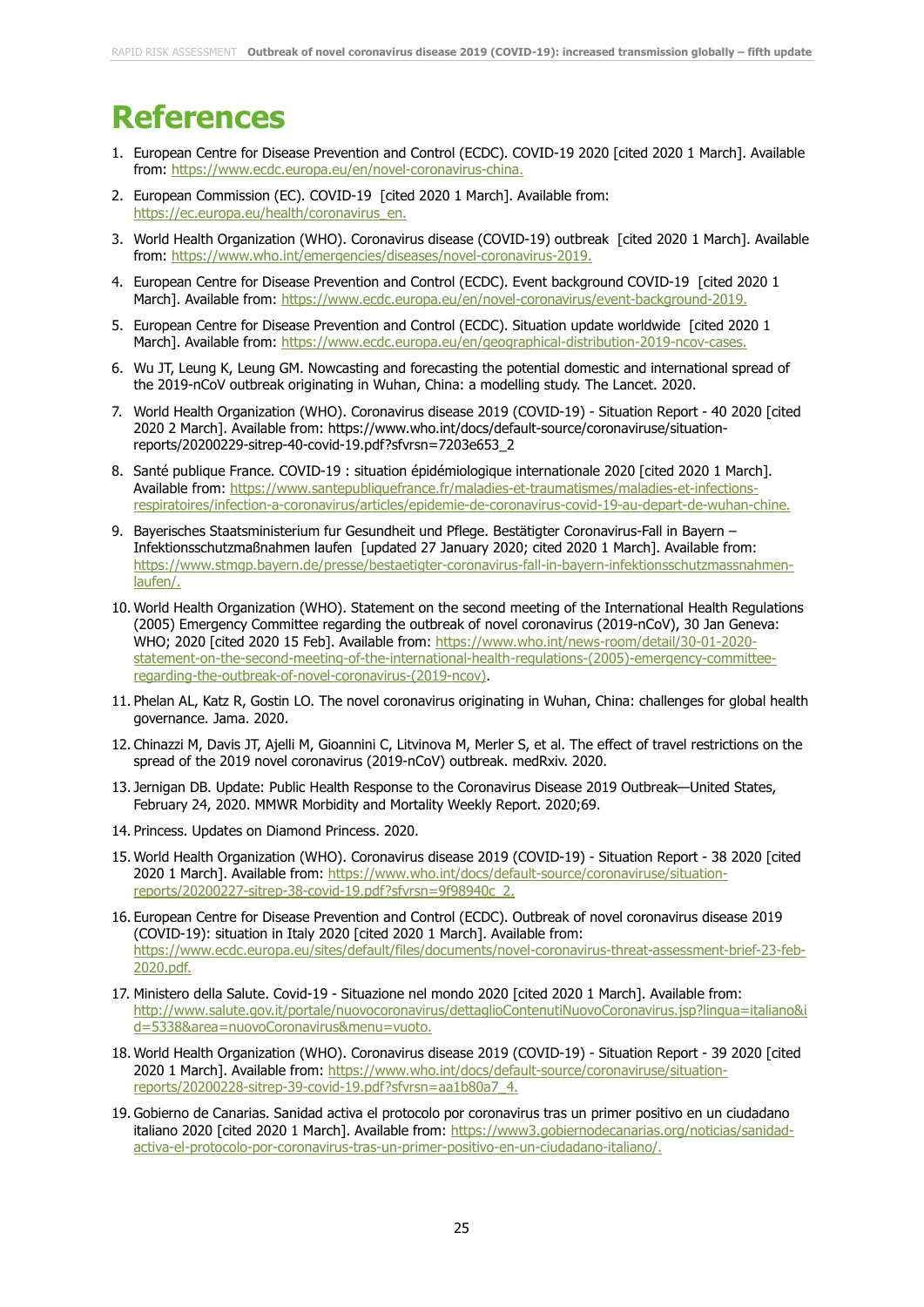## **References**

- 1. European Centre for Disease Prevention and Control (ECDC). COVID-19 2020 [cited 2020 1 March]. Available from: <https://www.ecdc.europa.eu/en/novel-coronavirus-china.>
- 2. European Commission (EC). COVID-19 [cited 2020 1 March]. Available from: [https://ec.europa.eu/health/coronavirus\\_en.](https://ec.europa.eu/health/coronavirus_en.)
- 3. World Health Organization (WHO). Coronavirus disease (COVID-19) outbreak [cited 2020 1 March]. Available from:<https://www.who.int/emergencies/diseases/novel-coronavirus-2019.>
- 4. European Centre for Disease Prevention and Control (ECDC). Event background COVID-19 [cited 2020 1 March]. Available from:<https://www.ecdc.europa.eu/en/novel-coronavirus/event-background-2019.>
- 5. European Centre for Disease Prevention and Control (ECDC). Situation update worldwide [cited 2020 1 March]. Available from:<https://www.ecdc.europa.eu/en/geographical-distribution-2019-ncov-cases.>
- 6. Wu JT, Leung K, Leung GM. Nowcasting and forecasting the potential domestic and international spread of the 2019-nCoV outbreak originating in Wuhan, China: a modelling study. The Lancet. 2020.
- 7. World Health Organization (WHO). Coronavirus disease 2019 (COVID-19) Situation Report 40 2020 [cited 2020 2 March]. Available from: https://www.who.int/docs/default-source/coronaviruse/situationreports/20200229-sitrep-40-covid-19.pdf?sfvrsn=7203e653\_2
- 8. Santé publique France. COVID-19 : situation épidémiologique internationale 2020 [cited 2020 1 March]. Available from: [https://www.santepubliquefrance.fr/maladies-et-traumatismes/maladies-et-infections](https://www.santepubliquefrance.fr/maladies-et-traumatismes/maladies-et-infections-respiratoires/infection-a-coronavirus/articles/epidemie-de-coronavirus-covid-19-au-depart-de-wuhan-chine.)[respiratoires/infection-a-coronavirus/articles/epidemie-de-coronavirus-covid-19-au-depart-de-wuhan-chine.](https://www.santepubliquefrance.fr/maladies-et-traumatismes/maladies-et-infections-respiratoires/infection-a-coronavirus/articles/epidemie-de-coronavirus-covid-19-au-depart-de-wuhan-chine.)
- 9. Bayerisches Staatsministerium fur Gesundheit und Pflege. Bestätigter Coronavirus-Fall in Bayern Infektionsschutzmaßnahmen laufen [updated 27 January 2020; cited 2020 1 March]. Available from: [https://www.stmgp.bayern.de/presse/bestaetigter-coronavirus-fall-in-bayern-infektionsschutzmassnahmen](https://www.stmgp.bayern.de/presse/bestaetigter-coronavirus-fall-in-bayern-infektionsschutzmassnahmen-laufen/)[laufen/.](https://www.stmgp.bayern.de/presse/bestaetigter-coronavirus-fall-in-bayern-infektionsschutzmassnahmen-laufen/)
- 10. World Health Organization (WHO). Statement on the second meeting of the International Health Regulations (2005) Emergency Committee regarding the outbreak of novel coronavirus (2019-nCoV), 30 Jan Geneva: WHO; 2020 [cited 2020 15 Feb]. Available from: [https://www.who.int/news-room/detail/30-01-2020](https://www.who.int/news-room/detail/30-01-2020-statement-on-the-second-meeting-of-the-international-health-regulations-(2005)-emergency-committee-regarding-the-outbreak-of-novel-coronavirus-(2019-ncov)) [statement-on-the-second-meeting-of-the-international-health-regulations-\(2005\)-emergency-committee](https://www.who.int/news-room/detail/30-01-2020-statement-on-the-second-meeting-of-the-international-health-regulations-(2005)-emergency-committee-regarding-the-outbreak-of-novel-coronavirus-(2019-ncov))[regarding-the-outbreak-of-novel-coronavirus-\(2019-ncov\).](https://www.who.int/news-room/detail/30-01-2020-statement-on-the-second-meeting-of-the-international-health-regulations-(2005)-emergency-committee-regarding-the-outbreak-of-novel-coronavirus-(2019-ncov))
- 11. Phelan AL, Katz R, Gostin LO. The novel coronavirus originating in Wuhan, China: challenges for global health governance. Jama. 2020.
- 12. Chinazzi M, Davis JT, Ajelli M, Gioannini C, Litvinova M, Merler S, et al. The effect of travel restrictions on the spread of the 2019 novel coronavirus (2019-nCoV) outbreak. medRxiv. 2020.
- 13. Jernigan DB. Update: Public Health Response to the Coronavirus Disease 2019 Outbreak—United States, February 24, 2020. MMWR Morbidity and Mortality Weekly Report. 2020;69.
- 14. Princess. Updates on Diamond Princess. 2020.
- 15. World Health Organization (WHO). Coronavirus disease 2019 (COVID-19) Situation Report 38 2020 [cited 2020 1 March]. Available from: [https://www.who.int/docs/default-source/coronaviruse/situation](https://www.who.int/docs/default-source/coronaviruse/situation-reports/20200227-sitrep-38-covid-19.pdf?sfvrsn=9f98940c_2.)[reports/20200227-sitrep-38-covid-19.pdf?sfvrsn=9f98940c\\_2.](https://www.who.int/docs/default-source/coronaviruse/situation-reports/20200227-sitrep-38-covid-19.pdf?sfvrsn=9f98940c_2.)
- 16. European Centre for Disease Prevention and Control (ECDC). Outbreak of novel coronavirus disease 2019 (COVID-19): situation in Italy 2020 [cited 2020 1 March]. Available from: [https://www.ecdc.europa.eu/sites/default/files/documents/novel-coronavirus-threat-assessment-brief-23-feb-](https://www.ecdc.europa.eu/sites/default/files/documents/novel-coronavirus-threat-assessment-brief-23-feb-2020.pdf.)[2020.pdf.](https://www.ecdc.europa.eu/sites/default/files/documents/novel-coronavirus-threat-assessment-brief-23-feb-2020.pdf.)
- 17. Ministero della Salute. Covid-19 Situazione nel mondo 2020 [cited 2020 1 March]. Available from: [http://www.salute.gov.it/portale/nuovocoronavirus/dettaglioContenutiNuovoCoronavirus.jsp?lingua=italiano&i](http://www.salute.gov.it/portale/nuovocoronavirus/dettaglioContenutiNuovoCoronavirus.jsp?lingua=italiano&id=5338&area=nuovoCoronavirus&menu=vuoto.) [d=5338&area=nuovoCoronavirus&menu=vuoto.](http://www.salute.gov.it/portale/nuovocoronavirus/dettaglioContenutiNuovoCoronavirus.jsp?lingua=italiano&id=5338&area=nuovoCoronavirus&menu=vuoto.)
- 18. World Health Organization (WHO). Coronavirus disease 2019 (COVID-19) Situation Report 39 2020 [cited 2020 1 March]. Available from: [https://www.who.int/docs/default-source/coronaviruse/situation](https://www.who.int/docs/default-source/coronaviruse/situation-reports/20200228-sitrep-39-covid-19.pdf?sfvrsn=aa1b80a7_4.)[reports/20200228-sitrep-39-covid-19.pdf?sfvrsn=aa1b80a7\\_4.](https://www.who.int/docs/default-source/coronaviruse/situation-reports/20200228-sitrep-39-covid-19.pdf?sfvrsn=aa1b80a7_4.)
- 19. Gobierno de Canarias. Sanidad activa el protocolo por coronavirus tras un primer positivo en un ciudadano italiano 2020 [cited 2020 1 March]. Available from: [https://www3.gobiernodecanarias.org/noticias/sanidad](https://www3.gobiernodecanarias.org/noticias/sanidad-activa-el-protocolo-por-coronavirus-tras-un-primer-positivo-en-un-ciudadano-italiano/)[activa-el-protocolo-por-coronavirus-tras-un-primer-positivo-en-un-ciudadano-italiano/.](https://www3.gobiernodecanarias.org/noticias/sanidad-activa-el-protocolo-por-coronavirus-tras-un-primer-positivo-en-un-ciudadano-italiano/)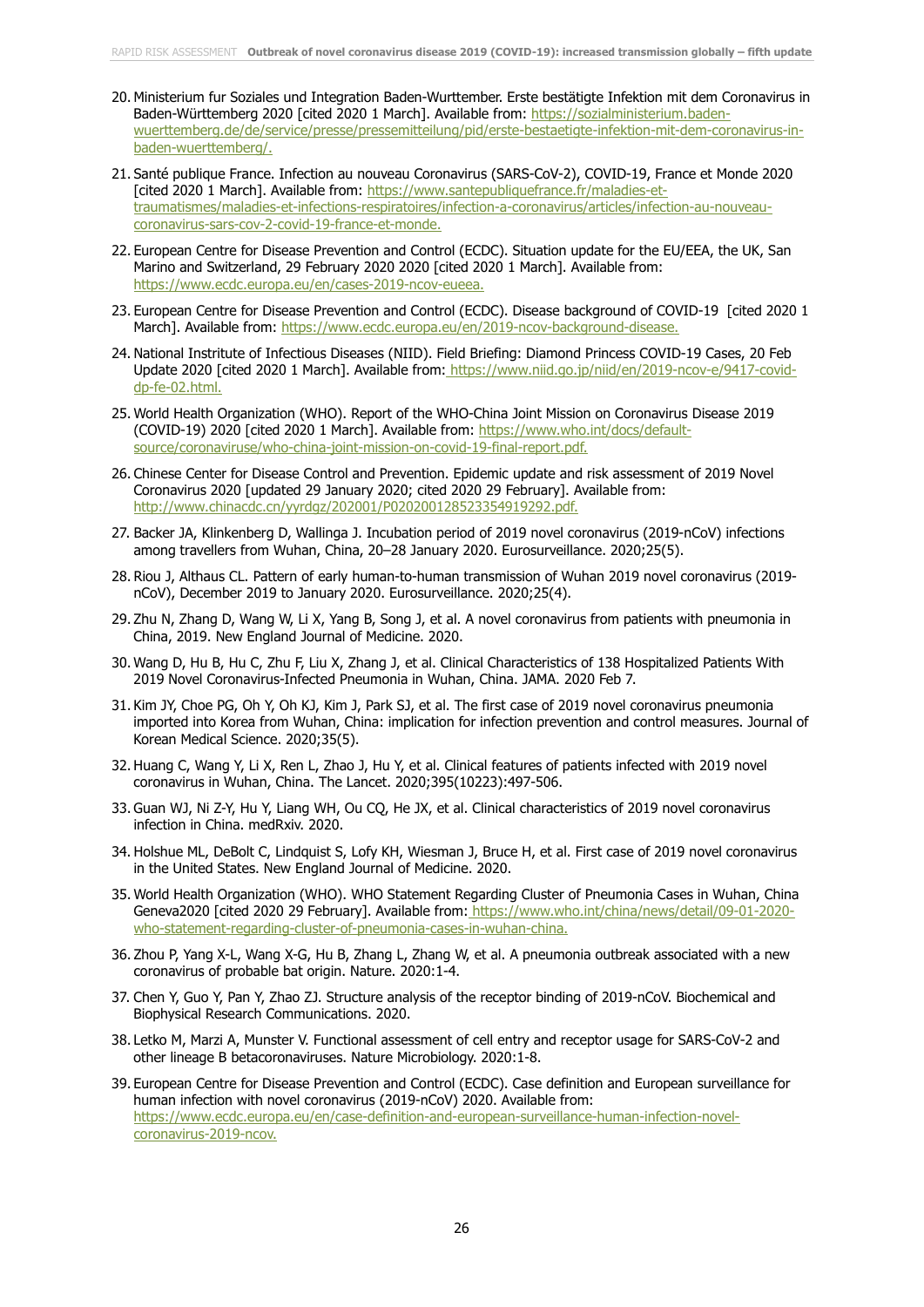- 20. Ministerium fur Soziales und Integration Baden-Wurttember. Erste bestätigte Infektion mit dem Coronavirus in Baden-Württemberg 2020 [cited 2020 1 March]. Available from: [https://sozialministerium.baden](https://sozialministerium.baden-wuerttemberg.de/de/service/presse/pressemitteilung/pid/erste-bestaetigte-infektion-mit-dem-coronavirus-in-baden-wuerttemberg/)[wuerttemberg.de/de/service/presse/pressemitteilung/pid/erste-bestaetigte-infektion-mit-dem-coronavirus-in](https://sozialministerium.baden-wuerttemberg.de/de/service/presse/pressemitteilung/pid/erste-bestaetigte-infektion-mit-dem-coronavirus-in-baden-wuerttemberg/)[baden-wuerttemberg/.](https://sozialministerium.baden-wuerttemberg.de/de/service/presse/pressemitteilung/pid/erste-bestaetigte-infektion-mit-dem-coronavirus-in-baden-wuerttemberg/)
- 21. Santé publique France. Infection au nouveau Coronavirus (SARS-CoV-2), COVID-19, France et Monde 2020 [cited 2020 1 March]. Available from: [https://www.santepubliquefrance.fr/maladies-et](https://www.santepubliquefrance.fr/maladies-et-traumatismes/maladies-et-infections-respiratoires/infection-a-coronavirus/articles/infection-au-nouveau-coronavirus-sars-cov-2-covid-19-france-et-monde.)[traumatismes/maladies-et-infections-respiratoires/infection-a-coronavirus/articles/infection-au-nouveau](https://www.santepubliquefrance.fr/maladies-et-traumatismes/maladies-et-infections-respiratoires/infection-a-coronavirus/articles/infection-au-nouveau-coronavirus-sars-cov-2-covid-19-france-et-monde.)[coronavirus-sars-cov-2-covid-19-france-et-monde.](https://www.santepubliquefrance.fr/maladies-et-traumatismes/maladies-et-infections-respiratoires/infection-a-coronavirus/articles/infection-au-nouveau-coronavirus-sars-cov-2-covid-19-france-et-monde.)
- 22. European Centre for Disease Prevention and Control (ECDC). Situation update for the EU/EEA, the UK, San Marino and Switzerland, 29 February 2020 2020 [cited 2020 1 March]. Available from: <https://www.ecdc.europa.eu/en/cases-2019-ncov-eueea.>
- 23. European Centre for Disease Prevention and Control (ECDC). Disease background of COVID-19 [cited 2020 1 March]. Available from:<https://www.ecdc.europa.eu/en/2019-ncov-background-disease.>
- 24. National Instritute of Infectious Diseases (NIID). Field Briefing: Diamond Princess COVID-19 Cases, 20 Feb Update 2020 [cited 2020 1 March]. Available from: [https://www.niid.go.jp/niid/en/2019-ncov-e/9417-covid](https://www.niid.go.jp/niid/en/2019-ncov-e/9417-covid-dp-fe-02.html.)[dp-fe-02.html.](https://www.niid.go.jp/niid/en/2019-ncov-e/9417-covid-dp-fe-02.html.)
- 25. World Health Organization (WHO). Report of the WHO-China Joint Mission on Coronavirus Disease 2019 (COVID-19) 2020 [cited 2020 1 March]. Available from: [https://www.who.int/docs/default](https://www.who.int/docs/default-source/coronaviruse/who-china-joint-mission-on-covid-19-final-report.pdf.)[source/coronaviruse/who-china-joint-mission-on-covid-19-final-report.pdf.](https://www.who.int/docs/default-source/coronaviruse/who-china-joint-mission-on-covid-19-final-report.pdf.)
- 26. Chinese Center for Disease Control and Prevention. Epidemic update and risk assessment of 2019 Novel Coronavirus 2020 [updated 29 January 2020; cited 2020 29 February]. Available from: <http://www.chinacdc.cn/yyrdgz/202001/P020200128523354919292.pdf.>
- 27. Backer JA, Klinkenberg D, Wallinga J. Incubation period of 2019 novel coronavirus (2019-nCoV) infections among travellers from Wuhan, China, 20–28 January 2020. Eurosurveillance. 2020;25(5).
- 28. Riou J, Althaus CL. Pattern of early human-to-human transmission of Wuhan 2019 novel coronavirus (2019 nCoV), December 2019 to January 2020. Eurosurveillance. 2020;25(4).
- 29. Zhu N, Zhang D, Wang W, Li X, Yang B, Song J, et al. A novel coronavirus from patients with pneumonia in China, 2019. New England Journal of Medicine. 2020.
- 30. Wang D, Hu B, Hu C, Zhu F, Liu X, Zhang J, et al. Clinical Characteristics of 138 Hospitalized Patients With 2019 Novel Coronavirus-Infected Pneumonia in Wuhan, China. JAMA. 2020 Feb 7.
- 31. Kim JY, Choe PG, Oh Y, Oh KJ, Kim J, Park SJ, et al. The first case of 2019 novel coronavirus pneumonia imported into Korea from Wuhan, China: implication for infection prevention and control measures. Journal of Korean Medical Science. 2020;35(5).
- 32. Huang C, Wang Y, Li X, Ren L, Zhao J, Hu Y, et al. Clinical features of patients infected with 2019 novel coronavirus in Wuhan, China. The Lancet. 2020;395(10223):497-506.
- 33. Guan WJ, Ni Z-Y, Hu Y, Liang WH, Ou CQ, He JX, et al. Clinical characteristics of 2019 novel coronavirus infection in China. medRxiv. 2020.
- 34. Holshue ML, DeBolt C, Lindquist S, Lofy KH, Wiesman J, Bruce H, et al. First case of 2019 novel coronavirus in the United States. New England Journal of Medicine. 2020.
- 35. World Health Organization (WHO). WHO Statement Regarding Cluster of Pneumonia Cases in Wuhan, China Geneva2020 [cited 2020 29 February]. Available from: [https://www.who.int/china/news/detail/09-01-2020](https://www.who.int/china/news/detail/09-01-2020-who-statement-regarding-cluster-of-pneumonia-cases-in-wuhan-china.) [who-statement-regarding-cluster-of-pneumonia-cases-in-wuhan-china.](https://www.who.int/china/news/detail/09-01-2020-who-statement-regarding-cluster-of-pneumonia-cases-in-wuhan-china.)
- 36. Zhou P, Yang X-L, Wang X-G, Hu B, Zhang L, Zhang W, et al. A pneumonia outbreak associated with a new coronavirus of probable bat origin. Nature. 2020:1-4.
- 37. Chen Y, Guo Y, Pan Y, Zhao ZJ. Structure analysis of the receptor binding of 2019-nCoV. Biochemical and Biophysical Research Communications. 2020.
- 38. Letko M, Marzi A, Munster V. Functional assessment of cell entry and receptor usage for SARS-CoV-2 and other lineage B betacoronaviruses. Nature Microbiology. 2020:1-8.
- 39. European Centre for Disease Prevention and Control (ECDC). Case definition and European surveillance for human infection with novel coronavirus (2019-nCoV) 2020. Available from: [https://www.ecdc.europa.eu/en/case-definition-and-european-surveillance-human-infection-novel](https://www.ecdc.europa.eu/en/case-definition-and-european-surveillance-human-infection-novel-coronavirus-2019-ncov.)[coronavirus-2019-ncov.](https://www.ecdc.europa.eu/en/case-definition-and-european-surveillance-human-infection-novel-coronavirus-2019-ncov.)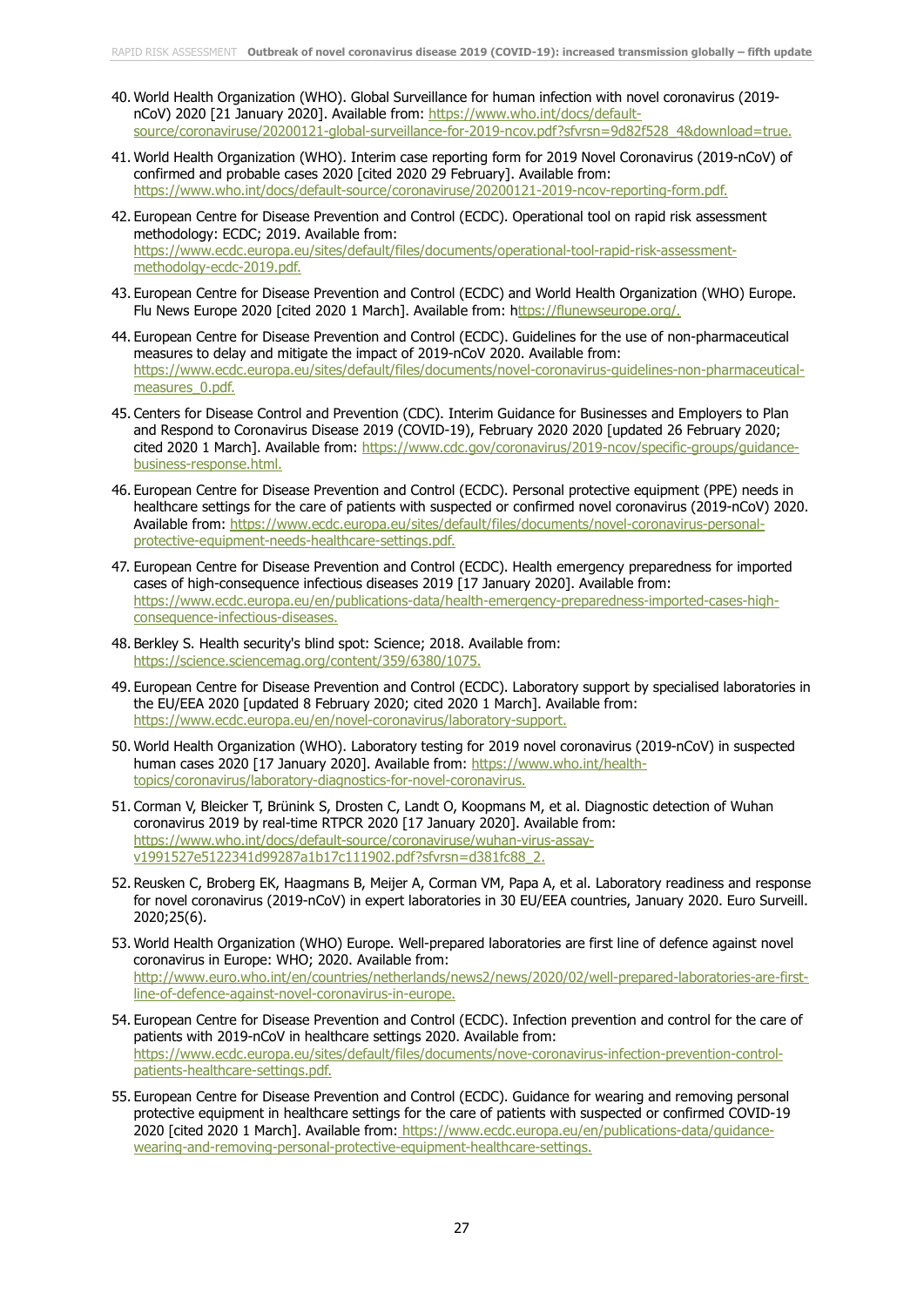- 40. World Health Organization (WHO). Global Surveillance for human infection with novel coronavirus (2019 nCoV) 2020 [21 January 2020]. Available from: [https://www.who.int/docs/default](https://www.who.int/docs/default-source/coronaviruse/20200121-global-surveillance-for-2019-ncov.pdf?sfvrsn=9d82f528_4&download=true.)[source/coronaviruse/20200121-global-surveillance-for-2019-ncov.pdf?sfvrsn=9d82f528\\_4&download=true.](https://www.who.int/docs/default-source/coronaviruse/20200121-global-surveillance-for-2019-ncov.pdf?sfvrsn=9d82f528_4&download=true.)
- 41. World Health Organization (WHO). Interim case reporting form for 2019 Novel Coronavirus (2019-nCoV) of confirmed and probable cases 2020 [cited 2020 29 February]. Available from: <https://www.who.int/docs/default-source/coronaviruse/20200121-2019-ncov-reporting-form.pdf.>
- 42. European Centre for Disease Prevention and Control (ECDC). Operational tool on rapid risk assessment methodology: ECDC; 2019. Available from: [https://www.ecdc.europa.eu/sites/default/files/documents/operational-tool-rapid-risk-assessment](https://www.ecdc.europa.eu/sites/default/files/documents/operational-tool-rapid-risk-assessment-methodolgy-ecdc-2019.pdf.)[methodolgy-ecdc-2019.pdf.](https://www.ecdc.europa.eu/sites/default/files/documents/operational-tool-rapid-risk-assessment-methodolgy-ecdc-2019.pdf.)
- 43. European Centre for Disease Prevention and Control (ECDC) and World Health Organization (WHO) Europe. Flu News Europe 2020 [cited 2020 1 March]. Available from: [https://flunewseurope.org/.](ttps://flunewseurope.org/)
- 44. European Centre for Disease Prevention and Control (ECDC). Guidelines for the use of non-pharmaceutical measures to delay and mitigate the impact of 2019-nCoV 2020. Available from: [https://www.ecdc.europa.eu/sites/default/files/documents/novel-coronavirus-guidelines-non-pharmaceutical](https://www.ecdc.europa.eu/sites/default/files/documents/novel-coronavirus-guidelines-non-pharmaceutical-measures_0.pdf.)[measures\\_0.pdf.](https://www.ecdc.europa.eu/sites/default/files/documents/novel-coronavirus-guidelines-non-pharmaceutical-measures_0.pdf.)
- 45. Centers for Disease Control and Prevention (CDC). Interim Guidance for Businesses and Employers to Plan and Respond to Coronavirus Disease 2019 (COVID-19), February 2020 2020 [updated 26 February 2020; cited 2020 1 March]. Available from: https://www.cdc.gov/coronavirus/2019-ncov/specific-groups/quidance[business-response.html.](https://www.cdc.gov/coronavirus/2019-ncov/specific-groups/guidance-business-response.html.)
- 46. European Centre for Disease Prevention and Control (ECDC). Personal protective equipment (PPE) needs in healthcare settings for the care of patients with suspected or confirmed novel coronavirus (2019-nCoV) 2020. Available from: [https://www.ecdc.europa.eu/sites/default/files/documents/novel-coronavirus-personal](https://www.ecdc.europa.eu/sites/default/files/documents/novel-coronavirus-personal-protective-equipment-needs-healthcare-settings.pdf.)[protective-equipment-needs-healthcare-settings.pdf.](https://www.ecdc.europa.eu/sites/default/files/documents/novel-coronavirus-personal-protective-equipment-needs-healthcare-settings.pdf.)
- 47. European Centre for Disease Prevention and Control (ECDC). Health emergency preparedness for imported cases of high-consequence infectious diseases 2019 [17 January 2020]. Available from: [https://www.ecdc.europa.eu/en/publications-data/health-emergency-preparedness-imported-cases-high](https://www.ecdc.europa.eu/en/publications-data/health-emergency-preparedness-imported-cases-high-consequence-infectious-diseases.)[consequence-infectious-diseases.](https://www.ecdc.europa.eu/en/publications-data/health-emergency-preparedness-imported-cases-high-consequence-infectious-diseases.)
- 48. Berkley S. Health security's blind spot: Science; 2018. Available from: <https://science.sciencemag.org/content/359/6380/1075.>
- 49. European Centre for Disease Prevention and Control (ECDC). Laboratory support by specialised laboratories in the EU/EEA 2020 [updated 8 February 2020; cited 2020 1 March]. Available from: <https://www.ecdc.europa.eu/en/novel-coronavirus/laboratory-support.>
- 50. World Health Organization (WHO). Laboratory testing for 2019 novel coronavirus (2019-nCoV) in suspected human cases 2020 [17 January 2020]. Available from: [https://www.who.int/health](https://www.who.int/health-topics/coronavirus/laboratory-diagnostics-for-novel-coronavirus.)[topics/coronavirus/laboratory-diagnostics-for-novel-coronavirus.](https://www.who.int/health-topics/coronavirus/laboratory-diagnostics-for-novel-coronavirus.)
- 51. Corman V, Bleicker T, Brünink S, Drosten C, Landt O, Koopmans M, et al. Diagnostic detection of Wuhan coronavirus 2019 by real-time RTPCR 2020 [17 January 2020]. Available from: [https://www.who.int/docs/default-source/coronaviruse/wuhan-virus-assay](https://www.who.int/docs/default-source/coronaviruse/wuhan-virus-assay-v1991527e5122341d99287a1b17c111902.pdf?sfvrsn=d381fc88_2.)[v1991527e5122341d99287a1b17c111902.pdf?sfvrsn=d381fc88\\_2.](https://www.who.int/docs/default-source/coronaviruse/wuhan-virus-assay-v1991527e5122341d99287a1b17c111902.pdf?sfvrsn=d381fc88_2.)
- 52. Reusken C, Broberg EK, Haagmans B, Meijer A, Corman VM, Papa A, et al. Laboratory readiness and response for novel coronavirus (2019-nCoV) in expert laboratories in 30 EU/EEA countries, January 2020. Euro Surveill. 2020;25(6).
- 53. World Health Organization (WHO) Europe. Well-prepared laboratories are first line of defence against novel coronavirus in Europe: WHO; 2020. Available from: [http://www.euro.who.int/en/countries/netherlands/news2/news/2020/02/well-prepared-laboratories-are-first](http://www.euro.who.int/en/countries/netherlands/news2/news/2020/02/well-prepared-laboratories-are-first-line-of-defence-against-novel-coronavirus-in-europe.)[line-of-defence-against-novel-coronavirus-in-europe.](http://www.euro.who.int/en/countries/netherlands/news2/news/2020/02/well-prepared-laboratories-are-first-line-of-defence-against-novel-coronavirus-in-europe.)
- 54. European Centre for Disease Prevention and Control (ECDC). Infection prevention and control for the care of patients with 2019-nCoV in healthcare settings 2020. Available from: [https://www.ecdc.europa.eu/sites/default/files/documents/nove-coronavirus-infection-prevention-control](https://www.ecdc.europa.eu/sites/default/files/documents/nove-coronavirus-infection-prevention-control-patients-healthcare-settings.pdf.)[patients-healthcare-settings.pdf.](https://www.ecdc.europa.eu/sites/default/files/documents/nove-coronavirus-infection-prevention-control-patients-healthcare-settings.pdf.)
- 55. European Centre for Disease Prevention and Control (ECDC). Guidance for wearing and removing personal protective equipment in healthcare settings for the care of patients with suspected or confirmed COVID-19 2020 [cited 2020 1 March]. Available from: [https://www.ecdc.europa.eu/en/publications-data/guidance](https://www.ecdc.europa.eu/en/publications-data/guidance-wearing-and-removing-personal-protective-equipment-healthcare-settings.)[wearing-and-removing-personal-protective-equipment-healthcare-settings.](https://www.ecdc.europa.eu/en/publications-data/guidance-wearing-and-removing-personal-protective-equipment-healthcare-settings.)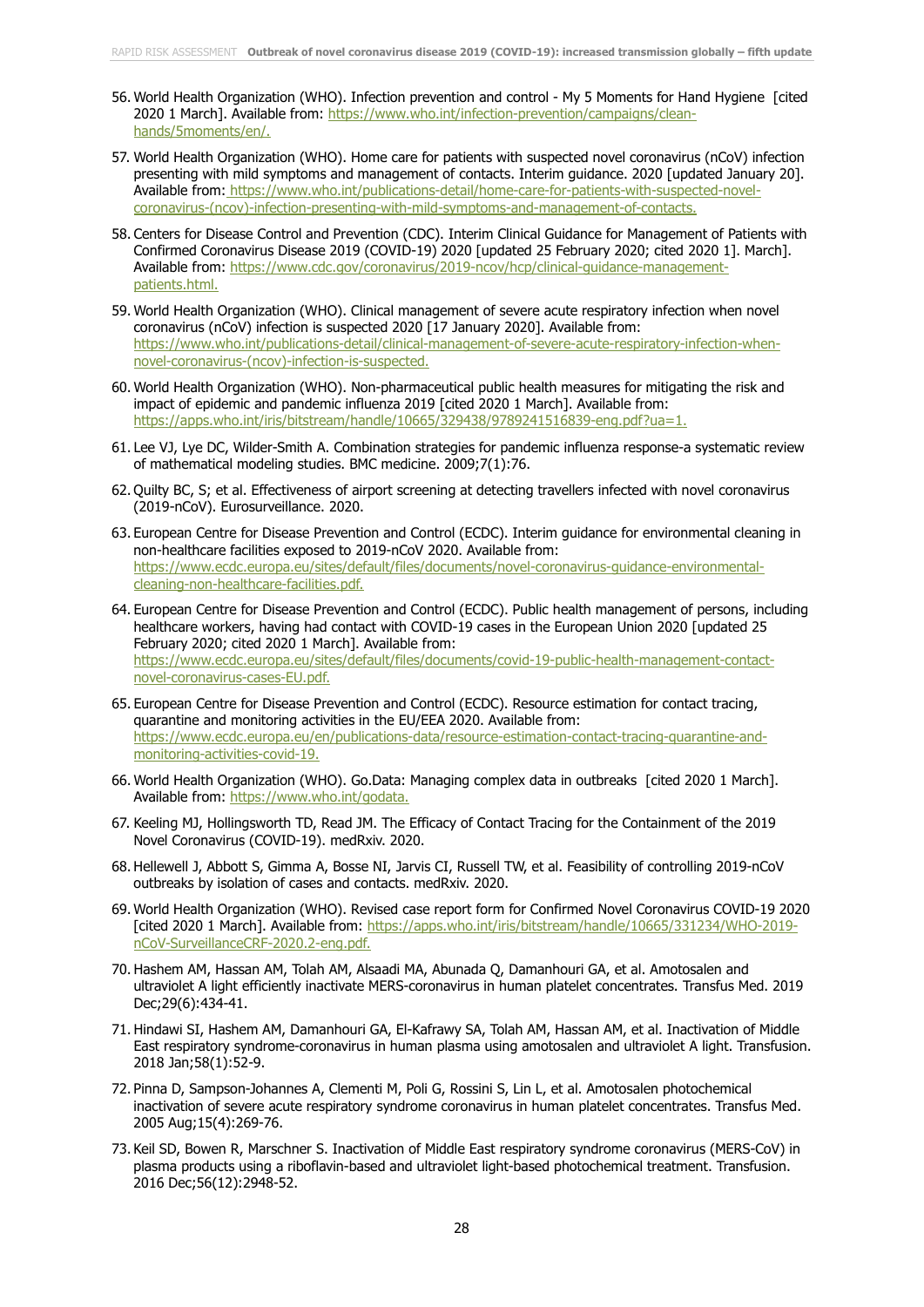- 56. World Health Organization (WHO). Infection prevention and control My 5 Moments for Hand Hygiene [cited 2020 1 March]. Available from: [https://www.who.int/infection-prevention/campaigns/clean](https://www.who.int/infection-prevention/campaigns/clean-hands/5moments/en/)[hands/5moments/en/.](https://www.who.int/infection-prevention/campaigns/clean-hands/5moments/en/)
- 57. World Health Organization (WHO). Home care for patients with suspected novel coronavirus (nCoV) infection presenting with mild symptoms and management of contacts. Interim guidance. 2020 [updated January 20]. Available from: [https://www.who.int/publications-detail/home-care-for-patients-with-suspected-novel](https://www.who.int/publications-detail/home-care-for-patients-with-suspected-novel-coronavirus-(ncov)-infection-presenting-with-mild-symptoms-and-management-of-contacts.)[coronavirus-\(ncov\)-infection-presenting-with-mild-symptoms-and-management-of-contacts.](https://www.who.int/publications-detail/home-care-for-patients-with-suspected-novel-coronavirus-(ncov)-infection-presenting-with-mild-symptoms-and-management-of-contacts.)
- 58. Centers for Disease Control and Prevention (CDC). Interim Clinical Guidance for Management of Patients with Confirmed Coronavirus Disease 2019 (COVID-19) 2020 [updated 25 February 2020; cited 2020 1]. March]. Available from: [https://www.cdc.gov/coronavirus/2019-ncov/hcp/clinical-guidance-management](https://www.cdc.gov/coronavirus/2019-ncov/hcp/clinical-guidance-management-patients.html.)[patients.html.](https://www.cdc.gov/coronavirus/2019-ncov/hcp/clinical-guidance-management-patients.html.)
- 59. World Health Organization (WHO). Clinical management of severe acute respiratory infection when novel coronavirus (nCoV) infection is suspected 2020 [17 January 2020]. Available from: [https://www.who.int/publications-detail/clinical-management-of-severe-acute-respiratory-infection-when](https://www.who.int/publications-detail/clinical-management-of-severe-acute-respiratory-infection-when-novel-coronavirus-(ncov)-infection-is-suspected.)[novel-coronavirus-\(ncov\)-infection-is-suspected.](https://www.who.int/publications-detail/clinical-management-of-severe-acute-respiratory-infection-when-novel-coronavirus-(ncov)-infection-is-suspected.)
- 60. World Health Organization (WHO). Non-pharmaceutical public health measures for mitigating the risk and impact of epidemic and pandemic influenza 2019 [cited 2020 1 March]. Available from: <https://apps.who.int/iris/bitstream/handle/10665/329438/9789241516839-eng.pdf?ua=1.>
- 61. Lee VJ, Lye DC, Wilder-Smith A. Combination strategies for pandemic influenza response-a systematic review of mathematical modeling studies. BMC medicine. 2009;7(1):76.
- 62. Quilty BC, S; et al. Effectiveness of airport screening at detecting travellers infected with novel coronavirus (2019-nCoV). Eurosurveillance. 2020.
- 63. European Centre for Disease Prevention and Control (ECDC). Interim guidance for environmental cleaning in non-healthcare facilities exposed to 2019-nCoV 2020. Available from: [https://www.ecdc.europa.eu/sites/default/files/documents/novel-coronavirus-guidance-environmental](https://www.ecdc.europa.eu/sites/default/files/documents/novel-coronavirus-guidance-environmental-cleaning-non-healthcare-facilities.pdf.)[cleaning-non-healthcare-facilities.pdf.](https://www.ecdc.europa.eu/sites/default/files/documents/novel-coronavirus-guidance-environmental-cleaning-non-healthcare-facilities.pdf.)
- 64. European Centre for Disease Prevention and Control (ECDC). Public health management of persons, including healthcare workers, having had contact with COVID-19 cases in the European Union 2020 [updated 25 February 2020; cited 2020 1 March]. Available from: [https://www.ecdc.europa.eu/sites/default/files/documents/covid-19-public-health-management-contact](https://www.ecdc.europa.eu/sites/default/files/documents/covid-19-public-health-management-contact-novel-coronavirus-cases-EU.pdf.)[novel-coronavirus-cases-EU.pdf.](https://www.ecdc.europa.eu/sites/default/files/documents/covid-19-public-health-management-contact-novel-coronavirus-cases-EU.pdf.)
- 65. European Centre for Disease Prevention and Control (ECDC). Resource estimation for contact tracing, quarantine and monitoring activities in the EU/EEA 2020. Available from: [https://www.ecdc.europa.eu/en/publications-data/resource-estimation-contact-tracing-quarantine-and](https://www.ecdc.europa.eu/en/publications-data/resource-estimation-contact-tracing-quarantine-and-monitoring-activities-covid-19.)[monitoring-activities-covid-19.](https://www.ecdc.europa.eu/en/publications-data/resource-estimation-contact-tracing-quarantine-and-monitoring-activities-covid-19.)
- 66. World Health Organization (WHO). Go.Data: Managing complex data in outbreaks [cited 2020 1 March]. Available from:<https://www.who.int/godata.>
- 67. Keeling MJ, Hollingsworth TD, Read JM. The Efficacy of Contact Tracing for the Containment of the 2019 Novel Coronavirus (COVID-19). medRxiv. 2020.
- 68. Hellewell J, Abbott S, Gimma A, Bosse NI, Jarvis CI, Russell TW, et al. Feasibility of controlling 2019-nCoV outbreaks by isolation of cases and contacts. medRxiv. 2020.
- 69. World Health Organization (WHO). Revised case report form for Confirmed Novel Coronavirus COVID-19 2020 [cited 2020 1 March]. Available from: [https://apps.who.int/iris/bitstream/handle/10665/331234/WHO-2019](https://apps.who.int/iris/bitstream/handle/10665/331234/WHO-2019-nCoV-SurveillanceCRF-2020.2-eng.pdf.) [nCoV-SurveillanceCRF-2020.2-eng.pdf.](https://apps.who.int/iris/bitstream/handle/10665/331234/WHO-2019-nCoV-SurveillanceCRF-2020.2-eng.pdf.)
- 70. Hashem AM, Hassan AM, Tolah AM, Alsaadi MA, Abunada Q, Damanhouri GA, et al. Amotosalen and ultraviolet A light efficiently inactivate MERS-coronavirus in human platelet concentrates. Transfus Med. 2019 Dec;29(6):434-41.
- 71. Hindawi SI, Hashem AM, Damanhouri GA, El-Kafrawy SA, Tolah AM, Hassan AM, et al. Inactivation of Middle East respiratory syndrome-coronavirus in human plasma using amotosalen and ultraviolet A light. Transfusion. 2018 Jan;58(1):52-9.
- 72. Pinna D, Sampson-Johannes A, Clementi M, Poli G, Rossini S, Lin L, et al. Amotosalen photochemical inactivation of severe acute respiratory syndrome coronavirus in human platelet concentrates. Transfus Med. 2005 Aug;15(4):269-76.
- 73. Keil SD, Bowen R, Marschner S. Inactivation of Middle East respiratory syndrome coronavirus (MERS-CoV) in plasma products using a riboflavin-based and ultraviolet light-based photochemical treatment. Transfusion. 2016 Dec;56(12):2948-52.